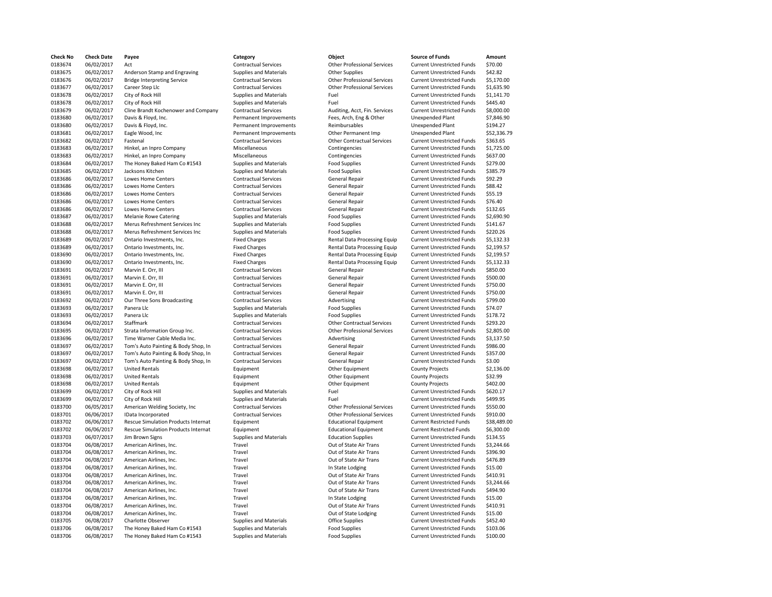| <b>Check No</b> | <b>Check Date</b> | Payee                                      | Category                      | Object                             | <b>Source of Funds</b>            | Amount      |
|-----------------|-------------------|--------------------------------------------|-------------------------------|------------------------------------|-----------------------------------|-------------|
| 0183674         | 06/02/2017        | Act                                        | <b>Contractual Services</b>   | <b>Other Professional Services</b> | <b>Current Unrestricted Funds</b> | \$70.00     |
| 0183675         | 06/02/2017        | Anderson Stamp and Engraving               | Supplies and Materials        | <b>Other Supplies</b>              | <b>Current Unrestricted Funds</b> | \$42.82     |
| 0183676         | 06/02/2017        | <b>Bridge Interpreting Service</b>         | <b>Contractual Services</b>   | <b>Other Professional Services</b> | <b>Current Unrestricted Funds</b> | \$5,170.00  |
| 0183677         | 06/02/2017        | Career Step Llc                            | <b>Contractual Services</b>   | <b>Other Professional Services</b> | <b>Current Unrestricted Funds</b> | \$1,635.90  |
| 0183678         | 06/02/2017        | City of Rock Hill                          | Supplies and Materials        | Fuel                               | <b>Current Unrestricted Funds</b> | \$1,141.70  |
|                 |                   |                                            |                               |                                    |                                   |             |
| 0183678         | 06/02/2017        | City of Rock Hill                          | <b>Supplies and Materials</b> | Fuel                               | <b>Current Unrestricted Funds</b> | \$445.40    |
| 0183679         | 06/02/2017        | Cline Brandt Kochenower and Company        | <b>Contractual Services</b>   | Auditing, Acct, Fin. Services      | <b>Current Unrestricted Funds</b> | \$8,000.00  |
| 0183680         | 06/02/2017        | Davis & Floyd, Inc.                        | Permanent Improvements        | Fees, Arch, Eng & Other            | <b>Unexpended Plant</b>           | \$7,846.90  |
| 0183680         | 06/02/2017        | Davis & Floyd, Inc.                        | Permanent Improvements        | Reimbursables                      | <b>Unexpended Plant</b>           | \$194.27    |
| 0183681         | 06/02/2017        | Eagle Wood, Inc                            | Permanent Improvements        | Other Permanent Imp                | Unexpended Plant                  | \$52,336.79 |
| 0183682         | 06/02/2017        | Fastenal                                   | <b>Contractual Services</b>   | <b>Other Contractual Services</b>  | <b>Current Unrestricted Funds</b> | \$363.65    |
| 0183683         | 06/02/2017        | Hinkel, an Inpro Company                   | Miscellaneous                 | Contingencies                      | <b>Current Unrestricted Funds</b> | \$1,725.00  |
| 0183683         | 06/02/2017        | Hinkel, an Inpro Company                   | Miscellaneous                 | Contingencies                      | <b>Current Unrestricted Funds</b> | \$637.00    |
| 0183684         | 06/02/2017        | The Honey Baked Ham Co #1543               | Supplies and Materials        | <b>Food Supplies</b>               | <b>Current Unrestricted Funds</b> | \$279.00    |
| 0183685         | 06/02/2017        | Jacksons Kitchen                           | Supplies and Materials        | <b>Food Supplies</b>               | <b>Current Unrestricted Funds</b> | \$385.79    |
| 0183686         | 06/02/2017        | <b>Lowes Home Centers</b>                  | <b>Contractual Services</b>   | <b>General Repair</b>              | <b>Current Unrestricted Funds</b> | \$92.29     |
|                 |                   |                                            |                               |                                    |                                   |             |
| 0183686         | 06/02/2017        | <b>Lowes Home Centers</b>                  | <b>Contractual Services</b>   | <b>General Repair</b>              | <b>Current Unrestricted Funds</b> | \$88.42     |
| 0183686         | 06/02/2017        | Lowes Home Centers                         | <b>Contractual Services</b>   | <b>General Repair</b>              | <b>Current Unrestricted Funds</b> | \$55.19     |
| 0183686         | 06/02/2017        | Lowes Home Centers                         | <b>Contractual Services</b>   | <b>General Repair</b>              | <b>Current Unrestricted Funds</b> | \$76.40     |
| 0183686         | 06/02/2017        | Lowes Home Centers                         | <b>Contractual Services</b>   | <b>General Repair</b>              | <b>Current Unrestricted Funds</b> | \$132.65    |
| 0183687         | 06/02/2017        | <b>Melanie Rowe Catering</b>               | <b>Supplies and Materials</b> | <b>Food Supplies</b>               | <b>Current Unrestricted Funds</b> | \$2,690.90  |
| 0183688         | 06/02/2017        | Merus Refreshment Services Inc             | <b>Supplies and Materials</b> | <b>Food Supplies</b>               | <b>Current Unrestricted Funds</b> | \$141.67    |
| 0183688         | 06/02/2017        | Merus Refreshment Services Inc             | Supplies and Materials        | <b>Food Supplies</b>               | <b>Current Unrestricted Funds</b> | \$220.26    |
| 0183689         | 06/02/2017        | Ontario Investments, Inc.                  | <b>Fixed Charges</b>          | Rental Data Processing Equip       | <b>Current Unrestricted Funds</b> | \$5,132.33  |
| 0183689         | 06/02/2017        | Ontario Investments, Inc.                  | <b>Fixed Charges</b>          | Rental Data Processing Equip       | <b>Current Unrestricted Funds</b> | \$2,199.57  |
| 0183690         | 06/02/2017        | Ontario Investments, Inc.                  | <b>Fixed Charges</b>          | Rental Data Processing Equip       | <b>Current Unrestricted Funds</b> | \$2,199.57  |
| 0183690         | 06/02/2017        | Ontario Investments, Inc.                  | <b>Fixed Charges</b>          | Rental Data Processing Equip       | <b>Current Unrestricted Funds</b> | \$5,132.33  |
|                 |                   |                                            |                               |                                    |                                   | \$850.00    |
| 0183691         | 06/02/2017        | Marvin E. Orr, III                         | <b>Contractual Services</b>   | <b>General Repair</b>              | <b>Current Unrestricted Funds</b> |             |
| 0183691         | 06/02/2017        | Marvin E. Orr, III                         | <b>Contractual Services</b>   | <b>General Repair</b>              | <b>Current Unrestricted Funds</b> | \$500.00    |
| 0183691         | 06/02/2017        | Marvin E. Orr, III                         | <b>Contractual Services</b>   | <b>General Repair</b>              | <b>Current Unrestricted Funds</b> | \$750.00    |
| 0183691         | 06/02/2017        | Marvin E. Orr, III                         | <b>Contractual Services</b>   | <b>General Repair</b>              | <b>Current Unrestricted Funds</b> | \$750.00    |
| 0183692         | 06/02/2017        | Our Three Sons Broadcasting                | <b>Contractual Services</b>   | Advertising                        | <b>Current Unrestricted Funds</b> | \$799.00    |
| 0183693         | 06/02/2017        | Panera Llc                                 | Supplies and Materials        | <b>Food Supplies</b>               | <b>Current Unrestricted Funds</b> | \$74.07     |
| 0183693         | 06/02/2017        | Panera Llc                                 | <b>Supplies and Materials</b> | <b>Food Supplies</b>               | <b>Current Unrestricted Funds</b> | \$178.72    |
| 0183694         | 06/02/2017        | Staffmark                                  | <b>Contractual Services</b>   | <b>Other Contractual Services</b>  | <b>Current Unrestricted Funds</b> | \$293.20    |
| 0183695         | 06/02/2017        | Strata Information Group Inc.              | <b>Contractual Services</b>   | <b>Other Professional Services</b> | <b>Current Unrestricted Funds</b> | \$2,805.00  |
| 0183696         | 06/02/2017        | Time Warner Cable Media Inc.               | <b>Contractual Services</b>   | Advertising                        | <b>Current Unrestricted Funds</b> | \$3,137.50  |
| 0183697         | 06/02/2017        | Tom's Auto Painting & Body Shop, In        | <b>Contractual Services</b>   | <b>General Repair</b>              | <b>Current Unrestricted Funds</b> | \$986.00    |
| 0183697         | 06/02/2017        | Tom's Auto Painting & Body Shop, In        | <b>Contractual Services</b>   | <b>General Repair</b>              | <b>Current Unrestricted Funds</b> | \$357.00    |
| 0183697         | 06/02/2017        | Tom's Auto Painting & Body Shop, In        | <b>Contractual Services</b>   | <b>General Repair</b>              | <b>Current Unrestricted Funds</b> | \$3.00      |
|                 | 06/02/2017        | <b>United Rentals</b>                      | Equipment                     |                                    |                                   | \$2,136.00  |
| 0183698         |                   |                                            |                               | Other Equipment                    | <b>County Projects</b>            |             |
| 0183698         | 06/02/2017        | <b>United Rentals</b>                      | Equipment                     | Other Equipment                    | <b>County Projects</b>            | \$32.99     |
| 0183698         | 06/02/2017        | <b>United Rentals</b>                      | Equipment                     | Other Equipment                    | <b>County Projects</b>            | \$402.00    |
| 0183699         | 06/02/2017        | City of Rock Hill                          | <b>Supplies and Materials</b> | Fuel                               | <b>Current Unrestricted Funds</b> | \$620.17    |
| 0183699         | 06/02/2017        | City of Rock Hill                          | Supplies and Materials        | Fuel                               | <b>Current Unrestricted Funds</b> | \$499.95    |
| 0183700         | 06/05/2017        | American Welding Society, Inc              | <b>Contractual Services</b>   | <b>Other Professional Services</b> | <b>Current Unrestricted Funds</b> | \$550.00    |
| 0183701         | 06/06/2017        | IData Incorporated                         | <b>Contractual Services</b>   | <b>Other Professional Services</b> | <b>Current Unrestricted Funds</b> | \$910.00    |
| 0183702         | 06/06/2017        | <b>Rescue Simulation Products Internat</b> | Equipment                     | <b>Educational Equipment</b>       | <b>Current Restricted Funds</b>   | \$38,489.00 |
| 0183702         | 06/06/2017        | <b>Rescue Simulation Products Internat</b> | Equipment                     | <b>Educational Equipment</b>       | <b>Current Restricted Funds</b>   | \$6,300.00  |
| 0183703         | 06/07/2017        | Jim Brown Signs                            | Supplies and Materials        | <b>Education Supplies</b>          | <b>Current Unrestricted Funds</b> | \$134.55    |
| 0183704         | 06/08/2017        | American Airlines, Inc.                    | Travel                        | Out of State Air Trans             | <b>Current Unrestricted Funds</b> | \$3,244.66  |
| 0183704         | 06/08/2017        | American Airlines, Inc.                    | Travel                        | Out of State Air Trans             | <b>Current Unrestricted Funds</b> | \$396.90    |
| 0183704         | 06/08/2017        | American Airlines, Inc.                    | Travel                        | Out of State Air Trans             | <b>Current Unrestricted Funds</b> | \$476.89    |
| 0183704         | 06/08/2017        | American Airlines, Inc.                    | Travel                        | In State Lodging                   | <b>Current Unrestricted Funds</b> | \$15.00     |
| 0183704         |                   | American Airlines, Inc.                    | Travel                        |                                    |                                   | \$410.91    |
|                 | 06/08/2017        |                                            |                               | Out of State Air Trans             | <b>Current Unrestricted Funds</b> |             |
| 0183704         | 06/08/2017        | American Airlines, Inc.                    | Travel                        | Out of State Air Trans             | <b>Current Unrestricted Funds</b> | \$3,244.66  |
| 0183704         | 06/08/2017        | American Airlines, Inc.                    | Travel                        | Out of State Air Trans             | <b>Current Unrestricted Funds</b> | \$494.90    |
| 0183704         | 06/08/2017        | American Airlines, Inc.                    | Travel                        | In State Lodging                   | <b>Current Unrestricted Funds</b> | \$15.00     |
| 0183704         | 06/08/2017        | American Airlines, Inc.                    | Travel                        | Out of State Air Trans             | <b>Current Unrestricted Funds</b> | \$410.91    |
| 0183704         | 06/08/2017        | American Airlines, Inc.                    | Travel                        | Out of State Lodging               | <b>Current Unrestricted Funds</b> | \$15.00     |
| 0183705         | 06/08/2017        | Charlotte Observer                         | Supplies and Materials        | <b>Office Supplies</b>             | <b>Current Unrestricted Funds</b> | \$452.40    |
| 0183706         | 06/08/2017        | The Honey Baked Ham Co #1543               | Supplies and Materials        | <b>Food Supplies</b>               | <b>Current Unrestricted Funds</b> | \$103.06    |
| 0183706         | 06/08/2017        | The Honey Baked Ham Co #1543               | <b>Supplies and Materials</b> | <b>Food Supplies</b>               | <b>Current Unrestricted Funds</b> | \$100.00    |
|                 |                   |                                            |                               |                                    |                                   |             |

| Category                      | Object                             | <b>Source of Funds</b>            | Amount      |
|-------------------------------|------------------------------------|-----------------------------------|-------------|
| <b>Contractual Services</b>   | <b>Other Professional Services</b> | <b>Current Unrestricted Funds</b> | \$70.00     |
| Supplies and Materials        | <b>Other Supplies</b>              | <b>Current Unrestricted Funds</b> | \$42.82     |
| <b>Contractual Services</b>   | <b>Other Professional Services</b> | <b>Current Unrestricted Funds</b> | \$5,170.00  |
| <b>Contractual Services</b>   | <b>Other Professional Services</b> | <b>Current Unrestricted Funds</b> | \$1,635.90  |
| Supplies and Materials        | Fuel                               | <b>Current Unrestricted Funds</b> | \$1,141.70  |
| Supplies and Materials        | Fuel                               | <b>Current Unrestricted Funds</b> | \$445.40    |
| <b>Contractual Services</b>   | Auditing, Acct, Fin. Services      | <b>Current Unrestricted Funds</b> | \$8,000.00  |
| Permanent Improvements        | Fees, Arch, Eng & Other            | <b>Unexpended Plant</b>           | \$7,846.90  |
| Permanent Improvements        | Reimbursables                      | <b>Unexpended Plant</b>           | \$194.27    |
| Permanent Improvements        | Other Permanent Imp                | <b>Unexpended Plant</b>           | \$52,336.79 |
| <b>Contractual Services</b>   | <b>Other Contractual Services</b>  | <b>Current Unrestricted Funds</b> | \$363.65    |
| Miscellaneous                 | Contingencies                      | <b>Current Unrestricted Funds</b> | \$1,725.00  |
| Miscellaneous                 | Contingencies                      | <b>Current Unrestricted Funds</b> | \$637.00    |
| <b>Supplies and Materials</b> | <b>Food Supplies</b>               | <b>Current Unrestricted Funds</b> | \$279.00    |
| Supplies and Materials        | <b>Food Supplies</b>               | <b>Current Unrestricted Funds</b> | \$385.79    |
| <b>Contractual Services</b>   | <b>General Repair</b>              | <b>Current Unrestricted Funds</b> | \$92.29     |
| <b>Contractual Services</b>   | General Repair                     | <b>Current Unrestricted Funds</b> | \$88.42     |
| <b>Contractual Services</b>   | <b>General Repair</b>              | <b>Current Unrestricted Funds</b> | \$55.19     |
| <b>Contractual Services</b>   | <b>General Repair</b>              | <b>Current Unrestricted Funds</b> | \$76.40     |
| <b>Contractual Services</b>   | General Repair                     | <b>Current Unrestricted Funds</b> | \$132.65    |
| <b>Supplies and Materials</b> | <b>Food Supplies</b>               | <b>Current Unrestricted Funds</b> | \$2,690.90  |
| <b>Supplies and Materials</b> | <b>Food Supplies</b>               | <b>Current Unrestricted Funds</b> | \$141.67    |
| <b>Supplies and Materials</b> | <b>Food Supplies</b>               | <b>Current Unrestricted Funds</b> | \$220.26    |
| <b>Fixed Charges</b>          | Rental Data Processing Equip       | <b>Current Unrestricted Funds</b> | \$5,132.33  |
| <b>Fixed Charges</b>          | Rental Data Processing Equip       | <b>Current Unrestricted Funds</b> | \$2,199.57  |
| <b>Fixed Charges</b>          | Rental Data Processing Equip       | <b>Current Unrestricted Funds</b> | \$2,199.57  |
| <b>Fixed Charges</b>          | Rental Data Processing Equip       | <b>Current Unrestricted Funds</b> | \$5,132.33  |
| <b>Contractual Services</b>   | <b>General Repair</b>              | <b>Current Unrestricted Funds</b> | \$850.00    |
| <b>Contractual Services</b>   | <b>General Repair</b>              | <b>Current Unrestricted Funds</b> | \$500.00    |
| <b>Contractual Services</b>   | <b>General Repair</b>              | <b>Current Unrestricted Funds</b> | \$750.00    |
| <b>Contractual Services</b>   | <b>General Repair</b>              | <b>Current Unrestricted Funds</b> | \$750.00    |
| <b>Contractual Services</b>   | Advertising                        | <b>Current Unrestricted Funds</b> | \$799.00    |
| <b>Supplies and Materials</b> | <b>Food Supplies</b>               | <b>Current Unrestricted Funds</b> | \$74.07     |
| Supplies and Materials        | <b>Food Supplies</b>               | <b>Current Unrestricted Funds</b> | \$178.72    |
| <b>Contractual Services</b>   | <b>Other Contractual Services</b>  | <b>Current Unrestricted Funds</b> | \$293.20    |
| <b>Contractual Services</b>   | <b>Other Professional Services</b> | <b>Current Unrestricted Funds</b> | \$2,805.00  |
| <b>Contractual Services</b>   | Advertising                        | <b>Current Unrestricted Funds</b> | \$3,137.50  |
| <b>Contractual Services</b>   | <b>General Repair</b>              | <b>Current Unrestricted Funds</b> | \$986.00    |
| <b>Contractual Services</b>   | <b>General Repair</b>              | <b>Current Unrestricted Funds</b> | \$357.00    |
| <b>Contractual Services</b>   | <b>General Repair</b>              | <b>Current Unrestricted Funds</b> | \$3.00      |
| Equipment                     | Other Equipment                    | <b>County Projects</b>            | \$2,136.00  |
| Equipment                     | Other Equipment                    | <b>County Projects</b>            | \$32.99     |
| Equipment                     | Other Equipment                    | <b>County Projects</b>            | \$402.00    |
| <b>Supplies and Materials</b> | Fuel                               | <b>Current Unrestricted Funds</b> | \$620.17    |
| <b>Supplies and Materials</b> | Fuel                               | <b>Current Unrestricted Funds</b> | \$499.95    |
| <b>Contractual Services</b>   | <b>Other Professional Services</b> | <b>Current Unrestricted Funds</b> | \$550.00    |
| <b>Contractual Services</b>   | <b>Other Professional Services</b> | <b>Current Unrestricted Funds</b> | \$910.00    |
| Equipment                     | <b>Educational Equipment</b>       | <b>Current Restricted Funds</b>   | \$38,489.00 |
| Equipment                     | <b>Educational Equipment</b>       | <b>Current Restricted Funds</b>   | \$6,300.00  |
| <b>Supplies and Materials</b> | <b>Education Supplies</b>          | <b>Current Unrestricted Funds</b> | \$134.55    |
| Travel                        | Out of State Air Trans             | <b>Current Unrestricted Funds</b> | \$3,244.66  |
| Travel                        | Out of State Air Trans             | <b>Current Unrestricted Funds</b> | \$396.90    |
| Travel                        | Out of State Air Trans             | <b>Current Unrestricted Funds</b> | \$476.89    |
| Travel                        | In State Lodging                   | <b>Current Unrestricted Funds</b> | \$15.00     |
| Travel                        | Out of State Air Trans             | <b>Current Unrestricted Funds</b> | \$410.91    |
| Travel                        | Out of State Air Trans             | <b>Current Unrestricted Funds</b> | \$3,244.66  |
| Travel                        | Out of State Air Trans             | <b>Current Unrestricted Funds</b> | \$494.90    |
| Travel                        | In State Lodging                   | <b>Current Unrestricted Funds</b> | \$15.00     |
| Travel                        | Out of State Air Trans             | <b>Current Unrestricted Funds</b> | \$410.91    |
| Travel                        | Out of State Lodging               | <b>Current Unrestricted Funds</b> | \$15.00     |
| <b>Supplies and Materials</b> | <b>Office Supplies</b>             | <b>Current Unrestricted Funds</b> | \$452.40    |
| Supplies and Materials        | <b>Food Supplies</b>               | <b>Current Unrestricted Funds</b> | \$103.06    |
|                               |                                    |                                   |             |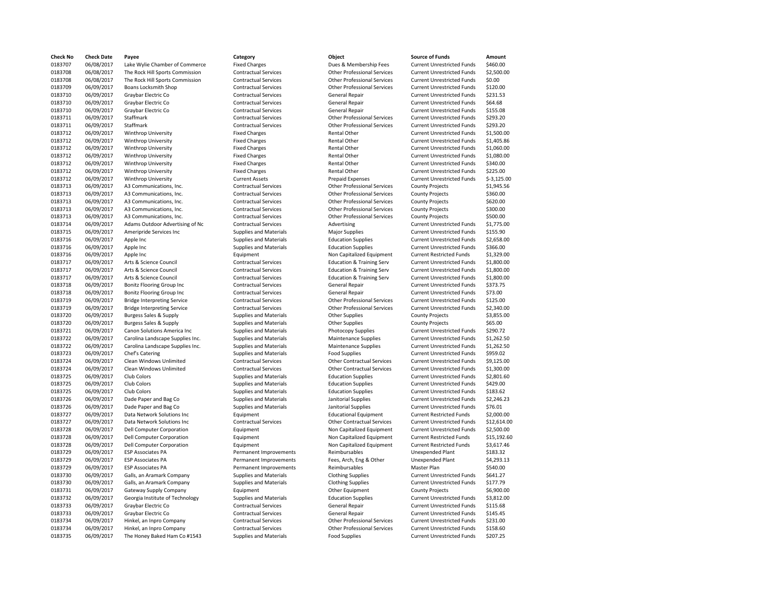| <b>Check No</b> | <b>Check Date</b> | Payee                              | Category                      | Object                               | <b>Source of Funds</b>                                      | Amount       |
|-----------------|-------------------|------------------------------------|-------------------------------|--------------------------------------|-------------------------------------------------------------|--------------|
| 0183707         | 06/08/2017        | Lake Wylie Chamber of Commerce     | <b>Fixed Charges</b>          | Dues & Membership Fees               | <b>Current Unrestricted Funds</b>                           | \$460.00     |
| 0183708         | 06/08/2017        | The Rock Hill Sports Commission    | <b>Contractual Services</b>   | <b>Other Professional Services</b>   | <b>Current Unrestricted Funds</b>                           | \$2,500.00   |
| 0183708         | 06/08/2017        | The Rock Hill Sports Commission    | <b>Contractual Services</b>   | <b>Other Professional Services</b>   | <b>Current Unrestricted Funds</b>                           | \$0.00       |
| 0183709         | 06/09/2017        | Boans Locksmith Shop               | <b>Contractual Services</b>   | <b>Other Professional Services</b>   | <b>Current Unrestricted Funds</b>                           | \$120.00     |
| 0183710         | 06/09/2017        | Graybar Electric Co                | <b>Contractual Services</b>   | <b>General Repair</b>                | <b>Current Unrestricted Funds</b>                           | \$231.53     |
| 0183710         | 06/09/2017        | Graybar Electric Co                | <b>Contractual Services</b>   | General Repair                       | <b>Current Unrestricted Funds</b>                           | \$64.68      |
| 0183710         | 06/09/2017        | Graybar Electric Co                | <b>Contractual Services</b>   | <b>General Repair</b>                | <b>Current Unrestricted Funds</b>                           | \$155.08     |
| 0183711         | 06/09/2017        | Staffmark                          | <b>Contractual Services</b>   | <b>Other Professional Services</b>   | <b>Current Unrestricted Funds</b>                           | \$293.20     |
| 0183711         | 06/09/2017        | Staffmark                          | <b>Contractual Services</b>   | <b>Other Professional Services</b>   | <b>Current Unrestricted Funds</b>                           | \$293.20     |
| 0183712         | 06/09/2017        | Winthrop University                | <b>Fixed Charges</b>          | Rental Other                         | <b>Current Unrestricted Funds</b>                           | \$1,500.00   |
| 0183712         | 06/09/2017        | Winthrop University                | <b>Fixed Charges</b>          | Rental Other                         | <b>Current Unrestricted Funds</b>                           | \$1,405.86   |
|                 |                   |                                    |                               |                                      |                                                             |              |
| 0183712         | 06/09/2017        | Winthrop University                | <b>Fixed Charges</b>          | Rental Other                         | <b>Current Unrestricted Funds</b>                           | \$1,060.00   |
| 0183712         | 06/09/2017        | Winthrop University                | <b>Fixed Charges</b>          | Rental Other                         | <b>Current Unrestricted Funds</b>                           | \$1,080.00   |
| 0183712         | 06/09/2017        | Winthrop University                | <b>Fixed Charges</b>          | Rental Other                         | <b>Current Unrestricted Funds</b>                           | \$340.00     |
| 0183712         | 06/09/2017        | Winthrop University                | <b>Fixed Charges</b>          | Rental Other                         | <b>Current Unrestricted Funds</b>                           | \$225.00     |
| 0183712         | 06/09/2017        | Winthrop University                | <b>Current Assets</b>         | Prepaid Expenses                     | <b>Current Unrestricted Funds</b>                           | $$-3,125.00$ |
| 0183713         | 06/09/2017        | A3 Communications, Inc.            | <b>Contractual Services</b>   | <b>Other Professional Services</b>   | <b>County Projects</b>                                      | \$1,945.56   |
| 0183713         | 06/09/2017        | A3 Communications, Inc.            | <b>Contractual Services</b>   | <b>Other Professional Services</b>   | <b>County Projects</b>                                      | \$360.00     |
| 0183713         | 06/09/2017        | A3 Communications, Inc.            | <b>Contractual Services</b>   | <b>Other Professional Services</b>   | <b>County Projects</b>                                      | \$620.00     |
| 0183713         | 06/09/2017        | A3 Communications, Inc.            | <b>Contractual Services</b>   | <b>Other Professional Services</b>   | <b>County Projects</b>                                      | \$300.00     |
| 0183713         | 06/09/2017        | A3 Communications, Inc.            | <b>Contractual Services</b>   | <b>Other Professional Services</b>   | <b>County Projects</b>                                      | \$500.00     |
| 0183714         | 06/09/2017        | Adams Outdoor Advertising of Nc    | <b>Contractual Services</b>   | Advertising                          | <b>Current Unrestricted Funds</b>                           | \$1,775.00   |
| 0183715         | 06/09/2017        | Ameripride Services Inc            | Supplies and Materials        | <b>Major Supplies</b>                | <b>Current Unrestricted Funds</b>                           | \$155.90     |
| 0183716         | 06/09/2017        | Apple Inc                          | Supplies and Materials        | <b>Education Supplies</b>            | <b>Current Unrestricted Funds</b>                           | \$2,658.00   |
| 0183716         | 06/09/2017        | Apple Inc                          | <b>Supplies and Materials</b> | <b>Education Supplies</b>            | <b>Current Unrestricted Funds</b>                           | \$366.00     |
| 0183716         | 06/09/2017        | Apple Inc                          | Equipment                     | Non Capitalized Equipment            | <b>Current Restricted Funds</b>                             | \$1,329.00   |
| 0183717         | 06/09/2017        | Arts & Science Council             | <b>Contractual Services</b>   | <b>Education &amp; Training Serv</b> | <b>Current Unrestricted Funds</b>                           | \$1,800.00   |
| 0183717         | 06/09/2017        | Arts & Science Council             | <b>Contractual Services</b>   | <b>Education &amp; Training Serv</b> | <b>Current Unrestricted Funds</b>                           | \$1,800.00   |
| 0183717         | 06/09/2017        | Arts & Science Council             | <b>Contractual Services</b>   | <b>Education &amp; Training Serv</b> | <b>Current Unrestricted Funds</b>                           | \$1,800.00   |
| 0183718         | 06/09/2017        | Bonitz Flooring Group Inc          | <b>Contractual Services</b>   | <b>General Repair</b>                | <b>Current Unrestricted Funds</b>                           | \$373.75     |
| 0183718         | 06/09/2017        | Bonitz Flooring Group Inc          | <b>Contractual Services</b>   | <b>General Repair</b>                | <b>Current Unrestricted Funds</b>                           | \$73.00      |
| 0183719         | 06/09/2017        | <b>Bridge Interpreting Service</b> | <b>Contractual Services</b>   | <b>Other Professional Services</b>   | <b>Current Unrestricted Funds</b>                           | \$125.00     |
| 0183719         | 06/09/2017        | <b>Bridge Interpreting Service</b> | <b>Contractual Services</b>   | <b>Other Professional Services</b>   | <b>Current Unrestricted Funds</b>                           | \$2,340.00   |
| 0183720         | 06/09/2017        | <b>Burgess Sales &amp; Supply</b>  | Supplies and Materials        | <b>Other Supplies</b>                | <b>County Projects</b>                                      | \$3,855.00   |
| 0183720         | 06/09/2017        | <b>Burgess Sales &amp; Supply</b>  | Supplies and Materials        | <b>Other Supplies</b>                |                                                             | \$65.00      |
| 0183721         | 06/09/2017        | Canon Solutions America Inc        | Supplies and Materials        |                                      | <b>County Projects</b><br><b>Current Unrestricted Funds</b> | \$290.72     |
|                 |                   |                                    |                               | Photocopy Supplies                   |                                                             |              |
| 0183722         | 06/09/2017        | Carolina Landscape Supplies Inc.   | <b>Supplies and Materials</b> | <b>Maintenance Supplies</b>          | <b>Current Unrestricted Funds</b>                           | \$1,262.50   |
| 0183722         | 06/09/2017        | Carolina Landscape Supplies Inc.   | Supplies and Materials        | <b>Maintenance Supplies</b>          | <b>Current Unrestricted Funds</b>                           | \$1,262.50   |
| 0183723         | 06/09/2017        | Chef's Catering                    | <b>Supplies and Materials</b> | <b>Food Supplies</b>                 | <b>Current Unrestricted Funds</b>                           | \$959.02     |
| 0183724         | 06/09/2017        | Clean Windows Unlimited            | <b>Contractual Services</b>   | <b>Other Contractual Services</b>    | <b>Current Unrestricted Funds</b>                           | \$9,125.00   |
| 0183724         | 06/09/2017        | Clean Windows Unlimited            | <b>Contractual Services</b>   | <b>Other Contractual Services</b>    | <b>Current Unrestricted Funds</b>                           | \$1,300.00   |
| 0183725         | 06/09/2017        | Club Colors                        | Supplies and Materials        | <b>Education Supplies</b>            | <b>Current Unrestricted Funds</b>                           | \$2,801.60   |
| 0183725         | 06/09/2017        | Club Colors                        | Supplies and Materials        | <b>Education Supplies</b>            | <b>Current Unrestricted Funds</b>                           | \$429.00     |
| 0183725         | 06/09/2017        | Club Colors                        | Supplies and Materials        | <b>Education Supplies</b>            | <b>Current Unrestricted Funds</b>                           | \$183.62     |
| 0183726         | 06/09/2017        | Dade Paper and Bag Co              | <b>Supplies and Materials</b> | Janitorial Supplies                  | <b>Current Unrestricted Funds</b>                           | \$2,246.23   |
| 0183726         | 06/09/2017        | Dade Paper and Bag Co              | Supplies and Materials        | Janitorial Supplies                  | <b>Current Unrestricted Funds</b>                           | \$76.01      |
| 0183727         | 06/09/2017        | Data Network Solutions Inc         | Equipment                     | <b>Educational Equipment</b>         | <b>Current Restricted Funds</b>                             | \$2,000.00   |
| 0183727         | 06/09/2017        | Data Network Solutions Inc         | <b>Contractual Services</b>   | <b>Other Contractual Services</b>    | <b>Current Unrestricted Funds</b>                           | \$12,614.00  |
| 0183728         | 06/09/2017        | <b>Dell Computer Corporation</b>   | Equipment                     | Non Capitalized Equipment            | <b>Current Unrestricted Funds</b>                           | \$2,500.00   |
| 0183728         | 06/09/2017        | <b>Dell Computer Corporation</b>   | Equipment                     | Non Capitalized Equipment            | <b>Current Restricted Funds</b>                             | \$15,192.60  |
| 0183728         | 06/09/2017        | <b>Dell Computer Corporation</b>   | Equipment                     | Non Capitalized Equipment            | <b>Current Restricted Funds</b>                             | \$3,617.46   |
| 0183729         | 06/09/2017        | <b>ESP Associates PA</b>           | Permanent Improvements        | Reimbursables                        | <b>Unexpended Plant</b>                                     | \$183.32     |
| 0183729         | 06/09/2017        | <b>ESP Associates PA</b>           | Permanent Improvements        | Fees, Arch, Eng & Other              | <b>Unexpended Plant</b>                                     | \$4,293.13   |
| 0183729         | 06/09/2017        | <b>ESP Associates PA</b>           | Permanent Improvements        | Reimbursables                        | Master Plan                                                 | \$540.00     |
| 0183730         | 06/09/2017        | Galls, an Aramark Company          | <b>Supplies and Materials</b> | <b>Clothing Supplies</b>             | <b>Current Unrestricted Funds</b>                           | \$641.27     |
| 0183730         | 06/09/2017        | Galls, an Aramark Company          | <b>Supplies and Materials</b> | <b>Clothing Supplies</b>             | <b>Current Unrestricted Funds</b>                           | \$177.79     |
| 0183731         | 06/09/2017        | Gateway Supply Company             | Equipment                     | Other Equipment                      | <b>County Projects</b>                                      | \$6,900.00   |
| 0183732         | 06/09/2017        | Georgia Institute of Technology    | Supplies and Materials        | <b>Education Supplies</b>            | <b>Current Unrestricted Funds</b>                           | \$3,812.00   |
| 0183733         | 06/09/2017        | Graybar Electric Co                | <b>Contractual Services</b>   | <b>General Repair</b>                | <b>Current Unrestricted Funds</b>                           | \$115.68     |
| 0183733         | 06/09/2017        | Graybar Electric Co                | <b>Contractual Services</b>   | <b>General Repair</b>                | <b>Current Unrestricted Funds</b>                           | \$145.45     |
| 0183734         | 06/09/2017        | Hinkel, an Inpro Company           | <b>Contractual Services</b>   | <b>Other Professional Services</b>   | <b>Current Unrestricted Funds</b>                           | \$231.00     |
| 0183734         | 06/09/2017        | Hinkel, an Inpro Company           | <b>Contractual Services</b>   | <b>Other Professional Services</b>   | <b>Current Unrestricted Funds</b>                           | \$158.60     |
|                 |                   |                                    |                               |                                      |                                                             |              |
| 0183735         | 06/09/2017        | The Honey Baked Ham Co #1543       | <b>Supplies and Materials</b> | <b>Food Supplies</b>                 | <b>Current Unrestricted Funds</b>                           | \$207.25     |

| Category                      | Object                               | <b>Source of Funds</b>            | Amount       |
|-------------------------------|--------------------------------------|-----------------------------------|--------------|
| <b>Fixed Charges</b>          | Dues & Membership Fees               | <b>Current Unrestricted Funds</b> | \$460.00     |
| <b>Contractual Services</b>   | <b>Other Professional Services</b>   | <b>Current Unrestricted Funds</b> | \$2,500.00   |
| <b>Contractual Services</b>   | <b>Other Professional Services</b>   | <b>Current Unrestricted Funds</b> | \$0.00       |
| <b>Contractual Services</b>   | <b>Other Professional Services</b>   | <b>Current Unrestricted Funds</b> | \$120.00     |
| <b>Contractual Services</b>   | <b>General Repair</b>                | <b>Current Unrestricted Funds</b> | \$231.53     |
| <b>Contractual Services</b>   | <b>General Repair</b>                | <b>Current Unrestricted Funds</b> | \$64.68      |
| <b>Contractual Services</b>   | <b>General Repair</b>                | <b>Current Unrestricted Funds</b> | \$155.08     |
| <b>Contractual Services</b>   | <b>Other Professional Services</b>   | <b>Current Unrestricted Funds</b> | \$293.20     |
| <b>Contractual Services</b>   | <b>Other Professional Services</b>   | <b>Current Unrestricted Funds</b> | \$293.20     |
| <b>Fixed Charges</b>          | Rental Other                         | <b>Current Unrestricted Funds</b> | \$1,500.00   |
| <b>Fixed Charges</b>          | Rental Other                         | <b>Current Unrestricted Funds</b> | \$1,405.86   |
| <b>Fixed Charges</b>          | Rental Other                         | <b>Current Unrestricted Funds</b> | \$1,060.00   |
| <b>Fixed Charges</b>          | Rental Other                         | <b>Current Unrestricted Funds</b> | \$1,080.00   |
| <b>Fixed Charges</b>          | <b>Rental Other</b>                  | <b>Current Unrestricted Funds</b> | \$340.00     |
| <b>Fixed Charges</b>          | Rental Other                         | <b>Current Unrestricted Funds</b> | \$225.00     |
| <b>Current Assets</b>         | Prepaid Expenses                     | <b>Current Unrestricted Funds</b> | $$-3,125.00$ |
| <b>Contractual Services</b>   | <b>Other Professional Services</b>   | <b>County Projects</b>            | \$1,945.56   |
| <b>Contractual Services</b>   | <b>Other Professional Services</b>   | <b>County Projects</b>            | \$360.00     |
| <b>Contractual Services</b>   | <b>Other Professional Services</b>   | <b>County Projects</b>            | \$620.00     |
| <b>Contractual Services</b>   | <b>Other Professional Services</b>   | <b>County Projects</b>            | \$300.00     |
| <b>Contractual Services</b>   | <b>Other Professional Services</b>   | <b>County Projects</b>            | \$500.00     |
| <b>Contractual Services</b>   | Advertising                          | <b>Current Unrestricted Funds</b> | \$1,775.00   |
| Supplies and Materials        | <b>Major Supplies</b>                | <b>Current Unrestricted Funds</b> | \$155.90     |
| Supplies and Materials        | <b>Education Supplies</b>            | <b>Current Unrestricted Funds</b> | \$2,658.00   |
| Supplies and Materials        | <b>Education Supplies</b>            | <b>Current Unrestricted Funds</b> | \$366.00     |
| Equipment                     | Non Capitalized Equipment            | <b>Current Restricted Funds</b>   | \$1,329.00   |
| <b>Contractual Services</b>   | <b>Education &amp; Training Serv</b> | <b>Current Unrestricted Funds</b> | \$1,800.00   |
| <b>Contractual Services</b>   | <b>Education &amp; Training Serv</b> | <b>Current Unrestricted Funds</b> | \$1,800.00   |
| <b>Contractual Services</b>   | <b>Education &amp; Training Serv</b> | <b>Current Unrestricted Funds</b> | \$1,800.00   |
| <b>Contractual Services</b>   | <b>General Repair</b>                | <b>Current Unrestricted Funds</b> | \$373.75     |
| <b>Contractual Services</b>   | <b>General Repair</b>                | <b>Current Unrestricted Funds</b> | \$73.00      |
| <b>Contractual Services</b>   | <b>Other Professional Services</b>   | <b>Current Unrestricted Funds</b> | \$125.00     |
| <b>Contractual Services</b>   | <b>Other Professional Services</b>   | <b>Current Unrestricted Funds</b> | \$2,340.00   |
| Supplies and Materials        | <b>Other Supplies</b>                | <b>County Projects</b>            | \$3,855.00   |
| Supplies and Materials        | <b>Other Supplies</b>                | <b>County Projects</b>            | \$65.00      |
| Supplies and Materials        | Photocopy Supplies                   | <b>Current Unrestricted Funds</b> | \$290.72     |
| Supplies and Materials        | <b>Maintenance Supplies</b>          | <b>Current Unrestricted Funds</b> | \$1,262.50   |
| Supplies and Materials        | <b>Maintenance Supplies</b>          | <b>Current Unrestricted Funds</b> | \$1,262.50   |
| Supplies and Materials        | <b>Food Supplies</b>                 | <b>Current Unrestricted Funds</b> | \$959.02     |
| <b>Contractual Services</b>   | <b>Other Contractual Services</b>    | <b>Current Unrestricted Funds</b> | \$9,125.00   |
| <b>Contractual Services</b>   | <b>Other Contractual Services</b>    | <b>Current Unrestricted Funds</b> | \$1,300.00   |
| Supplies and Materials        | <b>Education Supplies</b>            | <b>Current Unrestricted Funds</b> | \$2,801.60   |
| Supplies and Materials        | <b>Education Supplies</b>            | <b>Current Unrestricted Funds</b> | \$429.00     |
| Supplies and Materials        | <b>Education Supplies</b>            | <b>Current Unrestricted Funds</b> | \$183.62     |
| <b>Supplies and Materials</b> | Janitorial Supplies                  | <b>Current Unrestricted Funds</b> | \$2,246.23   |
| Supplies and Materials        | Janitorial Supplies                  | <b>Current Unrestricted Funds</b> | \$76.01      |
| Equipment                     | <b>Educational Equipment</b>         | <b>Current Restricted Funds</b>   | \$2,000.00   |
| <b>Contractual Services</b>   | <b>Other Contractual Services</b>    | <b>Current Unrestricted Funds</b> | \$12,614.00  |
| Equipment                     | Non Capitalized Equipment            | <b>Current Unrestricted Funds</b> | \$2,500.00   |
| Equipment                     | Non Capitalized Equipment            | <b>Current Restricted Funds</b>   | \$15,192.60  |
| Equipment                     | Non Capitalized Equipment            | <b>Current Restricted Funds</b>   | \$3,617.46   |
| Permanent Improvements        | Reimbursables                        | <b>Unexpended Plant</b>           | \$183.32     |
| Permanent Improvements        | Fees, Arch, Eng & Other              | <b>Unexpended Plant</b>           | \$4,293.13   |
| Permanent Improvements        | Reimbursables                        | Master Plan                       | \$540.00     |
| Supplies and Materials        | <b>Clothing Supplies</b>             | <b>Current Unrestricted Funds</b> | \$641.27     |
| Supplies and Materials        | <b>Clothing Supplies</b>             | <b>Current Unrestricted Funds</b> | \$177.79     |
| Equipment                     | Other Equipment                      | <b>County Projects</b>            | \$6,900.00   |
| Supplies and Materials        | <b>Education Supplies</b>            | <b>Current Unrestricted Funds</b> | \$3,812.00   |
| <b>Contractual Services</b>   | <b>General Repair</b>                | <b>Current Unrestricted Funds</b> | \$115.68     |
| <b>Contractual Services</b>   | <b>General Repair</b>                | <b>Current Unrestricted Funds</b> | \$145.45     |
| <b>Contractual Services</b>   | <b>Other Professional Services</b>   | <b>Current Unrestricted Funds</b> | \$231.00     |
| <b>Contractual Services</b>   | <b>Other Professional Services</b>   | <b>Current Unrestricted Funds</b> | \$158.60     |
| <b>Supplies and Materials</b> | <b>Food Supplies</b>                 | <b>Current Unrestricted Funds</b> | \$207.25     |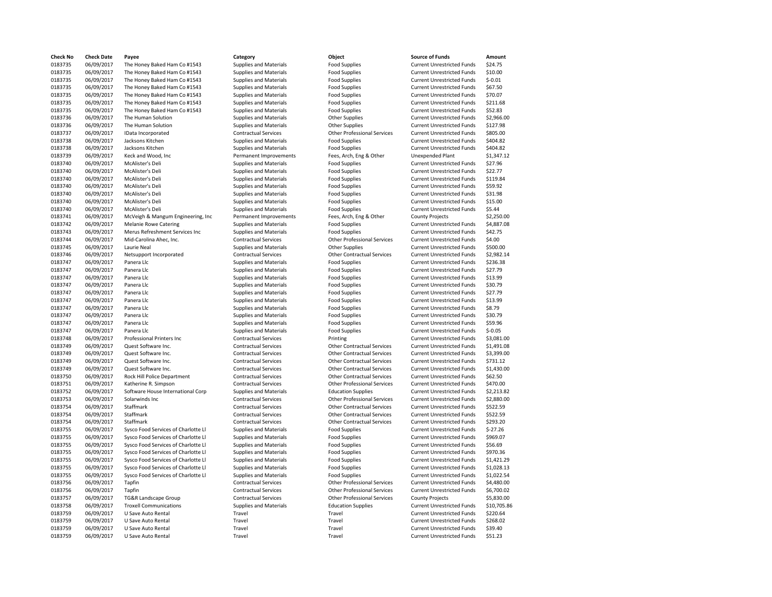| <b>Check No</b> | <b>Check Date</b> | Payee                               |
|-----------------|-------------------|-------------------------------------|
| 0183735         | 06/09/2017        | The Honey Baked Ham Co #1543        |
| 0183735         | 06/09/2017        | The Honey Baked Ham Co #1543        |
| 0183735         | 06/09/2017        | The Honey Baked Ham Co #1543        |
| 0183735         | 06/09/2017        | The Honey Baked Ham Co #1543        |
| 0183735         | 06/09/2017        | The Honey Baked Ham Co #1543        |
| 0183735         | 06/09/2017        | The Honey Baked Ham Co #1543        |
| 0183735         | 06/09/2017        | The Honey Baked Ham Co #1543        |
| 0183736         | 06/09/2017        | The Human Solution                  |
| 0183736         | 06/09/2017        | The Human Solution                  |
| 0183737         | 06/09/2017        | IData Incorporated                  |
| 0183738         | 06/09/2017        | Jacksons Kitchen                    |
| 0183738         | 06/09/2017        | Jacksons Kitchen                    |
| 0183739         | 06/09/2017        | Keck and Wood, Inc                  |
| 0183740         | 06/09/2017        | McAlister's Deli                    |
| 0183740         | 06/09/2017        | McAlister's Deli                    |
| 0183740         | 06/09/2017        | McAlister's Deli                    |
| 0183740         | 06/09/2017        | McAlister's Deli                    |
| 0183740         | 06/09/2017        | McAlister's Deli                    |
| 0183740         | 06/09/2017        | McAlister's Deli                    |
| 0183740         | 06/09/2017        | McAlister's Deli                    |
| 0183741         | 06/09/2017        | McVeigh & Mangum Engineering, Inc   |
| 0183742         | 06/09/2017        | Melanie Rowe Catering               |
| 0183743         | 06/09/2017        | Merus Refreshment Services Inc      |
| 0183744         | 06/09/2017        | Mid-Carolina Ahec, Inc.             |
| 0183745         | 06/09/2017        | Laurie Neal                         |
| 0183746         | 06/09/2017        | Netsupport Incorporated             |
| 0183747         | 06/09/2017        | Panera Llc                          |
| 0183747         | 06/09/2017        | Panera Llc                          |
| 0183747         | 06/09/2017        | Panera Llc                          |
| 0183747         | 06/09/2017        | Panera Llc                          |
| 0183747         | 06/09/2017        | Panera Llc                          |
| 0183747         | 06/09/2017        | Panera Llc                          |
| 0183747         | 06/09/2017        | Panera Llc                          |
| 0183747         | 06/09/2017        | Panera Llc                          |
| 0183747         | 06/09/2017        | Panera Llc                          |
| 0183747         | 06/09/2017        | Panera Llc                          |
| 0183748         | 06/09/2017        | Professional Printers Inc           |
| 0183749         | 06/09/2017        | Quest Software Inc.                 |
| 0183749         | 06/09/2017        | Quest Software Inc.                 |
| 0183749         | 06/09/2017        | Quest Software Inc.                 |
| 0183749         | 06/09/2017        | Quest Software Inc.                 |
| 0183750         | 06/09/2017        | Rock Hill Police Department         |
| 0183751         | 06/09/2017        | Katherine R. Simpson                |
| 0183752         | 06/09/2017        | Software House International Corp   |
| 0183753         | 06/09/2017        | Solarwinds Inc                      |
| 0183754         | 06/09/2017        | Staffmark                           |
| 0183754         | 06/09/2017        | Staffmark                           |
| 0183754         | 06/09/2017        | Staffmark                           |
| 0183755         | 06/09/2017        | Sysco Food Services of Charlotte Ll |
| 0183755         | 06/09/2017        | Sysco Food Services of Charlotte Ll |
| 0183755         | 06/09/2017        | Sysco Food Services of Charlotte Ll |
| 0183755         | 06/09/2017        | Sysco Food Services of Charlotte Ll |
| 0183755         | 06/09/2017        | Sysco Food Services of Charlotte Ll |
| 0183755         | 06/09/2017        | Sysco Food Services of Charlotte Ll |
| 0183755         | 06/09/2017        | Sysco Food Services of Charlotte Ll |
| 0183756         | 06/09/2017        | Tapfin                              |
| 0183756         | 06/09/2017        | Tapfin                              |
| 0183757         | 06/09/2017        | TG&R Landscape Group                |
| 0183758         | 06/09/2017        | <b>Troxell Communications</b>       |
| 0183759         | 06/09/2017        | U Save Auto Rental                  |
| 0183759         | 06/09/2017        | U Save Auto Rental                  |
| 0183759         | 06/09/2017        | U Save Auto Rental                  |
| 0183759         | 06/09/2017        | U Save Auto Rental                  |
|                 |                   |                                     |

**Check No Check Date Payee Category Object Source of Funds Amount** Supplies and Materials **1.1 The Honey Baked Ham Confort Conform** Current Unrestricted Funds \$24.75<br>10.00 Supplies and Materials **Food Supplies** Current Unrestricted Funds Food Supplies **Current Unrestricted Funds** \$10.00 0183735 06/09/2017 The Honey Baked Ham Co #1543 Supplies and Materials Food Supplies Current Unrestricted Funds \$-0.01 Supplies and Materials **Food Supplies 1543** Current Unrestricted Funds 567.50 0183735 06/09/2017 The Honey Baked Ham Co #1543 Supplies and Materials Food Supplies Current Unrestricted Funds \$70.07 0183735 06/09/2017 The Honey Baked Ham Co #1543 Supplies and Materials Food Supplies Current Unrestricted Funds \$211.68 Supplies and Materials **Food Supplies** Current Unrestricted Funds 52.83<br>
Supplies and Materials **Current Unter Supplies** Current Unrestricted Funds 52.966. 0183736 06/09/2017 The Human Solution Supplies and Materials Other Supplies Current Unrestricted Funds \$2,966.00 0183736 06/09/2017 The Human Solution Supplies and Materials Other Supplies Current Unrestricted Funds \$127.98 0183737 06/09/2017 IData Incorporated Contractual Services Other Professional Services Current Unrestricted Funds \$805.00 Supplies and Materials **Food Supplies 1996** Current Unrestricted Funds 5404.82 0183738 06/09/2017 Jacksons Kitchen Supplies and Materials Food Supplies Current Unrestricted Funds \$404.82 Permanent Improvements Fees, Arch, Eng & Other Unexpended Plant \$1,347.12 0183740 06/09/2017 McAlister's Deli Supplies and Materials Food Supplies Current Unrestricted Funds \$27.96 0183740 06/09/2017 McAlister's Deli Supplies and Materials Food Supplies Current Unrestricted Funds \$22.77 0183740 06/09/2017 McAlister's Deli Supplies and Materials Food Supplies Current Unrestricted Funds \$119.84 0183740 06/09/2017 McAlister's Deli Supplies and Materials Food Supplies Current Unrestricted Funds \$59.92 Supplies and Materials **1.2017 Materials Food Supplies** Current Unrestricted Funds \$31.98<br>Supplies and Materials **Food Supplies** Current Unrestricted Funds \$15.00 0183740 06/09/2017 McAlister's Deli Supplies and Materials Food Supplies Current Unrestricted Funds \$15.00 Supplies and Materials **618** Food Supplies **Current Unrestricted Funds** 55.44 Permanent Improvements Fees, Arch, Eng & Other County Projects \$2,250.00 0183742 06/09/2017 Melanie Rowe Catering Supplies and Materials Food Supplies Current Unrestricted Funds \$4,887.08 Supplies and Materials **Food Supplies 1.5 Current Unrestricted Funds** 542.75 Ontractual Services **1.4.00**<br>
Supplies and Materials Current Unrestricted Funds 5500.<br>
Other Supplies **Current Unrestricted Funds 5500.** Other Supplies **Current Unrestricted Funds** \$500.00 0183746 06/09/2017 Netsupport Incorporated Contractual Services Other Contractual Services Current Unrestricted Funds \$2,982.14 Supplies and Materials **Food Supplies Accord Supplies** Current Unrestricted Funds \$236.38 0183747 06/09/2017 Panera Llc Supplies and Materials Food Supplies Current Unrestricted Funds \$27.79 Supplies and Materials **Food Supplies and Materials Food Supplies** Current Unrestricted Funds \$13.99<br>Current Unrestricted Funds \$30.79 0183747 06/09/2017 Panera Llc Supplies and Materials Food Supplies Current Unrestricted Funds \$30.79 0183747 06/09/2017 Panera Llc Supplies and Materials Food Supplies Current Unrestricted Funds \$27.79 0183747 06/09/2017 Panera Llc Supplies and Materials Food Supplies Current Unrestricted Funds \$13.99 0183747 06/09/2017 Panera Llc Supplies and Materials Food Supplies Current Unrestricted Funds \$8.79 0183747 06/09/2017 Panera Llc Supplies and Materials Food Supplies Current Unrestricted Funds \$30.79 0183747 06/09/2017 Panera Llc Supplies and Materials Food Supplies Current Unrestricted Funds \$59.96 Supplies and Materials **1.2017 Food Supplies 1.4** Current Unrestricted Funds 5-0.05<br>Contractual Services **Printing 1.4 Current Unrestricted Funds** 53,081 Contractual Services **1.2017 Printing Current Unrestricted Funds** 53,081.00 0183749 06/09/2017 Quest Software Inc. Contractual Services Other Contractual Services Current Unrestricted Funds \$1,491.08 0183749 06/09/2017 Quest Software Inc. Contractual Services Other Contractual Services Current Unrestricted Funds \$3,399.00 Contractual Services Other Contractual Services Current Unrestricted Funds \$731.12 0183749 06/09/2017 Quest Software Inc. Contractual Services Other Contractual Services Current Unrestricted Funds \$1,430.00 0183750 06/09/2017 Rock Hill Police Department Contractual Services Other Contractual Services Current Unrestricted Funds \$62.50 0183751 06/09/2017 Katherine R. Simpson Contractual Services Other Professional Services Current Unrestricted Funds \$470.00 0183752 06/09/2017 Software House International Corp Supplies and Materials Education Supplies Current Unrestricted Funds \$2,213.82 Contractual Services **1898 Other Professional Services** Current Unrestricted Funds \$2,880.00 0183754 06/09/2017 Staffmark Contractual Services Other Contractual Services Current Unrestricted Funds \$522.59 0183754 06/09/2017 Staffmark Contractual Services Other Contractual Services Current Unrestricted Funds \$522.59 0183754 06/09/2017 Staffmark Contractual Services Other Contractual Services Current Unrestricted Funds \$293.20 Supplies and Materials **Supplies of Charlotte Contains Container** Current Unrestricted Funds 5-27.26 Supplies and Materials **Supplies of Charlotte Current Current Unrestricted Funds \$969.07** Supplies Current Unrestricted Funds \$969.07 Supplies and Materials **Supplies of Current Unrestricted Funds** 556.69 Supplies and Materials **Supplies of Charlotte Luman** Food Supplies **Current Unrestricted Funds \$970.36** 0183755 06/09/2017 Sysco Food Services of Charlotte Ll Supplies and Materials Food Supplies Current Unrestricted Funds \$1,421.29 Supplies and Materials **Supplies** of Current Unrestricted Funds Food Supplies Current Unrestricted Funds 51,028.13 Supplies and Materials **Supplies** of Current Unrestricted Funds \$1,022.54 0183756 06/09/2017 Tapfin Contractual Services Other Professional Services Current Unrestricted Funds \$4,480.00 0183756 06/09/2017 Tapfin Contractual Services Other Professional Services Current Unrestricted Funds \$6,700.02 0183757 06/09/2017 TG&R Landscape Group Contractual Services Other Professional Services County Projects \$5,830.00 0183758 06/09/2017 Troxell Communications Supplies and Materials Education Supplies Current Unrestricted Funds \$10,705.86 Travel **1238** Travel Travel Travel Current Unrestricted Funds \$220.64 Travel Travel Travel Travel Current Unrestricted Funds \$268.02 Travel **Travel** Travel Travel Current Unrestricted Funds \$39.40 Travel **1287** 1788 1789 1789 1789 1892 1893 1894 1894 1894 1894 1894 1894 1894 1895 1896 1897 1898 1898 1899 189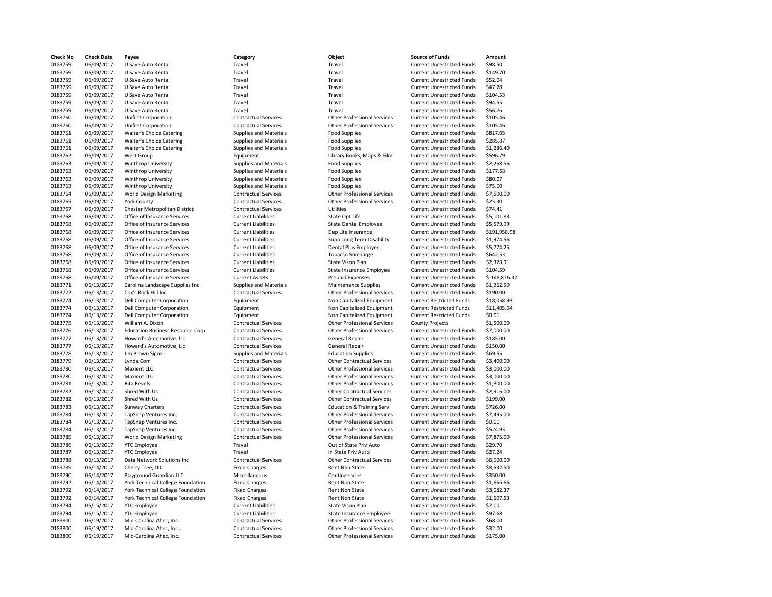| Check No | <b>Check Date</b> | Payee                                 |
|----------|-------------------|---------------------------------------|
| 0183759  | 06/09/2017        | U Save Auto Rental                    |
| 0183759  | 06/09/2017        | U Save Auto Rental                    |
| 0183759  | 06/09/2017        | U Save Auto Rental                    |
| 0183759  | 06/09/2017        | U Save Auto Rental                    |
| 0183759  | 06/09/2017        | U Save Auto Rental                    |
| 0183759  | 06/09/2017        | U Save Auto Rental                    |
| 0183759  | 06/09/2017        | U Save Auto Rental                    |
| 0183760  | 06/09/2017        | <b>Unifirst Corporation</b>           |
| 0183760  | 06/09/2017        | <b>Unifirst Corporation</b>           |
| 0183761  | 06/09/2017        | Waiter's Choice Catering              |
| 0183761  | 06/09/2017        | <b>Waiter's Choice Catering</b>       |
| 0183761  | 06/09/2017        | Waiter's Choice Catering              |
| 0183762  | 06/09/2017        | West Group                            |
| 0183763  | 06/09/2017        | Winthrop University                   |
| 0183763  | 06/09/2017        | Winthrop University                   |
| 0183763  | 06/09/2017        | Winthrop University                   |
| 0183763  | 06/09/2017        | Winthrop University                   |
| 0183764  | 06/09/2017        | <b>World Design Marketing</b>         |
| 0183765  | 06/09/2017        | <b>York County</b>                    |
| 0183767  | 06/09/2017        | Chester Metropolitan District         |
| 0183768  | 06/09/2017        | Office of Insurance Services          |
| 0183768  | 06/09/2017        | Office of Insurance Services          |
| 0183768  | 06/09/2017        | Office of Insurance Services          |
| 0183768  | 06/09/2017        | Office of Insurance Services          |
| 0183768  | 06/09/2017        | Office of Insurance Services          |
| 0183768  | 06/09/2017        | Office of Insurance Services          |
| 0183768  | 06/09/2017        | Office of Insurance Services          |
| 0183768  | 06/09/2017        | Office of Insurance Services          |
| 0183768  | 06/09/2017        | Office of Insurance Services          |
| 0183771  | 06/13/2017        | Carolina Landscape Supplies Inc       |
| 0183772  | 06/13/2017        | Cox's Rock Hill Inc                   |
| 0183774  | 06/13/2017        | <b>Dell Computer Corporation</b>      |
| 0183774  | 06/13/2017        | Dell Computer Corporation             |
| 0183774  | 06/13/2017        | <b>Dell Computer Corporation</b>      |
| 0183775  | 06/13/2017        | William A. Dixon                      |
| 0183776  | 06/13/2017        | <b>Education Business Resource Co</b> |
| 0183777  | 06/13/2017        | Howard's Automotive, Llc              |
| 0183777  | 06/13/2017        | Howard's Automotive, Llc              |
| 0183778  | 06/13/2017        | Jim Brown Signs                       |
| 0183779  | 06/13/2017        | Lynda.Com                             |
| 0183780  | 06/13/2017        | Maxient LLC                           |
| 0183780  | 06/13/2017        | <b>Maxient LLC</b>                    |
| 0183781  | 06/13/2017        | <b>Rita Revels</b>                    |
| 0183782  | 06/13/2017        | Shred With Us                         |
| 0183782  | 06/13/2017        | Shred With Us                         |
| 0183783  | 06/13/2017        | Sunway Charters                       |
| 0183784  | 06/13/2017        | TapSnap Ventures Inc.                 |
| 0183784  | 06/13/2017        | TapSnap Ventures Inc.                 |
| 0183784  | 06/13/2017        | TapSnap Ventures Inc.                 |
| 0183785  | 06/13/2017        | <b>World Design Marketing</b>         |
| 0183786  | 06/13/2017        | <b>YTC Employee</b>                   |
| 0183787  | 06/13/2017        | <b>YTC Employee</b>                   |
| 0183788  | 06/13/2017        | Data Network Solutions Inc            |
| 0183789  | 06/14/2017        | Cherry Tree, LLC                      |
| 0183790  | 06/14/2017        | Playground Guardian LLC               |
| 0183792  | 06/14/2017        | York Technical College Foundati       |
| 0183792  | 06/14/2017        | York Technical College Foundati       |
| 0183792  | 06/14/2017        | York Technical College Foundati       |
| 0183794  | 06/15/2017        | <b>YTC Employee</b>                   |
| 0183794  | 06/15/2017        | <b>YTC Employee</b>                   |
| 0183800  | 06/19/2017        | Mid-Carolina Ahec, Inc.               |
| 0183800  | 06/19/2017        | Mid-Carolina Ahec, Inc.               |
| 0183800  | 06/19/2017        | Mid-Carolina Ahec, Inc.               |

| <b>Check No</b>    | <b>Check Date</b>        | Payee                                      | Category                              | Object                                                       | <b>Source of Funds</b>                                                 | Amount                 |
|--------------------|--------------------------|--------------------------------------------|---------------------------------------|--------------------------------------------------------------|------------------------------------------------------------------------|------------------------|
| 0183759            | 06/09/2017               | U Save Auto Rental                         | Travel                                | Travel                                                       | <b>Current Unrestricted Funds</b>                                      | \$98.50                |
| 0183759            | 06/09/2017               | U Save Auto Rental                         | Travel                                | Travel                                                       | <b>Current Unrestricted Funds</b>                                      | \$149.70               |
| 0183759            | 06/09/2017               | U Save Auto Rental                         | Travel                                | Travel                                                       | <b>Current Unrestricted Funds</b>                                      | \$52.04                |
| 0183759            | 06/09/2017               | U Save Auto Rental                         | Travel                                | Travel                                                       | <b>Current Unrestricted Funds</b>                                      | \$47.28                |
| 0183759            | 06/09/2017               | U Save Auto Rental                         | Travel                                | Travel                                                       | <b>Current Unrestricted Funds</b>                                      | \$104.53               |
| 0183759            | 06/09/2017               | <b>U Save Auto Rental</b>                  | Travel                                | Travel                                                       | <b>Current Unrestricted Funds</b>                                      | \$94.55                |
| 0183759            | 06/09/2017               | U Save Auto Rental                         | Travel                                | Travel                                                       | <b>Current Unrestricted Funds</b>                                      | \$56.76                |
| 0183760            | 06/09/2017               | <b>Unifirst Corporation</b>                | <b>Contractual Services</b>           | <b>Other Professional Services</b>                           | <b>Current Unrestricted Funds</b>                                      | \$105.46               |
| 0183760            | 06/09/2017               | <b>Unifirst Corporation</b>                | <b>Contractual Services</b>           | <b>Other Professional Services</b>                           | <b>Current Unrestricted Funds</b>                                      | \$105.46               |
| 0183761            | 06/09/2017               | Waiter's Choice Catering                   | Supplies and Materials                | <b>Food Supplies</b>                                         | <b>Current Unrestricted Funds</b>                                      | \$817.05               |
| 0183761            | 06/09/2017               | Waiter's Choice Catering                   | <b>Supplies and Materials</b>         | <b>Food Supplies</b>                                         | <b>Current Unrestricted Funds</b>                                      | \$285.87               |
| 0183761            | 06/09/2017               | Waiter's Choice Catering                   | <b>Supplies and Materials</b>         | <b>Food Supplies</b>                                         | <b>Current Unrestricted Funds</b>                                      | \$1,286.40             |
| 0183762            | 06/09/2017               | West Group                                 | Equipment                             | Library Books, Maps & Film                                   | <b>Current Unrestricted Funds</b>                                      | \$596.79               |
| 0183763            | 06/09/2017               | Winthrop University                        | <b>Supplies and Materials</b>         | <b>Food Supplies</b>                                         | <b>Current Unrestricted Funds</b>                                      | \$2,268.56             |
| 0183763            | 06/09/2017               | Winthrop University                        | Supplies and Materials                | <b>Food Supplies</b>                                         | <b>Current Unrestricted Funds</b>                                      | \$177.68               |
| 0183763            | 06/09/2017               | Winthrop University                        | <b>Supplies and Materials</b>         | <b>Food Supplies</b>                                         | <b>Current Unrestricted Funds</b>                                      | \$80.07                |
| 0183763            | 06/09/2017               | Winthrop University                        | <b>Supplies and Materials</b>         | <b>Food Supplies</b>                                         | <b>Current Unrestricted Funds</b>                                      | \$75.00                |
| 0183764            | 06/09/2017               | <b>World Design Marketing</b>              | <b>Contractual Services</b>           | <b>Other Professional Services</b>                           | <b>Current Unrestricted Funds</b>                                      | \$7,500.00             |
| 0183765            | 06/09/2017               | <b>York County</b>                         | <b>Contractual Services</b>           | <b>Other Professional Services</b>                           | <b>Current Unrestricted Funds</b>                                      | \$25.30                |
| 0183767            | 06/09/2017               | Chester Metropolitan District              | <b>Contractual Services</b>           | Utilities                                                    | <b>Current Unrestricted Funds</b>                                      | \$74.41                |
| 0183768            | 06/09/2017               | Office of Insurance Services               | <b>Current Liabilities</b>            | State Opt Life                                               | <b>Current Unrestricted Funds</b>                                      | \$5,101.83             |
| 0183768            | 06/09/2017               | Office of Insurance Services               | <b>Current Liabilities</b>            | <b>State Dental Employee</b>                                 | <b>Current Unrestricted Funds</b>                                      | \$5,579.99             |
| 0183768            | 06/09/2017               | Office of Insurance Services               | <b>Current Liabilities</b>            | Dep Life Insurance                                           | <b>Current Unrestricted Funds</b>                                      | \$191,958.98           |
| 0183768            | 06/09/2017               | Office of Insurance Services               | <b>Current Liabilities</b>            | Supp Long Term Disability                                    | <b>Current Unrestricted Funds</b>                                      | \$1,974.56             |
| 0183768            | 06/09/2017               | Office of Insurance Services               | <b>Current Liabilities</b>            | Dental Plus Employee                                         | <b>Current Unrestricted Funds</b>                                      | \$5,774.25             |
| 0183768            | 06/09/2017               | Office of Insurance Services               | <b>Current Liabilities</b>            | <b>Tobacco Surcharge</b>                                     | <b>Current Unrestricted Funds</b>                                      | \$642.53               |
| 0183768            | 06/09/2017               | Office of Insurance Services               | <b>Current Liabilities</b>            | State Vison Plan                                             | <b>Current Unrestricted Funds</b>                                      | \$2,328.91             |
| 0183768            | 06/09/2017               | Office of Insurance Services               | <b>Current Liabilities</b>            | State Insurance Employee                                     | <b>Current Unrestricted Funds</b>                                      | \$104.59               |
| 0183768            | 06/09/2017               | Office of Insurance Services               | <b>Current Assets</b>                 | <b>Prepaid Expenses</b>                                      | <b>Current Unrestricted Funds</b>                                      | \$-148,876.32          |
| 0183771            | 06/13/2017               | Carolina Landscape Supplies Inc.           | <b>Supplies and Materials</b>         | <b>Maintenance Supplies</b>                                  | <b>Current Unrestricted Funds</b>                                      | \$1,262.50             |
| 0183772            | 06/13/2017               | Cox's Rock Hill Inc                        | <b>Contractual Services</b>           | <b>Other Professional Services</b>                           | <b>Current Unrestricted Funds</b>                                      | \$190.00               |
| 0183774            | 06/13/2017               | Dell Computer Corporation                  | Equipment                             | Non Capitalized Equipment                                    | <b>Current Restricted Funds</b>                                        | \$18,058.93            |
| 0183774            | 06/13/2017               | Dell Computer Corporation                  | Equipment                             | Non Capitalized Equipment                                    | <b>Current Restricted Funds</b>                                        | \$11,405.64            |
| 0183774            | 06/13/2017               | <b>Dell Computer Corporation</b>           | Equipment                             | Non Capitalized Equipment                                    | <b>Current Restricted Funds</b>                                        | \$0.01                 |
| 0183775            | 06/13/2017               | William A. Dixon                           | <b>Contractual Services</b>           | <b>Other Professional Services</b>                           | <b>County Projects</b>                                                 | \$1,500.00             |
| 0183776            | 06/13/2017               | Education Business Resource Corp.          | <b>Contractual Services</b>           | <b>Other Professional Services</b>                           | <b>Current Unrestricted Funds</b>                                      | \$7,000.00             |
| 0183777            | 06/13/2017               | Howard's Automotive, Llc                   | <b>Contractual Services</b>           | <b>General Repair</b>                                        | <b>Current Unrestricted Funds</b>                                      | \$185.00               |
| 0183777            | 06/13/2017               | Howard's Automotive, Llc                   | <b>Contractual Services</b>           | <b>General Repair</b>                                        | <b>Current Unrestricted Funds</b>                                      | \$150.00               |
| 0183778            | 06/13/2017               | Jim Brown Signs                            | <b>Supplies and Materials</b>         | <b>Education Supplies</b>                                    | <b>Current Unrestricted Funds</b>                                      | \$69.55                |
| 0183779            | 06/13/2017               | Lynda.Com                                  | <b>Contractual Services</b>           | <b>Other Contractual Services</b>                            | <b>Current Unrestricted Funds</b>                                      | \$3,400.00             |
| 0183780            | 06/13/2017               | <b>Maxient LLC</b>                         | <b>Contractual Services</b>           | <b>Other Professional Services</b>                           | <b>Current Unrestricted Funds</b>                                      | \$3,000.00             |
| 0183780            | 06/13/2017               | <b>Maxient LLC</b>                         | <b>Contractual Services</b>           | <b>Other Professional Services</b>                           | <b>Current Unrestricted Funds</b>                                      | \$3,000.00             |
| 0183781            | 06/13/2017               | <b>Rita Revels</b>                         | <b>Contractual Services</b>           | <b>Other Professional Services</b>                           | <b>Current Unrestricted Funds</b>                                      | \$1,800.00             |
| 0183782            | 06/13/2017<br>06/13/2017 | Shred With Us<br>Shred With Us             | <b>Contractual Services</b>           | <b>Other Contractual Services</b>                            | <b>Current Unrestricted Funds</b>                                      | \$2,916.00<br>\$199.00 |
| 0183782<br>0183783 |                          |                                            | <b>Contractual Services</b>           | <b>Other Contractual Services</b>                            | <b>Current Unrestricted Funds</b>                                      | \$726.00               |
| 0183784            | 06/13/2017               | Sunway Charters                            | <b>Contractual Services</b>           | <b>Education &amp; Training Serv</b>                         | <b>Current Unrestricted Funds</b>                                      | \$7,495.00             |
|                    | 06/13/2017               | TapSnap Ventures Inc.                      | <b>Contractual Services</b>           | <b>Other Professional Services</b>                           | <b>Current Unrestricted Funds</b>                                      |                        |
| 0183784            | 06/13/2017               | TapSnap Ventures Inc.                      | <b>Contractual Services</b>           | <b>Other Professional Services</b>                           | <b>Current Unrestricted Funds</b>                                      | \$0.00                 |
| 0183784            | 06/13/2017               | TapSnap Ventures Inc.                      | <b>Contractual Services</b>           | <b>Other Professional Services</b>                           | <b>Current Unrestricted Funds</b>                                      | \$524.93               |
| 0183785<br>0183786 | 06/13/2017<br>06/13/2017 | World Design Marketing                     | <b>Contractual Services</b><br>Travel | <b>Other Professional Services</b><br>Out of State Priv Auto | <b>Current Unrestricted Funds</b><br><b>Current Unrestricted Funds</b> | \$7,875.00<br>\$29.70  |
| 0183787            | 06/13/2017               | <b>YTC</b> Employee<br><b>YTC Employee</b> | Travel                                | In State Priv Auto                                           | <b>Current Unrestricted Funds</b>                                      | \$27.24                |
| 0183788            | 06/13/2017               | Data Network Solutions Inc                 | <b>Contractual Services</b>           |                                                              |                                                                        | \$6,000.00             |
| 0183789            | 06/14/2017               | Cherry Tree, LLC                           | <b>Fixed Charges</b>                  | <b>Other Contractual Services</b>                            | <b>Current Unrestricted Funds</b><br><b>Current Unrestricted Funds</b> | \$8,532.50             |
| 0183790            | 06/14/2017               | Playground Guardian LLC                    | Miscellaneous                         | Rent Non State<br>Contingencies                              | <b>Current Unrestricted Funds</b>                                      | \$350.00               |
| 0183792            | 06/14/2017               | York Technical College Foundation          | <b>Fixed Charges</b>                  | Rent Non State                                               | <b>Current Unrestricted Funds</b>                                      | \$1,666.66             |
| 0183792            | 06/14/2017               | York Technical College Foundation          | <b>Fixed Charges</b>                  | <b>Rent Non State</b>                                        | <b>Current Unrestricted Funds</b>                                      | \$3,082.37             |
| 0183792            | 06/14/2017               | York Technical College Foundation          | <b>Fixed Charges</b>                  | Rent Non State                                               | <b>Current Unrestricted Funds</b>                                      | \$1,607.53             |
| 0183794            | 06/15/2017               | <b>YTC Employee</b>                        | <b>Current Liabilities</b>            | State Vison Plan                                             | <b>Current Unrestricted Funds</b>                                      | \$7.00                 |
| 0183794            | 06/15/2017               | <b>YTC Employee</b>                        | <b>Current Liabilities</b>            | State Insurance Employee                                     | <b>Current Unrestricted Funds</b>                                      | \$97.68                |
| 0183800            | 06/19/2017               | Mid-Carolina Ahec, Inc.                    | <b>Contractual Services</b>           | <b>Other Professional Services</b>                           | <b>Current Unrestricted Funds</b>                                      | \$68.00                |
| 0183800            | 06/19/2017               | Mid-Carolina Ahec, Inc.                    | <b>Contractual Services</b>           | <b>Other Professional Services</b>                           | <b>Current Unrestricted Funds</b>                                      | \$32.00                |
| 0183800            | 06/19/2017               | Mid-Carolina Ahec, Inc.                    | <b>Contractual Services</b>           | <b>Other Professional Services</b>                           | <b>Current Unrestricted Funds</b>                                      | \$175.00               |
|                    |                          |                                            |                                       |                                                              |                                                                        |                        |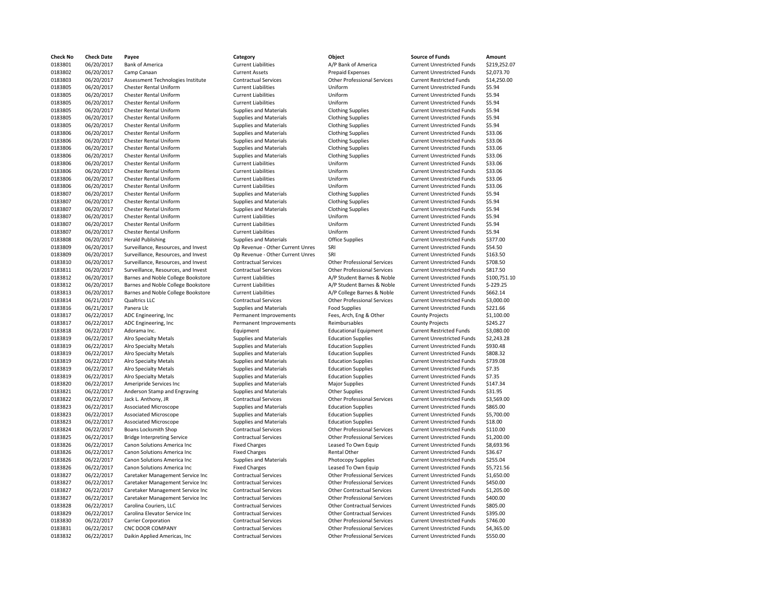| Check No | <b>Check Date</b> | Payee                               | Category                         | Object                             | <b>Source of Funds</b>            | Amount       |
|----------|-------------------|-------------------------------------|----------------------------------|------------------------------------|-----------------------------------|--------------|
| 0183801  | 06/20/2017        | <b>Bank of America</b>              | <b>Current Liabilities</b>       | A/P Bank of America                | <b>Current Unrestricted Funds</b> | \$219,252.07 |
| 0183802  | 06/20/2017        | Camp Canaan                         | <b>Current Assets</b>            | <b>Prepaid Expenses</b>            | <b>Current Unrestricted Funds</b> | \$2,073.70   |
| 0183803  | 06/20/2017        | Assessment Technologies Institute   | <b>Contractual Services</b>      | <b>Other Professional Services</b> | <b>Current Restricted Funds</b>   | \$14,250.00  |
| 0183805  | 06/20/2017        | Chester Rental Uniform              | <b>Current Liabilities</b>       | Uniform                            | <b>Current Unrestricted Funds</b> | \$5.94       |
| 0183805  | 06/20/2017        | Chester Rental Uniform              | <b>Current Liabilities</b>       | Uniform                            | <b>Current Unrestricted Funds</b> | \$5.94       |
| 0183805  | 06/20/2017        | <b>Chester Rental Uniform</b>       | <b>Current Liabilities</b>       | Uniform                            | <b>Current Unrestricted Funds</b> | \$5.94       |
| 0183805  | 06/20/2017        | Chester Rental Uniform              | Supplies and Materials           | <b>Clothing Supplies</b>           | <b>Current Unrestricted Funds</b> | \$5.94       |
| 0183805  | 06/20/2017        | Chester Rental Uniform              | <b>Supplies and Materials</b>    | <b>Clothing Supplies</b>           | <b>Current Unrestricted Funds</b> | \$5.94       |
| 0183805  | 06/20/2017        | Chester Rental Uniform              | Supplies and Materials           | <b>Clothing Supplies</b>           | <b>Current Unrestricted Funds</b> | \$5.94       |
| 0183806  | 06/20/2017        | Chester Rental Uniform              | Supplies and Materials           | <b>Clothing Supplies</b>           | <b>Current Unrestricted Funds</b> | \$33.06      |
| 0183806  | 06/20/2017        | Chester Rental Uniform              | <b>Supplies and Materials</b>    | <b>Clothing Supplies</b>           | <b>Current Unrestricted Funds</b> | \$33.06      |
| 0183806  | 06/20/2017        | Chester Rental Uniform              | Supplies and Materials           | <b>Clothing Supplies</b>           | <b>Current Unrestricted Funds</b> | \$33.06      |
| 0183806  | 06/20/2017        | Chester Rental Uniform              | Supplies and Materials           | <b>Clothing Supplies</b>           | <b>Current Unrestricted Funds</b> | \$33.06      |
| 0183806  | 06/20/2017        | Chester Rental Uniform              | <b>Current Liabilities</b>       | Uniform                            | <b>Current Unrestricted Funds</b> | \$33.06      |
| 0183806  | 06/20/2017        | Chester Rental Uniform              | <b>Current Liabilities</b>       | Uniform                            | <b>Current Unrestricted Funds</b> | \$33.06      |
| 0183806  | 06/20/2017        | Chester Rental Uniform              | <b>Current Liabilities</b>       | Uniform                            | <b>Current Unrestricted Funds</b> | \$33.06      |
| 0183806  | 06/20/2017        | Chester Rental Uniform              | <b>Current Liabilities</b>       | Uniform                            | <b>Current Unrestricted Funds</b> | \$33.06      |
| 0183807  | 06/20/2017        | Chester Rental Uniform              | <b>Supplies and Materials</b>    | <b>Clothing Supplies</b>           | <b>Current Unrestricted Funds</b> | \$5.94       |
| 0183807  | 06/20/2017        | Chester Rental Uniform              | <b>Supplies and Materials</b>    | <b>Clothing Supplies</b>           | <b>Current Unrestricted Funds</b> | \$5.94       |
| 0183807  | 06/20/2017        | Chester Rental Uniform              | <b>Supplies and Materials</b>    | <b>Clothing Supplies</b>           | <b>Current Unrestricted Funds</b> | \$5.94       |
| 0183807  | 06/20/2017        | Chester Rental Uniform              | <b>Current Liabilities</b>       | Uniform                            | <b>Current Unrestricted Funds</b> | \$5.94       |
| 0183807  | 06/20/2017        | Chester Rental Uniform              | <b>Current Liabilities</b>       | Uniform                            | <b>Current Unrestricted Funds</b> | \$5.94       |
| 0183807  | 06/20/2017        | Chester Rental Uniform              | <b>Current Liabilities</b>       | Uniform                            | <b>Current Unrestricted Funds</b> | \$5.94       |
| 0183808  | 06/20/2017        | <b>Herald Publishing</b>            | Supplies and Materials           | Office Supplies                    | <b>Current Unrestricted Funds</b> | \$377.00     |
| 0183809  | 06/20/2017        | Surveillance, Resources, and Invest | Op Revenue - Other Current Unres | SRI                                | <b>Current Unrestricted Funds</b> | \$54.50      |
| 0183809  | 06/20/2017        | Surveillance, Resources, and Invest | Op Revenue - Other Current Unres | SRI                                | <b>Current Unrestricted Funds</b> | \$163.50     |
| 0183810  | 06/20/2017        | Surveillance, Resources, and Invest | <b>Contractual Services</b>      | <b>Other Professional Services</b> | <b>Current Unrestricted Funds</b> | \$708.50     |
| 0183811  | 06/20/2017        | Surveillance, Resources, and Invest | <b>Contractual Services</b>      | <b>Other Professional Services</b> | <b>Current Unrestricted Funds</b> | \$817.50     |
| 0183812  | 06/20/2017        | Barnes and Noble College Bookstore  | <b>Current Liabilities</b>       | A/P Student Barnes & Noble         | <b>Current Unrestricted Funds</b> | \$100,751.10 |
| 0183812  | 06/20/2017        | Barnes and Noble College Bookstore  | <b>Current Liabilities</b>       | A/P Student Barnes & Noble         | <b>Current Unrestricted Funds</b> | $$-229.25$   |
| 0183813  | 06/20/2017        | Barnes and Noble College Bookstore  | <b>Current Liabilities</b>       | A/P College Barnes & Noble         | <b>Current Unrestricted Funds</b> | \$662.14     |
| 0183814  | 06/21/2017        | Qualtrics LLC                       | <b>Contractual Services</b>      | <b>Other Professional Services</b> | <b>Current Unrestricted Funds</b> | \$3,000.00   |
| 0183816  | 06/21/2017        | Panera Llc                          | <b>Supplies and Materials</b>    | <b>Food Supplies</b>               | <b>Current Unrestricted Funds</b> | \$221.66     |
| 0183817  | 06/22/2017        | ADC Engineering, Inc                | Permanent Improvements           | Fees, Arch, Eng & Other            | <b>County Projects</b>            | \$1,100.00   |
| 0183817  | 06/22/2017        | ADC Engineering, Inc.               | Permanent Improvements           | Reimbursables                      | <b>County Projects</b>            | \$245.27     |
| 0183818  | 06/22/2017        | Adorama Inc.                        | Equipment                        | <b>Educational Equipment</b>       | <b>Current Restricted Funds</b>   | \$3,080.00   |
| 0183819  | 06/22/2017        | <b>Alro Specialty Metals</b>        | <b>Supplies and Materials</b>    | <b>Education Supplies</b>          | <b>Current Unrestricted Funds</b> | \$2,243.28   |
| 0183819  | 06/22/2017        | <b>Alro Specialty Metals</b>        | <b>Supplies and Materials</b>    | <b>Education Supplies</b>          | <b>Current Unrestricted Funds</b> | \$930.48     |
| 0183819  | 06/22/2017        | <b>Alro Specialty Metals</b>        | Supplies and Materials           | <b>Education Supplies</b>          | <b>Current Unrestricted Funds</b> | \$808.32     |
| 0183819  | 06/22/2017        | <b>Alro Specialty Metals</b>        | Supplies and Materials           | <b>Education Supplies</b>          | <b>Current Unrestricted Funds</b> | \$739.08     |
| 0183819  | 06/22/2017        | <b>Alro Specialty Metals</b>        | Supplies and Materials           | <b>Education Supplies</b>          | <b>Current Unrestricted Funds</b> | \$7.35       |
| 0183819  | 06/22/2017        | <b>Alro Specialty Metals</b>        | <b>Supplies and Materials</b>    | <b>Education Supplies</b>          | <b>Current Unrestricted Funds</b> | \$7.35       |
| 0183820  | 06/22/2017        | Ameripride Services Inc             | Supplies and Materials           | <b>Major Supplies</b>              | <b>Current Unrestricted Funds</b> | \$147.34     |
| 0183821  | 06/22/2017        | Anderson Stamp and Engraving        | Supplies and Materials           | <b>Other Supplies</b>              | <b>Current Unrestricted Funds</b> | \$31.95      |
| 0183822  | 06/22/2017        | Jack L. Anthony, JR                 | <b>Contractual Services</b>      | <b>Other Professional Services</b> | <b>Current Unrestricted Funds</b> | \$3,569.00   |
| 0183823  | 06/22/2017        | Associated Microscope               | <b>Supplies and Materials</b>    | <b>Education Supplies</b>          | <b>Current Unrestricted Funds</b> | \$865.00     |
| 0183823  | 06/22/2017        | <b>Associated Microscope</b>        | Supplies and Materials           | <b>Education Supplies</b>          | <b>Current Unrestricted Funds</b> | \$5,700.00   |
| 0183823  | 06/22/2017        | <b>Associated Microscope</b>        | Supplies and Materials           | <b>Education Supplies</b>          | <b>Current Unrestricted Funds</b> | \$18.00      |
| 0183824  | 06/22/2017        | Boans Locksmith Shop                | <b>Contractual Services</b>      | <b>Other Professional Services</b> | <b>Current Unrestricted Funds</b> | \$110.00     |
| 0183825  | 06/22/2017        | <b>Bridge Interpreting Service</b>  | <b>Contractual Services</b>      | <b>Other Professional Services</b> | <b>Current Unrestricted Funds</b> | \$1,200.00   |
| 0183826  | 06/22/2017        | Canon Solutions America Inc         | <b>Fixed Charges</b>             | Leased To Own Equip                | <b>Current Unrestricted Funds</b> | \$8,693.96   |
| 0183826  | 06/22/2017        | Canon Solutions America Inc         | <b>Fixed Charges</b>             | Rental Other                       | <b>Current Unrestricted Funds</b> | \$36.67      |
| 0183826  | 06/22/2017        | Canon Solutions America Inc         | <b>Supplies and Materials</b>    | Photocopy Supplies                 | <b>Current Unrestricted Funds</b> | \$255.04     |
| 0183826  | 06/22/2017        | Canon Solutions America Inc         | <b>Fixed Charges</b>             | Leased To Own Equip                | <b>Current Unrestricted Funds</b> | \$5,721.56   |
| 0183827  | 06/22/2017        | Caretaker Management Service Inc    | <b>Contractual Services</b>      | <b>Other Professional Services</b> | <b>Current Unrestricted Funds</b> | \$1,650.00   |
| 0183827  | 06/22/2017        | Caretaker Management Service Inc    | <b>Contractual Services</b>      | <b>Other Professional Services</b> | <b>Current Unrestricted Funds</b> | \$450.00     |
| 0183827  | 06/22/2017        | Caretaker Management Service Inc    | <b>Contractual Services</b>      | <b>Other Contractual Services</b>  | <b>Current Unrestricted Funds</b> | \$1,205.00   |
| 0183827  | 06/22/2017        | Caretaker Management Service Inc    | <b>Contractual Services</b>      | <b>Other Professional Services</b> | <b>Current Unrestricted Funds</b> | \$400.00     |
| 0183828  | 06/22/2017        | Carolina Couriers, LLC              | <b>Contractual Services</b>      | <b>Other Contractual Services</b>  | <b>Current Unrestricted Funds</b> | \$805.00     |
| 0183829  | 06/22/2017        | Carolina Elevator Service Inc       | <b>Contractual Services</b>      | <b>Other Contractual Services</b>  | <b>Current Unrestricted Funds</b> | \$395.00     |
| 0183830  | 06/22/2017        | <b>Carrier Corporation</b>          | <b>Contractual Services</b>      | <b>Other Professional Services</b> | <b>Current Unrestricted Funds</b> | \$746.00     |
| 0183831  | 06/22/2017        | <b>CNC DOOR COMPANY</b>             | <b>Contractual Services</b>      | <b>Other Professional Services</b> | <b>Current Unrestricted Funds</b> | \$4,365.00   |
| 0183832  | 06/22/2017        | Daikin Applied Americas, Inc.       | <b>Contractual Services</b>      | <b>Other Professional Services</b> | <b>Current Unrestricted Funds</b> | \$550.00     |

| 2 L L<br>39<br>. и<br>,,      |
|-------------------------------|
| urrent Liabilities            |
| urrent Assets                 |
| ontractual Services           |
| urrent Liabilities            |
| urrent Liabilities            |
| urrent Liabilities            |
| upplies and Materials         |
| upplies and Materials         |
| upplies and Materials         |
| upplies and Materials         |
| upplies and Materials         |
| upplies and Materials         |
| upplies and Materials         |
| urrent Liabilities            |
| urrent Liabilities            |
| urrent Liabilities            |
| urrent Liabilities            |
|                               |
| upplies and Materials         |
| upplies and Materials         |
| upplies and Materials         |
| urrent Liabilities            |
| urrent Liabilities            |
| urrent Liabilities            |
| upplies and Materials         |
| p Revenue - Other Current Unr |
| p Revenue - Other Current Unr |
| ontractual Services           |
| ontractual Services           |
| urrent Liabilities            |
| urrent Liabilities            |
| urrent Liabilities            |
| ontractual Services           |
| upplies and Materials         |
| ermanent Improvements         |
| ermanent Improvements         |
| quipment                      |
| upplies and Materials         |
| upplies and Materials         |
| upplies and Materials         |
| upplies and Materials         |
| upplies and Materials         |
| upplies and Materials         |
| upplies and Materials         |
| upplies and Materials         |
| ontractual Services           |
| upplies and Materials         |
| upplies and Materials         |
| upplies and Materials         |
| ontractual Services           |
| ontractual Services           |
| xed Charges                   |
| xed Charges                   |
| upplies and Materials         |
| xed Charges                   |
| ontractual Services           |
| ontractual Services           |
| ontractual Services           |
|                               |
| ontractual Services           |
| ontractual Services           |
|                               |
| ontractual Services           |
| ontractual Services           |
| ontractual Services           |
| ontractual Services           |

| <b>Check No</b> | <b>Check Date</b> | Payee                               | Category                         | Object                             | <b>Source of Funds</b>            | Amount     |
|-----------------|-------------------|-------------------------------------|----------------------------------|------------------------------------|-----------------------------------|------------|
| 0183801         | 06/20/2017        | <b>Bank of America</b>              | <b>Current Liabilities</b>       | A/P Bank of America                | <b>Current Unrestricted Funds</b> | \$219,252  |
| 0183802         | 06/20/2017        | Camp Canaan                         | <b>Current Assets</b>            | <b>Prepaid Expenses</b>            | <b>Current Unrestricted Funds</b> | \$2,073.7  |
| 0183803         | 06/20/2017        | Assessment Technologies Institute   | <b>Contractual Services</b>      | <b>Other Professional Services</b> | <b>Current Restricted Funds</b>   | \$14,250.  |
| 0183805         | 06/20/2017        | <b>Chester Rental Uniform</b>       | <b>Current Liabilities</b>       | Uniform                            | <b>Current Unrestricted Funds</b> | \$5.94     |
| 0183805         | 06/20/2017        | Chester Rental Uniform              | <b>Current Liabilities</b>       | Uniform                            | <b>Current Unrestricted Funds</b> | \$5.94     |
| 0183805         | 06/20/2017        | <b>Chester Rental Uniform</b>       | <b>Current Liabilities</b>       | Uniform                            | <b>Current Unrestricted Funds</b> | \$5.94     |
| 0183805         | 06/20/2017        | Chester Rental Uniform              | <b>Supplies and Materials</b>    | <b>Clothing Supplies</b>           | <b>Current Unrestricted Funds</b> | \$5.94     |
| 0183805         | 06/20/2017        | Chester Rental Uniform              | <b>Supplies and Materials</b>    | <b>Clothing Supplies</b>           | <b>Current Unrestricted Funds</b> | \$5.94     |
| 0183805         | 06/20/2017        | <b>Chester Rental Uniform</b>       | Supplies and Materials           | <b>Clothing Supplies</b>           | <b>Current Unrestricted Funds</b> | \$5.94     |
| 0183806         | 06/20/2017        | <b>Chester Rental Uniform</b>       | <b>Supplies and Materials</b>    | <b>Clothing Supplies</b>           | <b>Current Unrestricted Funds</b> | \$33.06    |
| 0183806         | 06/20/2017        | Chester Rental Uniform              | <b>Supplies and Materials</b>    | <b>Clothing Supplies</b>           | <b>Current Unrestricted Funds</b> | \$33.06    |
| 0183806         | 06/20/2017        | <b>Chester Rental Uniform</b>       | Supplies and Materials           | <b>Clothing Supplies</b>           | <b>Current Unrestricted Funds</b> | \$33.06    |
| 0183806         | 06/20/2017        | Chester Rental Uniform              | <b>Supplies and Materials</b>    | <b>Clothing Supplies</b>           | <b>Current Unrestricted Funds</b> | \$33.06    |
| 0183806         | 06/20/2017        | <b>Chester Rental Uniform</b>       | <b>Current Liabilities</b>       | Uniform                            | <b>Current Unrestricted Funds</b> | \$33.06    |
| 0183806         | 06/20/2017        | <b>Chester Rental Uniform</b>       | <b>Current Liabilities</b>       | Uniform                            | <b>Current Unrestricted Funds</b> | \$33.06    |
| 0183806         | 06/20/2017        | <b>Chester Rental Uniform</b>       | <b>Current Liabilities</b>       | Uniform                            | <b>Current Unrestricted Funds</b> | \$33.06    |
|                 |                   |                                     | <b>Current Liabilities</b>       | Uniform                            |                                   |            |
| 0183806         | 06/20/2017        | <b>Chester Rental Uniform</b>       |                                  |                                    | <b>Current Unrestricted Funds</b> | \$33.06    |
| 0183807         | 06/20/2017        | <b>Chester Rental Uniform</b>       | Supplies and Materials           | <b>Clothing Supplies</b>           | <b>Current Unrestricted Funds</b> | \$5.94     |
| 0183807         | 06/20/2017        | <b>Chester Rental Uniform</b>       | <b>Supplies and Materials</b>    | <b>Clothing Supplies</b>           | <b>Current Unrestricted Funds</b> | \$5.94     |
| 0183807         | 06/20/2017        | <b>Chester Rental Uniform</b>       | Supplies and Materials           | <b>Clothing Supplies</b>           | <b>Current Unrestricted Funds</b> | \$5.94     |
| 0183807         | 06/20/2017        | <b>Chester Rental Uniform</b>       | <b>Current Liabilities</b>       | Uniform                            | <b>Current Unrestricted Funds</b> | \$5.94     |
| 0183807         | 06/20/2017        | <b>Chester Rental Uniform</b>       | <b>Current Liabilities</b>       | Uniform                            | <b>Current Unrestricted Funds</b> | \$5.94     |
| 0183807         | 06/20/2017        | <b>Chester Rental Uniform</b>       | <b>Current Liabilities</b>       | Uniform                            | <b>Current Unrestricted Funds</b> | \$5.94     |
| 0183808         | 06/20/2017        | <b>Herald Publishing</b>            | <b>Supplies and Materials</b>    | <b>Office Supplies</b>             | <b>Current Unrestricted Funds</b> | \$377.00   |
| 0183809         | 06/20/2017        | Surveillance, Resources, and Invest | Op Revenue - Other Current Unres | SRI                                | <b>Current Unrestricted Funds</b> | \$54.50    |
| 0183809         | 06/20/2017        | Surveillance, Resources, and Invest | Op Revenue - Other Current Unres | SRI                                | <b>Current Unrestricted Funds</b> | \$163.50   |
| 0183810         | 06/20/2017        | Surveillance, Resources, and Invest | <b>Contractual Services</b>      | <b>Other Professional Services</b> | <b>Current Unrestricted Funds</b> | \$708.50   |
| 0183811         | 06/20/2017        | Surveillance, Resources, and Invest | <b>Contractual Services</b>      | <b>Other Professional Services</b> | <b>Current Unrestricted Funds</b> | \$817.50   |
| 0183812         | 06/20/2017        | Barnes and Noble College Bookstore  | <b>Current Liabilities</b>       | A/P Student Barnes & Noble         | <b>Current Unrestricted Funds</b> | \$100,751  |
| 0183812         | 06/20/2017        | Barnes and Noble College Bookstore  | <b>Current Liabilities</b>       | A/P Student Barnes & Noble         | <b>Current Unrestricted Funds</b> | $$-229.25$ |
| 0183813         | 06/20/2017        | Barnes and Noble College Bookstore  | <b>Current Liabilities</b>       | A/P College Barnes & Noble         | <b>Current Unrestricted Funds</b> | \$662.14   |
| 0183814         | 06/21/2017        | <b>Qualtrics LLC</b>                | <b>Contractual Services</b>      | <b>Other Professional Services</b> | <b>Current Unrestricted Funds</b> | \$3,000.0  |
| 0183816         | 06/21/2017        | Panera Llc                          | Supplies and Materials           | <b>Food Supplies</b>               | <b>Current Unrestricted Funds</b> | \$221.66   |
| 0183817         | 06/22/2017        | ADC Engineering, Inc                | Permanent Improvements           | Fees, Arch, Eng & Other            | <b>County Projects</b>            | \$1,100.0  |
| 0183817         | 06/22/2017        | ADC Engineering, Inc                | Permanent Improvements           | Reimbursables                      | <b>County Projects</b>            | \$245.27   |
| 0183818         | 06/22/2017        | Adorama Inc.                        | Equipment                        | <b>Educational Equipment</b>       | <b>Current Restricted Funds</b>   | \$3,080.0  |
| 0183819         | 06/22/2017        | <b>Alro Specialty Metals</b>        | <b>Supplies and Materials</b>    | <b>Education Supplies</b>          | <b>Current Unrestricted Funds</b> | \$2,243.2  |
| 0183819         | 06/22/2017        | <b>Alro Specialty Metals</b>        | Supplies and Materials           | <b>Education Supplies</b>          | <b>Current Unrestricted Funds</b> | \$930.48   |
| 0183819         | 06/22/2017        | <b>Alro Specialty Metals</b>        | Supplies and Materials           | <b>Education Supplies</b>          | <b>Current Unrestricted Funds</b> | \$808.32   |
| 0183819         | 06/22/2017        | <b>Alro Specialty Metals</b>        | <b>Supplies and Materials</b>    | <b>Education Supplies</b>          | <b>Current Unrestricted Funds</b> | \$739.08   |
| 0183819         | 06/22/2017        | <b>Alro Specialty Metals</b>        | Supplies and Materials           | <b>Education Supplies</b>          | <b>Current Unrestricted Funds</b> | \$7.35     |
| 0183819         | 06/22/2017        | <b>Alro Specialty Metals</b>        | <b>Supplies and Materials</b>    | <b>Education Supplies</b>          | <b>Current Unrestricted Funds</b> | \$7.35     |
| 0183820         | 06/22/2017        | Ameripride Services Inc             | <b>Supplies and Materials</b>    | <b>Major Supplies</b>              | <b>Current Unrestricted Funds</b> | \$147.34   |
| 0183821         | 06/22/2017        | Anderson Stamp and Engraving        | Supplies and Materials           | <b>Other Supplies</b>              | <b>Current Unrestricted Funds</b> | \$31.95    |
| 0183822         | 06/22/2017        | Jack L. Anthony, JR                 | <b>Contractual Services</b>      | <b>Other Professional Services</b> | <b>Current Unrestricted Funds</b> | \$3,569.0  |
| 0183823         | 06/22/2017        | <b>Associated Microscope</b>        | <b>Supplies and Materials</b>    | <b>Education Supplies</b>          | <b>Current Unrestricted Funds</b> | \$865.00   |
| 0183823         | 06/22/2017        | <b>Associated Microscope</b>        | Supplies and Materials           | <b>Education Supplies</b>          | <b>Current Unrestricted Funds</b> | \$5,700.0  |
| 0183823         | 06/22/2017        | <b>Associated Microscope</b>        | <b>Supplies and Materials</b>    | <b>Education Supplies</b>          | <b>Current Unrestricted Funds</b> | \$18.00    |
| 0183824         | 06/22/2017        | Boans Locksmith Shop                | <b>Contractual Services</b>      | <b>Other Professional Services</b> | <b>Current Unrestricted Funds</b> | \$110.00   |
| 0183825         | 06/22/2017        | <b>Bridge Interpreting Service</b>  | <b>Contractual Services</b>      | <b>Other Professional Services</b> | <b>Current Unrestricted Funds</b> | \$1,200.0  |
| 0183826         | 06/22/2017        | Canon Solutions America Inc         | <b>Fixed Charges</b>             | Leased To Own Equip                | <b>Current Unrestricted Funds</b> | \$8,693.9  |
| 0183826         | 06/22/2017        | Canon Solutions America Inc         | <b>Fixed Charges</b>             | Rental Other                       | <b>Current Unrestricted Funds</b> | \$36.67    |
| 0183826         | 06/22/2017        | Canon Solutions America Inc         | Supplies and Materials           | Photocopy Supplies                 | <b>Current Unrestricted Funds</b> | \$255.04   |
| 0183826         | 06/22/2017        | Canon Solutions America Inc         | <b>Fixed Charges</b>             | Leased To Own Equip                | <b>Current Unrestricted Funds</b> | \$5,721.5  |
| 0183827         | 06/22/2017        | Caretaker Management Service Inc    | <b>Contractual Services</b>      | <b>Other Professional Services</b> | <b>Current Unrestricted Funds</b> | \$1,650.0  |
| 0183827         | 06/22/2017        | Caretaker Management Service Inc    | <b>Contractual Services</b>      | <b>Other Professional Services</b> | <b>Current Unrestricted Funds</b> | \$450.00   |
| 0183827         | 06/22/2017        | Caretaker Management Service Inc    | <b>Contractual Services</b>      | <b>Other Contractual Services</b>  | <b>Current Unrestricted Funds</b> | \$1,205.0  |
| 0183827         | 06/22/2017        | Caretaker Management Service Inc    | <b>Contractual Services</b>      | <b>Other Professional Services</b> | <b>Current Unrestricted Funds</b> | \$400.00   |
| 0183828         | 06/22/2017        | Carolina Couriers, LLC              | <b>Contractual Services</b>      | <b>Other Contractual Services</b>  | <b>Current Unrestricted Funds</b> | \$805.00   |
| 0183829         | 06/22/2017        | Carolina Elevator Service Inc       | <b>Contractual Services</b>      | <b>Other Contractual Services</b>  | <b>Current Unrestricted Funds</b> | \$395.00   |
| 0183830         | 06/22/2017        | <b>Carrier Corporation</b>          | <b>Contractual Services</b>      | <b>Other Professional Services</b> | <b>Current Unrestricted Funds</b> | \$746.00   |
| 0183831         | 06/22/2017        | <b>CNC DOOR COMPANY</b>             | <b>Contractual Services</b>      | <b>Other Professional Services</b> | <b>Current Unrestricted Funds</b> | \$4,365.0  |
| 0183832         | 06/22/2017        | Daikin Applied Americas, Inc.       | <b>Contractual Services</b>      | Other Professional Services        | <b>Current Unrestricted Funds</b> | \$550.00   |
|                 |                   |                                     |                                  |                                    |                                   |            |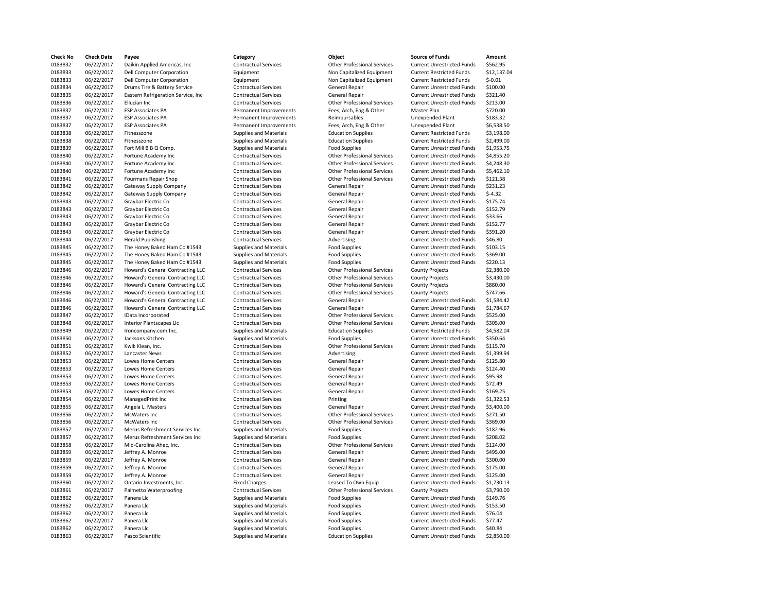| Check No | <b>Check Date</b> | Payee                              | Category                      | Object                             | <b>Source of Funds</b>            | Amour    |
|----------|-------------------|------------------------------------|-------------------------------|------------------------------------|-----------------------------------|----------|
| 0183832  | 06/22/2017        | Daikin Applied Americas, Inc.      | <b>Contractual Services</b>   | <b>Other Professional Services</b> | <b>Current Unrestricted Funds</b> | \$562.9  |
| 0183833  | 06/22/2017        | <b>Dell Computer Corporation</b>   | Equipment                     | Non Capitalized Equipment          | <b>Current Restricted Funds</b>   | \$12,13  |
| 0183833  | 06/22/2017        | <b>Dell Computer Corporation</b>   | Equipment                     | Non Capitalized Equipment          | <b>Current Restricted Funds</b>   | $$-0.01$ |
| 0183834  | 06/22/2017        | Drums Tire & Battery Service       | <b>Contractual Services</b>   | <b>General Repair</b>              | <b>Current Unrestricted Funds</b> | \$100.0  |
| 0183835  | 06/22/2017        | Eastern Refrigeration Service, Inc | <b>Contractual Services</b>   | <b>General Repair</b>              | <b>Current Unrestricted Funds</b> | \$321.4  |
| 0183836  | 06/22/2017        | Ellucian Inc                       | <b>Contractual Services</b>   | <b>Other Professional Services</b> | <b>Current Unrestricted Funds</b> | \$213.0  |
| 0183837  | 06/22/2017        | <b>ESP Associates PA</b>           | Permanent Improvements        | Fees, Arch, Eng & Other            | Master Plan                       | \$720.0  |
| 0183837  | 06/22/2017        | <b>ESP Associates PA</b>           | Permanent Improvements        | Reimbursables                      | Unexpended Plant                  | \$183.3  |
| 0183837  | 06/22/2017        | <b>ESP Associates PA</b>           | Permanent Improvements        | Fees, Arch, Eng & Other            | <b>Unexpended Plant</b>           | \$6,538  |
| 0183838  | 06/22/2017        | Fitnesszone                        | <b>Supplies and Materials</b> | <b>Education Supplies</b>          | <b>Current Restricted Funds</b>   | \$3,198  |
| 0183838  | 06/22/2017        | Fitnesszone                        | <b>Supplies and Materials</b> | <b>Education Supplies</b>          | <b>Current Restricted Funds</b>   | \$2,499  |
| 0183839  | 06/22/2017        | Fort Mill B B Q Comp.              | <b>Supplies and Materials</b> | <b>Food Supplies</b>               | <b>Current Unrestricted Funds</b> | \$1,953  |
| 0183840  | 06/22/2017        | Fortune Academy Inc                | <b>Contractual Services</b>   | <b>Other Professional Services</b> | <b>Current Unrestricted Funds</b> | \$4,855  |
| 0183840  | 06/22/2017        | Fortune Academy Inc                | <b>Contractual Services</b>   | <b>Other Professional Services</b> | <b>Current Unrestricted Funds</b> | \$4,248  |
| 0183840  | 06/22/2017        | Fortune Academy Inc                | <b>Contractual Services</b>   | <b>Other Professional Services</b> | <b>Current Unrestricted Funds</b> | \$5,462  |
| 0183841  | 06/22/2017        | Fourmans Repair Shop               | <b>Contractual Services</b>   | <b>Other Professional Services</b> | <b>Current Unrestricted Funds</b> | \$121.3  |
| 0183842  | 06/22/2017        | Gateway Supply Company             | <b>Contractual Services</b>   | <b>General Repair</b>              | <b>Current Unrestricted Funds</b> | \$231.2  |
| 0183842  | 06/22/2017        | Gateway Supply Company             | <b>Contractual Services</b>   | General Repair                     | <b>Current Unrestricted Funds</b> | $$-4.32$ |
| 0183843  | 06/22/2017        | Graybar Electric Co                | <b>Contractual Services</b>   | <b>General Repair</b>              | <b>Current Unrestricted Funds</b> | \$175.7  |
| 0183843  | 06/22/2017        | Graybar Electric Co                | <b>Contractual Services</b>   | <b>General Repair</b>              | <b>Current Unrestricted Funds</b> | \$152.7  |
| 0183843  | 06/22/2017        | Graybar Electric Co                | <b>Contractual Services</b>   | General Repair                     | <b>Current Unrestricted Funds</b> | \$33.66  |
| 0183843  | 06/22/2017        | Graybar Electric Co                | <b>Contractual Services</b>   | <b>General Repair</b>              | <b>Current Unrestricted Funds</b> | \$152.7  |
|          |                   |                                    |                               |                                    |                                   |          |
| 0183843  | 06/22/2017        | Graybar Electric Co                | <b>Contractual Services</b>   | General Repair                     | <b>Current Unrestricted Funds</b> | \$391.2  |
| 0183844  | 06/22/2017        | <b>Herald Publishing</b>           | <b>Contractual Services</b>   | Advertising                        | <b>Current Unrestricted Funds</b> | \$46.80  |
| 0183845  | 06/22/2017        | The Honey Baked Ham Co #1543       | <b>Supplies and Materials</b> | <b>Food Supplies</b>               | <b>Current Unrestricted Funds</b> | \$103.1  |
| 0183845  | 06/22/2017        | The Honey Baked Ham Co #1543       | <b>Supplies and Materials</b> | <b>Food Supplies</b>               | <b>Current Unrestricted Funds</b> | \$369.0  |
| 0183845  | 06/22/2017        | The Honey Baked Ham Co #1543       | <b>Supplies and Materials</b> | <b>Food Supplies</b>               | <b>Current Unrestricted Funds</b> | \$220.1  |
| 0183846  | 06/22/2017        | Howard's General Contracting LLC   | <b>Contractual Services</b>   | <b>Other Professional Services</b> | <b>County Projects</b>            | \$2,380  |
| 0183846  | 06/22/2017        | Howard's General Contracting LLC   | <b>Contractual Services</b>   | <b>Other Professional Services</b> | <b>County Projects</b>            | \$3,430  |
| 0183846  | 06/22/2017        | Howard's General Contracting LLC   | <b>Contractual Services</b>   | <b>Other Professional Services</b> | <b>County Projects</b>            | \$880.0  |
| 0183846  | 06/22/2017        | Howard's General Contracting LLC   | <b>Contractual Services</b>   | <b>Other Professional Services</b> | <b>County Projects</b>            | \$747.6  |
| 0183846  | 06/22/2017        | Howard's General Contracting LLC   | <b>Contractual Services</b>   | General Repair                     | <b>Current Unrestricted Funds</b> | \$1,584  |
| 0183846  | 06/22/2017        | Howard's General Contracting LLC   | <b>Contractual Services</b>   | <b>General Repair</b>              | <b>Current Unrestricted Funds</b> | \$1,784  |
| 0183847  | 06/22/2017        | IData Incorporated                 | <b>Contractual Services</b>   | <b>Other Professional Services</b> | <b>Current Unrestricted Funds</b> | \$525.0  |
| 0183848  | 06/22/2017        | <b>Interior Plantscapes Llc</b>    | <b>Contractual Services</b>   | <b>Other Professional Services</b> | <b>Current Unrestricted Funds</b> | \$305.0  |
| 0183849  | 06/22/2017        | Ironcompany.com.Inc.               | <b>Supplies and Materials</b> | <b>Education Supplies</b>          | <b>Current Restricted Funds</b>   | \$4,582  |
| 0183850  | 06/22/2017        | Jacksons Kitchen                   | Supplies and Materials        | <b>Food Supplies</b>               | <b>Current Unrestricted Funds</b> | \$350.6  |
| 0183851  | 06/22/2017        | Kwik Klean, Inc.                   | <b>Contractual Services</b>   | <b>Other Professional Services</b> | <b>Current Unrestricted Funds</b> | \$115.7  |
| 0183852  | 06/22/2017        | Lancaster News                     | <b>Contractual Services</b>   | Advertising                        | <b>Current Unrestricted Funds</b> | \$1,399  |
| 0183853  | 06/22/2017        | <b>Lowes Home Centers</b>          | <b>Contractual Services</b>   | <b>General Repair</b>              | <b>Current Unrestricted Funds</b> | \$125.8  |
| 0183853  | 06/22/2017        | Lowes Home Centers                 | <b>Contractual Services</b>   | <b>General Repair</b>              | <b>Current Unrestricted Funds</b> | \$124.4  |
| 0183853  | 06/22/2017        | Lowes Home Centers                 | <b>Contractual Services</b>   | <b>General Repair</b>              | <b>Current Unrestricted Funds</b> | \$95.98  |
| 0183853  | 06/22/2017        | <b>Lowes Home Centers</b>          | <b>Contractual Services</b>   | <b>General Repair</b>              | <b>Current Unrestricted Funds</b> | \$72.49  |
| 0183853  | 06/22/2017        | Lowes Home Centers                 | <b>Contractual Services</b>   | <b>General Repair</b>              | <b>Current Unrestricted Funds</b> | \$169.2  |
| 0183854  | 06/22/2017        | ManagedPrint Inc                   | <b>Contractual Services</b>   | Printing                           | <b>Current Unrestricted Funds</b> | \$1,322  |
| 0183855  | 06/22/2017        | Angela L. Masters                  | <b>Contractual Services</b>   | <b>General Repair</b>              | <b>Current Unrestricted Funds</b> | \$3,400  |
| 0183856  | 06/22/2017        | McWaters Inc                       | <b>Contractual Services</b>   | <b>Other Professional Services</b> | <b>Current Unrestricted Funds</b> | \$271.5  |
| 0183856  | 06/22/2017        | McWaters Inc                       | <b>Contractual Services</b>   | <b>Other Professional Services</b> | <b>Current Unrestricted Funds</b> | \$369.0  |
| 0183857  | 06/22/2017        | Merus Refreshment Services Inc     | Supplies and Materials        | <b>Food Supplies</b>               | <b>Current Unrestricted Funds</b> | \$182.9  |
| 0183857  | 06/22/2017        | Merus Refreshment Services Inc     | <b>Supplies and Materials</b> | <b>Food Supplies</b>               | <b>Current Unrestricted Funds</b> | \$208.0  |
| 0183858  | 06/22/2017        | Mid-Carolina Ahec, Inc.            | <b>Contractual Services</b>   | <b>Other Professional Services</b> | <b>Current Unrestricted Funds</b> | \$124.0  |
| 0183859  | 06/22/2017        | Jeffrey A. Monroe                  | <b>Contractual Services</b>   | General Repair                     | <b>Current Unrestricted Funds</b> | \$495.0  |
| 0183859  | 06/22/2017        | Jeffrey A. Monroe                  | <b>Contractual Services</b>   | General Repair                     | <b>Current Unrestricted Funds</b> | \$300.0  |
| 0183859  | 06/22/2017        | Jeffrey A. Monroe                  | <b>Contractual Services</b>   | General Repair                     | <b>Current Unrestricted Funds</b> | \$175.0  |
| 0183859  | 06/22/2017        | Jeffrey A. Monroe                  | <b>Contractual Services</b>   | General Repair                     | <b>Current Unrestricted Funds</b> | \$125.0  |
| 0183860  | 06/22/2017        | Ontario Investments, Inc.          | <b>Fixed Charges</b>          | Leased To Own Equip                | <b>Current Unrestricted Funds</b> | \$1,730  |
| 0183861  | 06/22/2017        | Palmetto Waterproofing             | <b>Contractual Services</b>   | <b>Other Professional Services</b> | <b>County Projects</b>            | \$3,790  |
| 0183862  | 06/22/2017        | Panera Llc                         | <b>Supplies and Materials</b> | <b>Food Supplies</b>               | <b>Current Unrestricted Funds</b> | \$149.7  |
| 0183862  | 06/22/2017        | Panera Llc                         | <b>Supplies and Materials</b> | <b>Food Supplies</b>               | <b>Current Unrestricted Funds</b> | \$153.5  |
| 0183862  | 06/22/2017        | Panera Llc                         | <b>Supplies and Materials</b> | <b>Food Supplies</b>               | <b>Current Unrestricted Funds</b> | \$76.04  |
| 0183862  | 06/22/2017        | Panera Llc                         | <b>Supplies and Materials</b> | <b>Food Supplies</b>               | <b>Current Unrestricted Funds</b> | \$77.47  |
| 0183862  | 06/22/2017        | Panera Llc                         | <b>Supplies and Materials</b> | <b>Food Supplies</b>               | <b>Current Unrestricted Funds</b> | \$40.84  |
| 0183863  | 06/22/2017        | Pasco Scientific                   | Supplies and Materials        | <b>Education Supplies</b>          | <b>Current Unrestricted Funds</b> | \$2,850  |
|          |                   |                                    |                               |                                    |                                   |          |

| <b>Check No</b>    | <b>Check Date</b> | Payee                                      | Category                      | Object                             | <b>Source of Funds</b>            | Amount      |
|--------------------|-------------------|--------------------------------------------|-------------------------------|------------------------------------|-----------------------------------|-------------|
| 0183832            | 06/22/2017        | Daikin Applied Americas, Inc.              | <b>Contractual Services</b>   | <b>Other Professional Services</b> | <b>Current Unrestricted Funds</b> | \$562.95    |
| 0183833            | 06/22/2017        | <b>Dell Computer Corporation</b>           | Equipment                     | Non Capitalized Equipment          | <b>Current Restricted Funds</b>   | \$12,137.04 |
| 0183833            | 06/22/2017        | <b>Dell Computer Corporation</b>           | Equipment                     | Non Capitalized Equipment          | <b>Current Restricted Funds</b>   | $$-0.01$    |
| 0183834            | 06/22/2017        | Drums Tire & Battery Service               | <b>Contractual Services</b>   | <b>General Repair</b>              | <b>Current Unrestricted Funds</b> | \$100.00    |
| 0183835            | 06/22/2017        | Eastern Refrigeration Service, Inc.        | <b>Contractual Services</b>   | <b>General Repair</b>              | <b>Current Unrestricted Funds</b> | \$321.40    |
| 0183836            | 06/22/2017        | Ellucian Inc                               | <b>Contractual Services</b>   | <b>Other Professional Services</b> | <b>Current Unrestricted Funds</b> | \$213.00    |
| 0183837            | 06/22/2017        | <b>ESP Associates PA</b>                   | Permanent Improvements        | Fees, Arch, Eng & Other            | Master Plan                       | \$720.00    |
| 0183837            | 06/22/2017        | <b>ESP Associates PA</b>                   | Permanent Improvements        | Reimbursables                      | Unexpended Plant                  | \$183.32    |
| 0183837            | 06/22/2017        | <b>ESP Associates PA</b>                   | Permanent Improvements        | Fees, Arch, Eng & Other            | Unexpended Plant                  | \$6,538.50  |
| 0183838            | 06/22/2017        | Fitnesszone                                | Supplies and Materials        | <b>Education Supplies</b>          | <b>Current Restricted Funds</b>   | \$3,198.00  |
| 0183838            | 06/22/2017        | Fitnesszone                                | <b>Supplies and Materials</b> | <b>Education Supplies</b>          | <b>Current Restricted Funds</b>   | \$2,499.00  |
| 0183839            | 06/22/2017        | Fort Mill B B Q Comp.                      | <b>Supplies and Materials</b> | <b>Food Supplies</b>               | <b>Current Unrestricted Funds</b> | \$1,953.75  |
| 0183840            | 06/22/2017        | Fortune Academy Inc                        | <b>Contractual Services</b>   | <b>Other Professional Services</b> | <b>Current Unrestricted Funds</b> | \$4,855.20  |
|                    | 06/22/2017        |                                            | <b>Contractual Services</b>   | <b>Other Professional Services</b> | <b>Current Unrestricted Funds</b> | \$4,248.30  |
| 0183840<br>0183840 | 06/22/2017        | Fortune Academy Inc<br>Fortune Academy Inc | <b>Contractual Services</b>   | <b>Other Professional Services</b> | <b>Current Unrestricted Funds</b> | \$5,462.10  |
|                    |                   |                                            |                               |                                    |                                   |             |
| 0183841            | 06/22/2017        | <b>Fourmans Repair Shop</b>                | <b>Contractual Services</b>   | <b>Other Professional Services</b> | <b>Current Unrestricted Funds</b> | \$121.38    |
| 0183842            | 06/22/2017        | Gateway Supply Company                     | <b>Contractual Services</b>   | <b>General Repair</b>              | <b>Current Unrestricted Funds</b> | \$231.23    |
| 0183842            | 06/22/2017        | Gateway Supply Company                     | <b>Contractual Services</b>   | <b>General Repair</b>              | <b>Current Unrestricted Funds</b> | $$-4.32$    |
| 0183843            | 06/22/2017        | Graybar Electric Co                        | <b>Contractual Services</b>   | General Repair                     | <b>Current Unrestricted Funds</b> | \$175.74    |
| 0183843            | 06/22/2017        | Graybar Electric Co                        | <b>Contractual Services</b>   | General Repair                     | <b>Current Unrestricted Funds</b> | \$152.79    |
| 0183843            | 06/22/2017        | Graybar Electric Co                        | <b>Contractual Services</b>   | <b>General Repair</b>              | <b>Current Unrestricted Funds</b> | \$33.66     |
| 0183843            | 06/22/2017        | Graybar Electric Co                        | <b>Contractual Services</b>   | General Repair                     | <b>Current Unrestricted Funds</b> | \$152.77    |
| 0183843            | 06/22/2017        | Graybar Electric Co                        | <b>Contractual Services</b>   | <b>General Repair</b>              | <b>Current Unrestricted Funds</b> | \$391.20    |
| 0183844            | 06/22/2017        | <b>Herald Publishing</b>                   | <b>Contractual Services</b>   | Advertising                        | <b>Current Unrestricted Funds</b> | \$46.80     |
| 0183845            | 06/22/2017        | The Honey Baked Ham Co #1543               | Supplies and Materials        | <b>Food Supplies</b>               | <b>Current Unrestricted Funds</b> | \$103.15    |
| 0183845            | 06/22/2017        | The Honey Baked Ham Co #1543               | Supplies and Materials        | <b>Food Supplies</b>               | <b>Current Unrestricted Funds</b> | \$369.00    |
| 0183845            | 06/22/2017        | The Honey Baked Ham Co #1543               | Supplies and Materials        | <b>Food Supplies</b>               | <b>Current Unrestricted Funds</b> | \$220.13    |
| 0183846            | 06/22/2017        | Howard's General Contracting LLC           | <b>Contractual Services</b>   | <b>Other Professional Services</b> | <b>County Projects</b>            | \$2,380.00  |
| 0183846            | 06/22/2017        | Howard's General Contracting LLC           | <b>Contractual Services</b>   | <b>Other Professional Services</b> | <b>County Projects</b>            | \$3,430.00  |
| 0183846            | 06/22/2017        | <b>Howard's General Contracting LLC</b>    | <b>Contractual Services</b>   | <b>Other Professional Services</b> | <b>County Projects</b>            | \$880.00    |
| 0183846            | 06/22/2017        | Howard's General Contracting LLC           | <b>Contractual Services</b>   | <b>Other Professional Services</b> | <b>County Projects</b>            | \$747.66    |
| 0183846            | 06/22/2017        | Howard's General Contracting LLC           | <b>Contractual Services</b>   | <b>General Repair</b>              | <b>Current Unrestricted Funds</b> | \$1,584.42  |
| 0183846            | 06/22/2017        | Howard's General Contracting LLC           | <b>Contractual Services</b>   | General Repair                     | <b>Current Unrestricted Funds</b> | \$1,784.67  |
| 0183847            | 06/22/2017        | IData Incorporated                         | <b>Contractual Services</b>   | <b>Other Professional Services</b> | <b>Current Unrestricted Funds</b> | \$525.00    |
| 0183848            | 06/22/2017        | <b>Interior Plantscapes Llc</b>            | <b>Contractual Services</b>   | <b>Other Professional Services</b> | <b>Current Unrestricted Funds</b> | \$305.00    |
| 0183849            | 06/22/2017        | Ironcompany.com.inc.                       | Supplies and Materials        | <b>Education Supplies</b>          | <b>Current Restricted Funds</b>   | \$4,582.04  |
| 0183850            | 06/22/2017        | Jacksons Kitchen                           | Supplies and Materials        | <b>Food Supplies</b>               | <b>Current Unrestricted Funds</b> | \$350.64    |
| 0183851            | 06/22/2017        | Kwik Klean, Inc.                           | <b>Contractual Services</b>   | Other Professional Services        | <b>Current Unrestricted Funds</b> | \$115.70    |
| 0183852            | 06/22/2017        | Lancaster News                             | <b>Contractual Services</b>   | Advertising                        | <b>Current Unrestricted Funds</b> | \$1,399.94  |
| 0183853            | 06/22/2017        | Lowes Home Centers                         | <b>Contractual Services</b>   | General Repair                     | <b>Current Unrestricted Funds</b> | \$125.80    |
| 0183853            | 06/22/2017        | <b>Lowes Home Centers</b>                  | <b>Contractual Services</b>   | <b>General Repair</b>              | <b>Current Unrestricted Funds</b> | \$124.40    |
| 0183853            | 06/22/2017        | <b>Lowes Home Centers</b>                  | <b>Contractual Services</b>   | <b>General Repair</b>              | <b>Current Unrestricted Funds</b> | \$95.98     |
| 0183853            | 06/22/2017        | <b>Lowes Home Centers</b>                  | <b>Contractual Services</b>   | <b>General Repair</b>              | <b>Current Unrestricted Funds</b> | \$72.49     |
| 0183853            | 06/22/2017        | <b>Lowes Home Centers</b>                  | <b>Contractual Services</b>   | <b>General Repair</b>              | <b>Current Unrestricted Funds</b> | \$169.25    |
| 0183854            | 06/22/2017        | ManagedPrint Inc                           | <b>Contractual Services</b>   | Printing                           | <b>Current Unrestricted Funds</b> | \$1,322.53  |
| 0183855            | 06/22/2017        | Angela L. Masters                          | <b>Contractual Services</b>   | General Repair                     | <b>Current Unrestricted Funds</b> | \$3,400.00  |
| 0183856            | 06/22/2017        | McWaters Inc                               | <b>Contractual Services</b>   | <b>Other Professional Services</b> | <b>Current Unrestricted Funds</b> | \$271.50    |
| 0183856            | 06/22/2017        | McWaters Inc                               | <b>Contractual Services</b>   | <b>Other Professional Services</b> | <b>Current Unrestricted Funds</b> | \$369.00    |
| 0183857            | 06/22/2017        | Merus Refreshment Services Inc             | Supplies and Materials        | <b>Food Supplies</b>               | <b>Current Unrestricted Funds</b> | \$182.96    |
| 0183857            | 06/22/2017        | Merus Refreshment Services Inc.            | Supplies and Materials        | <b>Food Supplies</b>               | <b>Current Unrestricted Funds</b> | \$208.02    |
| 0183858            | 06/22/2017        | Mid-Carolina Ahec, Inc.                    | <b>Contractual Services</b>   | <b>Other Professional Services</b> | <b>Current Unrestricted Funds</b> | \$124.00    |
| 0183859            | 06/22/2017        | Jeffrey A. Monroe                          | <b>Contractual Services</b>   | <b>General Repair</b>              | <b>Current Unrestricted Funds</b> | \$495.00    |
| 0183859            | 06/22/2017        |                                            | <b>Contractual Services</b>   | <b>General Repair</b>              | <b>Current Unrestricted Funds</b> | \$300.00    |
| 0183859            |                   | Jeffrey A. Monroe                          |                               |                                    |                                   | \$175.00    |
|                    | 06/22/2017        | Jeffrey A. Monroe                          | <b>Contractual Services</b>   | <b>General Repair</b>              | <b>Current Unrestricted Funds</b> |             |
| 0183859            | 06/22/2017        | Jeffrey A. Monroe                          | <b>Contractual Services</b>   | General Repair                     | <b>Current Unrestricted Funds</b> | \$125.00    |
| 0183860            | 06/22/2017        | Ontario Investments, Inc.                  | <b>Fixed Charges</b>          | Leased To Own Equip                | <b>Current Unrestricted Funds</b> | \$1,730.13  |
| 0183861            | 06/22/2017        | Palmetto Waterproofing                     | <b>Contractual Services</b>   | <b>Other Professional Services</b> | <b>County Projects</b>            | \$3,790.00  |
| 0183862            | 06/22/2017        | Panera Llc                                 | Supplies and Materials        | <b>Food Supplies</b>               | <b>Current Unrestricted Funds</b> | \$149.76    |
| 0183862            | 06/22/2017        | Panera Llc                                 | <b>Supplies and Materials</b> | <b>Food Supplies</b>               | <b>Current Unrestricted Funds</b> | \$153.50    |
| 0183862            | 06/22/2017        | Panera Llc                                 | <b>Supplies and Materials</b> | <b>Food Supplies</b>               | <b>Current Unrestricted Funds</b> | \$76.04     |
| 0183862            | 06/22/2017        | Panera Llc                                 | <b>Supplies and Materials</b> | <b>Food Supplies</b>               | <b>Current Unrestricted Funds</b> | \$77.47     |
| 0183862            | 06/22/2017        | Panera Llc                                 | <b>Supplies and Materials</b> | <b>Food Supplies</b>               | <b>Current Unrestricted Funds</b> | \$40.84     |
| 0183863            | 06/22/2017        | Pasco Scientific                           | Supplies and Materials        | <b>Education Supplies</b>          | <b>Current Unrestricted Funds</b> | \$2,850.00  |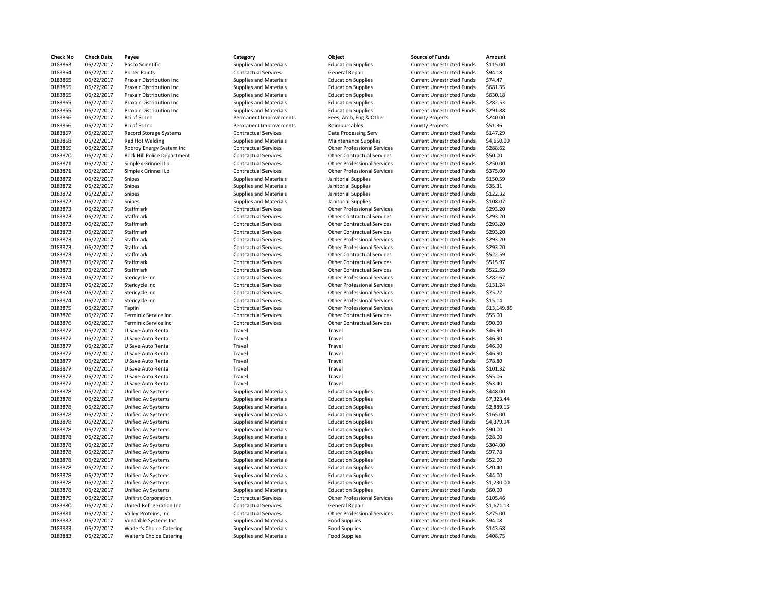| Check No | <b>Check Date</b> | Payee                         |
|----------|-------------------|-------------------------------|
| 0183863  | 06/22/2017        | Pasco Scientific              |
| 0183864  | 06/22/2017        | Porter Paints                 |
| 0183865  | 06/22/2017        | Praxair Distribution Inc      |
| 0183865  | 06/22/2017        | Praxair Distribution Inc      |
| 0183865  | 06/22/2017        | Praxair Distribution Inc      |
| 0183865  | 06/22/2017        | Praxair Distribution Inc      |
| 0183865  | 06/22/2017        | Praxair Distribution Inc.     |
| 0183866  | 06/22/2017        | Rci of Sc Inc                 |
| 0183866  | 06/22/2017        | Rci of Sc Inc                 |
| 0183867  | 06/22/2017        | <b>Record Storage Systems</b> |
| 0183868  | 06/22/2017        | <b>Red Hot Welding</b>        |
| 0183869  | 06/22/2017        | Robroy Energy System I        |
| 0183870  | 06/22/2017        | Rock Hill Police Departn      |
| 0183871  | 06/22/2017        | Simplex Grinnell Lp           |
| 0183871  | 06/22/2017        | Simplex Grinnell Lp           |
| 0183872  | 06/22/2017        | Snipes                        |
| 0183872  | 06/22/2017        | Snipes                        |
| 0183872  | 06/22/2017        | <b>Snipes</b>                 |
| 0183872  | 06/22/2017        | <b>Snipes</b>                 |
| 0183873  | 06/22/2017        | Staffmark                     |
| 0183873  | 06/22/2017        | Staffmark                     |
| 0183873  | 06/22/2017        | Staffmark                     |
| 0183873  | 06/22/2017        | Staffmark                     |
| 0183873  | 06/22/2017        | Staffmark                     |
| 0183873  | 06/22/2017        | Staffmark                     |
| 0183873  | 06/22/2017        | Staffmark                     |
| 0183873  | 06/22/2017        | Staffmark                     |
| 0183873  | 06/22/2017        | Staffmark                     |
| 0183874  | 06/22/2017        | Stericycle Inc                |
| 0183874  | 06/22/2017        | Stericycle Inc                |
| 0183874  | 06/22/2017        | Stericycle Inc                |
| 0183874  | 06/22/2017        | Stericycle Inc                |
| 0183875  | 06/22/2017        | Tapfin                        |
| 0183876  | 06/22/2017        | <b>Terminix Service Inc</b>   |
| 0183876  | 06/22/2017        | Terminix Service Inc          |
| 0183877  | 06/22/2017        | U Save Auto Rental            |
| 0183877  | 06/22/2017        | U Save Auto Rental            |
| 0183877  | 06/22/2017        | U Save Auto Rental            |
| 0183877  | 06/22/2017        | U Save Auto Rental            |
| 0183877  | 06/22/2017        | U Save Auto Rental            |
| 0183877  | 06/22/2017        | U Save Auto Rental            |
| 0183877  | 06/22/2017        | U Save Auto Rental            |
| 0183877  | 06/22/2017        | U Save Auto Rental            |
| 0183878  | 06/22/2017        | Unified Av Systems            |
| 0183878  | 06/22/2017        | Unified Av Systems            |
| 0183878  | 06/22/2017        | Unified Av Systems            |
| 0183878  | 06/22/2017        | Unified Av Systems            |
| 0183878  | 06/22/2017        | Unified Av Systems            |
| 0183878  | 06/22/2017        | Unified Av Systems            |
| 0183878  | 06/22/2017        | Unified Av Systems            |
| 0183878  | 06/22/2017        | Unified Av Systems            |
| 0183878  | 06/22/2017        | <b>Unified Av Systems</b>     |
| 0183878  | 06/22/2017        | <b>Unified Av Systems</b>     |
| 0183878  | 06/22/2017        | Unified Av Systems            |
| 0183878  | 06/22/2017        | Unified Av Systems            |
| 0183878  | 06/22/2017        | Unified Av Systems            |
| 0183878  | 06/22/2017        | Unified Av Systems            |
| 0183879  | 06/22/2017        | <b>Unifirst Corporation</b>   |
| 0183880  | 06/22/2017        | United Refrigeration Inc      |
| 0183881  | 06/22/2017        | Valley Proteins, Inc          |
| 0183882  | 06/22/2017        | Vendable Systems Inc          |
| 0183883  | 06/22/2017        | Waiter's Choice Catering      |
| 0183883  | 06/22/2017        | Waiter's Choice Catering      |

| <b>Check No</b> | <b>Check Date</b> | Payee                           | Category                      | Object                             | <b>Source of Funds</b>            | Amount      |
|-----------------|-------------------|---------------------------------|-------------------------------|------------------------------------|-----------------------------------|-------------|
| 0183863         | 06/22/2017        | Pasco Scientific                | <b>Supplies and Materials</b> | <b>Education Supplies</b>          | <b>Current Unrestricted Funds</b> | \$115.00    |
| 0183864         |                   | <b>Porter Paints</b>            | <b>Contractual Services</b>   |                                    |                                   | \$94.18     |
|                 | 06/22/2017        |                                 |                               | <b>General Repair</b>              | <b>Current Unrestricted Funds</b> |             |
| 0183865         | 06/22/2017        | Praxair Distribution Inc        | <b>Supplies and Materials</b> | <b>Education Supplies</b>          | <b>Current Unrestricted Funds</b> | \$74.47     |
| 0183865         | 06/22/2017        | <b>Praxair Distribution Inc</b> | Supplies and Materials        | <b>Education Supplies</b>          | <b>Current Unrestricted Funds</b> | \$681.35    |
| 0183865         | 06/22/2017        | Praxair Distribution Inc        | <b>Supplies and Materials</b> | <b>Education Supplies</b>          | <b>Current Unrestricted Funds</b> | \$630.18    |
| 0183865         | 06/22/2017        | <b>Praxair Distribution Inc</b> | <b>Supplies and Materials</b> | <b>Education Supplies</b>          | <b>Current Unrestricted Funds</b> | \$282.53    |
| 0183865         | 06/22/2017        | <b>Praxair Distribution Inc</b> | Supplies and Materials        | <b>Education Supplies</b>          | <b>Current Unrestricted Funds</b> | \$291.88    |
| 0183866         | 06/22/2017        | Rci of Sc Inc                   | Permanent Improvements        | Fees, Arch, Eng & Other            | <b>County Projects</b>            | \$240.00    |
| 0183866         | 06/22/2017        | Rci of Sc Inc                   | Permanent Improvements        | Reimbursables                      | <b>County Projects</b>            | \$51.36     |
| 0183867         | 06/22/2017        | Record Storage Systems          | <b>Contractual Services</b>   | Data Processing Serv               | <b>Current Unrestricted Funds</b> | \$147.29    |
| 0183868         | 06/22/2017        | Red Hot Welding                 | <b>Supplies and Materials</b> | <b>Maintenance Supplies</b>        | <b>Current Unrestricted Funds</b> | \$4,650.00  |
| 0183869         | 06/22/2017        | Robroy Energy System Inc        | <b>Contractual Services</b>   | <b>Other Professional Services</b> | <b>Current Unrestricted Funds</b> | \$288.62    |
| 0183870         | 06/22/2017        | Rock Hill Police Department     | <b>Contractual Services</b>   | <b>Other Contractual Services</b>  | <b>Current Unrestricted Funds</b> | \$50.00     |
|                 |                   |                                 |                               |                                    |                                   |             |
| 0183871         | 06/22/2017        | Simplex Grinnell Lp             | <b>Contractual Services</b>   | <b>Other Professional Services</b> | <b>Current Unrestricted Funds</b> | \$250.00    |
| 0183871         | 06/22/2017        | Simplex Grinnell Lp             | <b>Contractual Services</b>   | <b>Other Professional Services</b> | <b>Current Unrestricted Funds</b> | \$375.00    |
| 0183872         | 06/22/2017        | Snipes                          | <b>Supplies and Materials</b> | Janitorial Supplies                | <b>Current Unrestricted Funds</b> | \$150.59    |
| 0183872         | 06/22/2017        | Snipes                          | <b>Supplies and Materials</b> | Janitorial Supplies                | <b>Current Unrestricted Funds</b> | \$35.31     |
| 0183872         | 06/22/2017        | Snipes                          | <b>Supplies and Materials</b> | Janitorial Supplies                | <b>Current Unrestricted Funds</b> | \$122.32    |
| 0183872         | 06/22/2017        | Snipes                          | <b>Supplies and Materials</b> | Janitorial Supplies                | <b>Current Unrestricted Funds</b> | \$108.07    |
| 0183873         | 06/22/2017        | Staffmark                       | <b>Contractual Services</b>   | <b>Other Professional Services</b> | <b>Current Unrestricted Funds</b> | \$293.20    |
| 0183873         | 06/22/2017        | Staffmark                       | <b>Contractual Services</b>   | <b>Other Contractual Services</b>  | <b>Current Unrestricted Funds</b> | \$293.20    |
| 0183873         | 06/22/2017        | Staffmark                       | <b>Contractual Services</b>   | <b>Other Contractual Services</b>  | <b>Current Unrestricted Funds</b> | \$293.20    |
| 0183873         | 06/22/2017        | Staffmark                       | <b>Contractual Services</b>   | <b>Other Contractual Services</b>  | <b>Current Unrestricted Funds</b> | \$293.20    |
| 0183873         | 06/22/2017        | Staffmark                       | <b>Contractual Services</b>   | <b>Other Professional Services</b> | <b>Current Unrestricted Funds</b> | \$293.20    |
| 0183873         | 06/22/2017        | Staffmark                       | <b>Contractual Services</b>   | <b>Other Professional Services</b> | <b>Current Unrestricted Funds</b> | \$293.20    |
|                 |                   | Staffmark                       | <b>Contractual Services</b>   | <b>Other Contractual Services</b>  | <b>Current Unrestricted Funds</b> |             |
| 0183873         | 06/22/2017        |                                 |                               |                                    |                                   | \$522.59    |
| 0183873         | 06/22/2017        | Staffmark                       | <b>Contractual Services</b>   | <b>Other Contractual Services</b>  | <b>Current Unrestricted Funds</b> | \$515.97    |
| 0183873         | 06/22/2017        | Staffmark                       | <b>Contractual Services</b>   | <b>Other Contractual Services</b>  | <b>Current Unrestricted Funds</b> | \$522.59    |
| 0183874         | 06/22/2017        | Stericycle Inc                  | <b>Contractual Services</b>   | <b>Other Professional Services</b> | <b>Current Unrestricted Funds</b> | \$282.67    |
| 0183874         | 06/22/2017        | Stericycle Inc                  | <b>Contractual Services</b>   | <b>Other Professional Services</b> | <b>Current Unrestricted Funds</b> | \$131.24    |
| 0183874         | 06/22/2017        | Stericycle Inc                  | <b>Contractual Services</b>   | <b>Other Professional Services</b> | <b>Current Unrestricted Funds</b> | \$75.72     |
| 0183874         | 06/22/2017        | Stericycle Inc                  | <b>Contractual Services</b>   | <b>Other Professional Services</b> | <b>Current Unrestricted Funds</b> | \$15.14     |
| 0183875         | 06/22/2017        | Tapfin                          | <b>Contractual Services</b>   | <b>Other Professional Services</b> | <b>Current Unrestricted Funds</b> | \$13,149.89 |
| 0183876         | 06/22/2017        | Terminix Service Inc            | <b>Contractual Services</b>   | <b>Other Contractual Services</b>  | <b>Current Unrestricted Funds</b> | \$55.00     |
| 0183876         | 06/22/2017        | <b>Terminix Service Inc</b>     | <b>Contractual Services</b>   | <b>Other Contractual Services</b>  | <b>Current Unrestricted Funds</b> | \$90.00     |
| 0183877         | 06/22/2017        | U Save Auto Rental              | Travel                        | Travel                             | <b>Current Unrestricted Funds</b> | \$46.90     |
| 0183877         | 06/22/2017        | U Save Auto Rental              | Travel                        | Travel                             | <b>Current Unrestricted Funds</b> | \$46.90     |
| 0183877         | 06/22/2017        | U Save Auto Rental              | Travel                        | Travel                             | <b>Current Unrestricted Funds</b> | \$46.90     |
| 0183877         | 06/22/2017        | U Save Auto Rental              | Travel                        | Travel                             | <b>Current Unrestricted Funds</b> | \$46.90     |
| 0183877         |                   | U Save Auto Rental              | Travel                        | Travel                             | <b>Current Unrestricted Funds</b> | \$78.80     |
|                 | 06/22/2017        |                                 |                               |                                    |                                   |             |
| 0183877         | 06/22/2017        | U Save Auto Rental              | Travel                        | Travel                             | <b>Current Unrestricted Funds</b> | \$101.32    |
| 0183877         | 06/22/2017        | U Save Auto Rental              | Travel                        | Travel                             | <b>Current Unrestricted Funds</b> | \$55.06     |
| 0183877         | 06/22/2017        | U Save Auto Rental              | Travel                        | Travel                             | <b>Current Unrestricted Funds</b> | \$53.40     |
| 0183878         | 06/22/2017        | <b>Unified Av Systems</b>       | Supplies and Materials        | <b>Education Supplies</b>          | <b>Current Unrestricted Funds</b> | \$448.00    |
| 0183878         | 06/22/2017        | Unified Av Systems              | <b>Supplies and Materials</b> | <b>Education Supplies</b>          | <b>Current Unrestricted Funds</b> | \$7,323.44  |
| 0183878         | 06/22/2017        | Unified Av Systems              | <b>Supplies and Materials</b> | <b>Education Supplies</b>          | <b>Current Unrestricted Funds</b> | \$2,889.15  |
| 0183878         | 06/22/2017        | Unified Av Systems              | <b>Supplies and Materials</b> | <b>Education Supplies</b>          | <b>Current Unrestricted Funds</b> | \$165.00    |
| 0183878         | 06/22/2017        | Unified Av Systems              | <b>Supplies and Materials</b> | <b>Education Supplies</b>          | <b>Current Unrestricted Funds</b> | \$4,379.94  |
| 0183878         | 06/22/2017        | <b>Unified Av Systems</b>       | Supplies and Materials        | <b>Education Supplies</b>          | <b>Current Unrestricted Funds</b> | \$90.00     |
| 0183878         | 06/22/2017        | Unified Av Systems              | <b>Supplies and Materials</b> | <b>Education Supplies</b>          | <b>Current Unrestricted Funds</b> | \$28.00     |
| 0183878         | 06/22/2017        | Unified Av Systems              | <b>Supplies and Materials</b> | <b>Education Supplies</b>          | <b>Current Unrestricted Funds</b> | \$304.00    |
| 0183878         | 06/22/2017        | Unified Av Systems              | Supplies and Materials        | <b>Education Supplies</b>          | <b>Current Unrestricted Funds</b> | \$97.78     |
| 0183878         | 06/22/2017        | Unified Av Systems              | <b>Supplies and Materials</b> | <b>Education Supplies</b>          | <b>Current Unrestricted Funds</b> | \$52.00     |
|                 |                   |                                 |                               |                                    | <b>Current Unrestricted Funds</b> |             |
| 0183878         | 06/22/2017        | Unified Av Systems              | <b>Supplies and Materials</b> | <b>Education Supplies</b>          |                                   | \$20.40     |
| 0183878         | 06/22/2017        | Unified Av Systems              | <b>Supplies and Materials</b> | <b>Education Supplies</b>          | <b>Current Unrestricted Funds</b> | \$44.00     |
| 0183878         | 06/22/2017        | Unified Av Systems              | <b>Supplies and Materials</b> | <b>Education Supplies</b>          | <b>Current Unrestricted Funds</b> | \$1,230.00  |
| 0183878         | 06/22/2017        | Unified Av Systems              | <b>Supplies and Materials</b> | <b>Education Supplies</b>          | <b>Current Unrestricted Funds</b> | \$60.00     |
| 0183879         | 06/22/2017        | <b>Unifirst Corporation</b>     | <b>Contractual Services</b>   | <b>Other Professional Services</b> | <b>Current Unrestricted Funds</b> | \$105.46    |
| 0183880         | 06/22/2017        | United Refrigeration Inc        | <b>Contractual Services</b>   | <b>General Repair</b>              | <b>Current Unrestricted Funds</b> | \$1,671.13  |
| 0183881         | 06/22/2017        | Valley Proteins, Inc            | <b>Contractual Services</b>   | <b>Other Professional Services</b> | <b>Current Unrestricted Funds</b> | \$275.00    |
| 0183882         | 06/22/2017        | Vendable Systems Inc            | <b>Supplies and Materials</b> | <b>Food Supplies</b>               | <b>Current Unrestricted Funds</b> | \$94.08     |
| 0183883         | 06/22/2017        | Waiter's Choice Catering        | <b>Supplies and Materials</b> | <b>Food Supplies</b>               | <b>Current Unrestricted Funds</b> | \$143.68    |
| 0183883         | 06/22/2017        | <b>Waiter's Choice Catering</b> | Supplies and Materials        | <b>Food Supplies</b>               | <b>Current Unrestricted Funds</b> | \$408.75    |
|                 |                   |                                 |                               |                                    |                                   |             |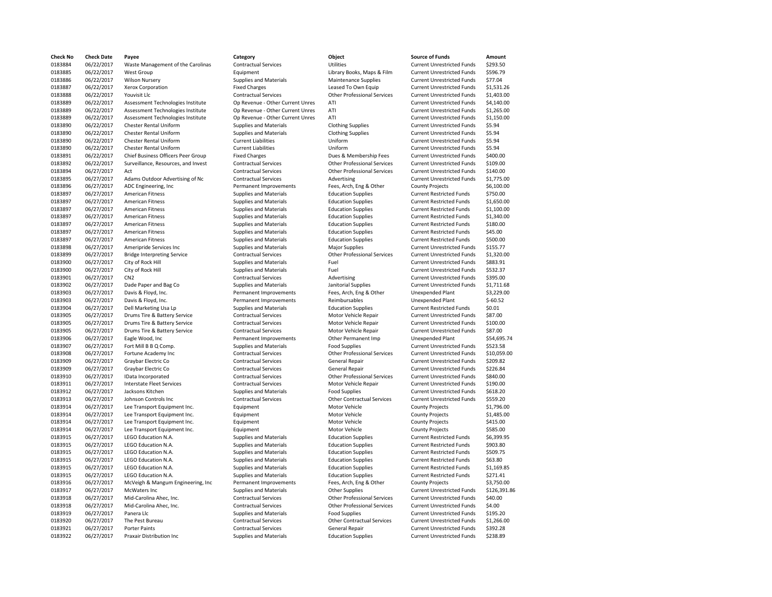| <b>Check No</b>    | <b>Check Date</b>        | Payee                               | Category                         | Object                             | <b>Source of Funds</b>            | Amount                 |
|--------------------|--------------------------|-------------------------------------|----------------------------------|------------------------------------|-----------------------------------|------------------------|
| 0183884            | 06/22/2017               | Waste Management of the Carolinas   | <b>Contractual Services</b>      | <b>Utilities</b>                   | <b>Current Unrestricted Funds</b> | \$293.50               |
| 0183885            | 06/22/2017               | West Group                          | Equipment                        | Library Books, Maps & Film         | <b>Current Unrestricted Funds</b> | \$596.79               |
| 0183886            | 06/22/2017               | <b>Wilson Nursery</b>               | Supplies and Materials           | Maintenance Supplies               | <b>Current Unrestricted Funds</b> | \$77.04                |
| 0183887            | 06/22/2017               | <b>Xerox Corporation</b>            | <b>Fixed Charges</b>             | Leased To Own Equip                | <b>Current Unrestricted Funds</b> | \$1,531.26             |
| 0183888            | 06/22/2017               | Youvisit Llc                        | <b>Contractual Services</b>      | <b>Other Professional Services</b> | <b>Current Unrestricted Funds</b> | \$1,403.00             |
| 0183889            | 06/22/2017               | Assessment Technologies Institute   | Op Revenue - Other Current Unres | ATI                                | <b>Current Unrestricted Funds</b> | \$4,140.00             |
| 0183889            | 06/22/2017               | Assessment Technologies Institute   | Op Revenue - Other Current Unres | ATI                                | <b>Current Unrestricted Funds</b> | \$1,265.00             |
| 0183889            | 06/22/2017               | Assessment Technologies Institute   | Op Revenue - Other Current Unres | ATI                                | <b>Current Unrestricted Funds</b> | \$1,150.00             |
| 0183890            | 06/22/2017               | <b>Chester Rental Uniform</b>       | <b>Supplies and Materials</b>    | <b>Clothing Supplies</b>           | <b>Current Unrestricted Funds</b> | \$5.94                 |
| 0183890            | 06/22/2017               | <b>Chester Rental Uniform</b>       | Supplies and Materials           | <b>Clothing Supplies</b>           | <b>Current Unrestricted Funds</b> | \$5.94                 |
| 0183890            | 06/22/2017               | <b>Chester Rental Uniform</b>       | <b>Current Liabilities</b>       | Uniform                            | <b>Current Unrestricted Funds</b> | \$5.94                 |
| 0183890            | 06/22/2017               | <b>Chester Rental Uniform</b>       | <b>Current Liabilities</b>       | Uniform                            | <b>Current Unrestricted Funds</b> | \$5.94                 |
| 0183891            | 06/22/2017               | Chief Business Officers Peer Group  | <b>Fixed Charges</b>             | Dues & Membership Fees             | <b>Current Unrestricted Funds</b> | \$400.00               |
| 0183892            | 06/22/2017               | Surveillance, Resources, and Invest | <b>Contractual Services</b>      | <b>Other Professional Services</b> | <b>Current Unrestricted Funds</b> | \$109.00               |
| 0183894            | 06/27/2017               | Act                                 | <b>Contractual Services</b>      | <b>Other Professional Services</b> | <b>Current Unrestricted Funds</b> | \$140.00               |
| 0183895            | 06/27/2017               | Adams Outdoor Advertising of Nc     | <b>Contractual Services</b>      | Advertising                        | <b>Current Unrestricted Funds</b> | \$1,775.00             |
|                    |                          |                                     |                                  |                                    |                                   |                        |
| 0183896            | 06/27/2017               | ADC Engineering, Inc                | Permanent Improvements           | Fees, Arch, Eng & Other            | <b>County Projects</b>            | \$6,100.00             |
| 0183897            | 06/27/2017               | <b>American Fitness</b>             | <b>Supplies and Materials</b>    | <b>Education Supplies</b>          | <b>Current Restricted Funds</b>   | \$750.00               |
| 0183897            | 06/27/2017               | <b>American Fitness</b>             | <b>Supplies and Materials</b>    | <b>Education Supplies</b>          | <b>Current Restricted Funds</b>   | \$1,650.00             |
| 0183897            | 06/27/2017               | <b>American Fitness</b>             | Supplies and Materials           | <b>Education Supplies</b>          | <b>Current Restricted Funds</b>   | \$1,100.00             |
| 0183897            | 06/27/2017               | <b>American Fitness</b>             | Supplies and Materials           | <b>Education Supplies</b>          | <b>Current Restricted Funds</b>   | \$1,340.00             |
| 0183897            | 06/27/2017               | <b>American Fitness</b>             | Supplies and Materials           | <b>Education Supplies</b>          | <b>Current Restricted Funds</b>   | \$180.00               |
| 0183897            | 06/27/2017               | <b>American Fitness</b>             | <b>Supplies and Materials</b>    | <b>Education Supplies</b>          | <b>Current Restricted Funds</b>   | \$45.00                |
| 0183897            | 06/27/2017               | <b>American Fitness</b>             | <b>Supplies and Materials</b>    | <b>Education Supplies</b>          | <b>Current Restricted Funds</b>   | \$500.00               |
| 0183898            | 06/27/2017               | Ameripride Services Inc             | <b>Supplies and Materials</b>    | <b>Major Supplies</b>              | <b>Current Unrestricted Funds</b> | \$155.77               |
| 0183899            | 06/27/2017               | <b>Bridge Interpreting Service</b>  | <b>Contractual Services</b>      | <b>Other Professional Services</b> | <b>Current Unrestricted Funds</b> | \$1,320.00             |
| 0183900            | 06/27/2017               | City of Rock Hill                   | <b>Supplies and Materials</b>    | Fuel                               | <b>Current Unrestricted Funds</b> | \$883.91               |
| 0183900            | 06/27/2017               | City of Rock Hill                   | Supplies and Materials           | Fuel                               | Current Unrestricted Funds        | \$532.37               |
| 0183901            | 06/27/2017               | CN <sub>2</sub>                     | <b>Contractual Services</b>      | Advertising                        | <b>Current Unrestricted Funds</b> | \$395.00               |
| 0183902            | 06/27/2017               | Dade Paper and Bag Co               | <b>Supplies and Materials</b>    | Janitorial Supplies                | <b>Current Unrestricted Funds</b> | \$1,711.68             |
| 0183903            | 06/27/2017               | Davis & Floyd, Inc.                 | Permanent Improvements           | Fees, Arch, Eng & Other            | <b>Unexpended Plant</b>           | \$3,229.00             |
| 0183903            | 06/27/2017               | Davis & Floyd, Inc.                 | Permanent Improvements           | Reimbursables                      | <b>Unexpended Plant</b>           | $$-60.52$              |
| 0183904            | 06/27/2017               | Dell Marketing Usa Lp               | <b>Supplies and Materials</b>    | <b>Education Supplies</b>          | <b>Current Restricted Funds</b>   | \$0.01                 |
| 0183905            | 06/27/2017               | Drums Tire & Battery Service        | <b>Contractual Services</b>      | Motor Vehicle Repair               | <b>Current Unrestricted Funds</b> | \$87.00                |
| 0183905            | 06/27/2017               | Drums Tire & Battery Service        | <b>Contractual Services</b>      | Motor Vehicle Repair               | <b>Current Unrestricted Funds</b> | \$100.00               |
| 0183905            | 06/27/2017               | Drums Tire & Battery Service        | <b>Contractual Services</b>      | Motor Vehicle Repair               | <b>Current Unrestricted Funds</b> | \$87.00                |
| 0183906            | 06/27/2017               | Eagle Wood, Inc                     | Permanent Improvements           | Other Permanent Imp                | <b>Unexpended Plant</b>           | \$54,695.74            |
| 0183907            | 06/27/2017               | Fort Mill B B Q Comp.               | Supplies and Materials           | <b>Food Supplies</b>               | <b>Current Unrestricted Funds</b> | \$523.58               |
| 0183908            | 06/27/2017               | Fortune Academy Inc                 | <b>Contractual Services</b>      | <b>Other Professional Services</b> | <b>Current Unrestricted Funds</b> | \$10,059.00            |
| 0183909            | 06/27/2017               | Graybar Electric Co                 | <b>Contractual Services</b>      | <b>General Repair</b>              | <b>Current Unrestricted Funds</b> | \$209.82               |
| 0183909            | 06/27/2017               | Graybar Electric Co                 | <b>Contractual Services</b>      | <b>General Repair</b>              | <b>Current Unrestricted Funds</b> | \$226.84               |
| 0183910            | 06/27/2017               | IData Incorporated                  | <b>Contractual Services</b>      | <b>Other Professional Services</b> | <b>Current Unrestricted Funds</b> | \$840.00               |
| 0183911            | 06/27/2017               | <b>Interstate Fleet Services</b>    | <b>Contractual Services</b>      | Motor Vehicle Repair               | <b>Current Unrestricted Funds</b> | \$190.00               |
| 0183912            | 06/27/2017               | Jacksons Kitchen                    | Supplies and Materials           | <b>Food Supplies</b>               | <b>Current Unrestricted Funds</b> | \$618.20               |
| 0183913            | 06/27/2017               | Johnson Controls Inc                | <b>Contractual Services</b>      | <b>Other Contractual Services</b>  | <b>Current Unrestricted Funds</b> | \$559.20               |
| 0183914            | 06/27/2017               | Lee Transport Equipment Inc.        | Equipment                        | Motor Vehicle                      | <b>County Projects</b>            | \$1,796.00             |
| 0183914            | 06/27/2017               | Lee Transport Equipment Inc.        | Equipment                        | Motor Vehicle                      | <b>County Projects</b>            | \$1,485.00             |
| 0183914            | 06/27/2017               | Lee Transport Equipment Inc.        | Equipment                        | Motor Vehicle                      | <b>County Projects</b>            | \$415.00               |
| 0183914            | 06/27/2017               | Lee Transport Equipment Inc.        | Equipment                        | Motor Vehicle                      | <b>County Projects</b>            | \$585.00               |
| 0183915            | 06/27/2017               | LEGO Education N.A.                 | <b>Supplies and Materials</b>    | <b>Education Supplies</b>          | <b>Current Restricted Funds</b>   | \$6,399.95             |
| 0183915            | 06/27/2017               | LEGO Education N.A.                 | Supplies and Materials           | <b>Education Supplies</b>          | <b>Current Restricted Funds</b>   | \$903.80               |
| 0183915            | 06/27/2017               | LEGO Education N.A.                 | Supplies and Materials           | <b>Education Supplies</b>          | <b>Current Restricted Funds</b>   | \$509.75               |
| 0183915            | 06/27/2017               | LEGO Education N.A.                 | <b>Supplies and Materials</b>    | <b>Education Supplies</b>          | <b>Current Restricted Funds</b>   | \$63.80                |
|                    |                          |                                     |                                  |                                    |                                   |                        |
| 0183915<br>0183915 | 06/27/2017<br>06/27/2017 | LEGO Education N.A.                 | Supplies and Materials           | <b>Education Supplies</b>          | <b>Current Restricted Funds</b>   | \$1,169.85<br>\$271.41 |
|                    |                          | LEGO Education N.A.                 | <b>Supplies and Materials</b>    | <b>Education Supplies</b>          | <b>Current Restricted Funds</b>   |                        |
| 0183916            | 06/27/2017               | McVeigh & Mangum Engineering, Inc   | Permanent Improvements           | Fees, Arch, Eng & Other            | <b>County Projects</b>            | \$3,750.00             |
| 0183917            | 06/27/2017               | McWaters Inc                        | <b>Supplies and Materials</b>    | <b>Other Supplies</b>              | <b>Current Unrestricted Funds</b> | \$126,391.8            |
| 0183918            | 06/27/2017               | Mid-Carolina Ahec, Inc.             | <b>Contractual Services</b>      | <b>Other Professional Services</b> | <b>Current Unrestricted Funds</b> | \$40.00                |
| 0183918            | 06/27/2017               | Mid-Carolina Ahec, Inc.             | <b>Contractual Services</b>      | <b>Other Professional Services</b> | <b>Current Unrestricted Funds</b> | \$4.00                 |
| 0183919            | 06/27/2017               | Panera Llc                          | <b>Supplies and Materials</b>    | <b>Food Supplies</b>               | <b>Current Unrestricted Funds</b> | \$195.20               |
| 0183920            | 06/27/2017               | The Pest Bureau                     | <b>Contractual Services</b>      | <b>Other Contractual Services</b>  | <b>Current Unrestricted Funds</b> | \$1,266.00             |
| 0183921            | 06/27/2017               | Porter Paints                       | <b>Contractual Services</b>      | <b>General Repair</b>              | <b>Current Unrestricted Funds</b> | \$392.28               |
| 0183922            | 06/27/2017               | Praxair Distribution Inc.           | Supplies and Materials           | <b>Education Supplies</b>          | <b>Current Unrestricted Funds</b> | \$238.89               |

| Category                         | Object                             | <b>Source of Funds</b>            | Amount       |
|----------------------------------|------------------------------------|-----------------------------------|--------------|
| <b>Contractual Services</b>      | <b>Utilities</b>                   | <b>Current Unrestricted Funds</b> | \$293.50     |
| Equipment                        | Library Books, Maps & Film         | <b>Current Unrestricted Funds</b> | \$596.79     |
| Supplies and Materials           | <b>Maintenance Supplies</b>        | <b>Current Unrestricted Funds</b> | \$77.04      |
| <b>Fixed Charges</b>             | Leased To Own Equip                | <b>Current Unrestricted Funds</b> | \$1,531.26   |
| <b>Contractual Services</b>      | <b>Other Professional Services</b> | <b>Current Unrestricted Funds</b> | \$1,403.00   |
| Op Revenue - Other Current Unres | ATI                                | <b>Current Unrestricted Funds</b> | \$4,140.00   |
| Op Revenue - Other Current Unres | ATI                                | <b>Current Unrestricted Funds</b> | \$1,265.00   |
| Op Revenue - Other Current Unres | ATI                                | <b>Current Unrestricted Funds</b> | \$1,150.00   |
| Supplies and Materials           | <b>Clothing Supplies</b>           | <b>Current Unrestricted Funds</b> | \$5.94       |
| <b>Supplies and Materials</b>    | <b>Clothing Supplies</b>           | <b>Current Unrestricted Funds</b> | \$5.94       |
| <b>Current Liabilities</b>       | Uniform                            | <b>Current Unrestricted Funds</b> | \$5.94       |
| <b>Current Liabilities</b>       | Uniform                            | <b>Current Unrestricted Funds</b> | \$5.94       |
| <b>Fixed Charges</b>             | Dues & Membership Fees             | <b>Current Unrestricted Funds</b> | \$400.00     |
| <b>Contractual Services</b>      | <b>Other Professional Services</b> | <b>Current Unrestricted Funds</b> | \$109.00     |
| <b>Contractual Services</b>      | <b>Other Professional Services</b> | <b>Current Unrestricted Funds</b> | \$140.00     |
| <b>Contractual Services</b>      | Advertising                        | <b>Current Unrestricted Funds</b> | \$1,775.00   |
| Permanent Improvements           | Fees, Arch, Eng & Other            | <b>County Projects</b>            | \$6,100.00   |
| <b>Supplies and Materials</b>    | <b>Education Supplies</b>          | <b>Current Restricted Funds</b>   | \$750.00     |
| Supplies and Materials           | <b>Education Supplies</b>          | <b>Current Restricted Funds</b>   | \$1,650.00   |
| Supplies and Materials           | <b>Education Supplies</b>          | <b>Current Restricted Funds</b>   | \$1,100.00   |
| Supplies and Materials           | <b>Education Supplies</b>          | <b>Current Restricted Funds</b>   | \$1,340.00   |
| <b>Supplies and Materials</b>    | <b>Education Supplies</b>          | <b>Current Restricted Funds</b>   | \$180.00     |
| Supplies and Materials           | <b>Education Supplies</b>          | <b>Current Restricted Funds</b>   | \$45.00      |
| <b>Supplies and Materials</b>    | <b>Education Supplies</b>          | <b>Current Restricted Funds</b>   | \$500.00     |
| <b>Supplies and Materials</b>    | Major Supplies                     | <b>Current Unrestricted Funds</b> | \$155.77     |
| <b>Contractual Services</b>      | <b>Other Professional Services</b> | <b>Current Unrestricted Funds</b> | \$1,320.00   |
| Supplies and Materials           | Fuel                               | <b>Current Unrestricted Funds</b> | \$883.91     |
| <b>Supplies and Materials</b>    | Fuel                               | <b>Current Unrestricted Funds</b> | \$532.37     |
| <b>Contractual Services</b>      | Advertising                        | <b>Current Unrestricted Funds</b> | \$395.00     |
| <b>Supplies and Materials</b>    | Janitorial Supplies                | <b>Current Unrestricted Funds</b> | \$1,711.68   |
| Permanent Improvements           | Fees, Arch, Eng & Other            | <b>Unexpended Plant</b>           | \$3,229.00   |
| Permanent Improvements           | Reimbursables                      | <b>Unexpended Plant</b>           | $$-60.52$    |
| Supplies and Materials           | <b>Education Supplies</b>          | <b>Current Restricted Funds</b>   | \$0.01       |
| <b>Contractual Services</b>      | Motor Vehicle Repair               | <b>Current Unrestricted Funds</b> | \$87.00      |
| <b>Contractual Services</b>      | Motor Vehicle Repair               | <b>Current Unrestricted Funds</b> | \$100.00     |
| <b>Contractual Services</b>      | Motor Vehicle Repair               | <b>Current Unrestricted Funds</b> | \$87.00      |
| Permanent Improvements           | Other Permanent Imp                | <b>Unexpended Plant</b>           | \$54,695.74  |
| Supplies and Materials           | <b>Food Supplies</b>               | <b>Current Unrestricted Funds</b> | \$523.58     |
| <b>Contractual Services</b>      | <b>Other Professional Services</b> | <b>Current Unrestricted Funds</b> | \$10,059.00  |
| <b>Contractual Services</b>      | General Repair                     | <b>Current Unrestricted Funds</b> | \$209.82     |
| <b>Contractual Services</b>      | <b>General Repair</b>              | <b>Current Unrestricted Funds</b> | \$226.84     |
| <b>Contractual Services</b>      | <b>Other Professional Services</b> | <b>Current Unrestricted Funds</b> | \$840.00     |
| <b>Contractual Services</b>      | Motor Vehicle Repair               | <b>Current Unrestricted Funds</b> | \$190.00     |
| Supplies and Materials           | <b>Food Supplies</b>               | <b>Current Unrestricted Funds</b> | \$618.20     |
| <b>Contractual Services</b>      | <b>Other Contractual Services</b>  | <b>Current Unrestricted Funds</b> | \$559.20     |
| Equipment                        | Motor Vehicle                      | <b>County Projects</b>            | \$1,796.00   |
| Equipment                        | Motor Vehicle                      | <b>County Projects</b>            | \$1,485.00   |
| Equipment                        | Motor Vehicle                      | <b>County Projects</b>            | \$415.00     |
| Equipment                        | Motor Vehicle                      | <b>County Projects</b>            | \$585.00     |
| <b>Supplies and Materials</b>    | <b>Education Supplies</b>          | <b>Current Restricted Funds</b>   | \$6,399.95   |
| Supplies and Materials           | <b>Education Supplies</b>          | <b>Current Restricted Funds</b>   | \$903.80     |
| Supplies and Materials           | <b>Education Supplies</b>          | <b>Current Restricted Funds</b>   | \$509.75     |
| Supplies and Materials           | <b>Education Supplies</b>          | <b>Current Restricted Funds</b>   | \$63.80      |
| <b>Supplies and Materials</b>    | <b>Education Supplies</b>          | <b>Current Restricted Funds</b>   | \$1,169.85   |
| Supplies and Materials           | <b>Education Supplies</b>          | <b>Current Restricted Funds</b>   | \$271.41     |
| Permanent Improvements           | Fees, Arch, Eng & Other            | <b>County Projects</b>            | \$3,750.00   |
| <b>Supplies and Materials</b>    | <b>Other Supplies</b>              | <b>Current Unrestricted Funds</b> | \$126,391.86 |
| <b>Contractual Services</b>      | <b>Other Professional Services</b> | <b>Current Unrestricted Funds</b> | \$40.00      |
| <b>Contractual Services</b>      | <b>Other Professional Services</b> | <b>Current Unrestricted Funds</b> | \$4.00       |
| Supplies and Materials           | <b>Food Supplies</b>               | <b>Current Unrestricted Funds</b> | \$195.20     |
| <b>Contractual Services</b>      | <b>Other Contractual Services</b>  | <b>Current Unrestricted Funds</b> | \$1,266.00   |
| <b>Contractual Services</b>      | <b>General Repair</b>              | <b>Current Unrestricted Funds</b> | \$392.28     |
| <b>Supplies and Materials</b>    | <b>Education Supplies</b>          | <b>Current Unrestricted Funds</b> | \$238.89     |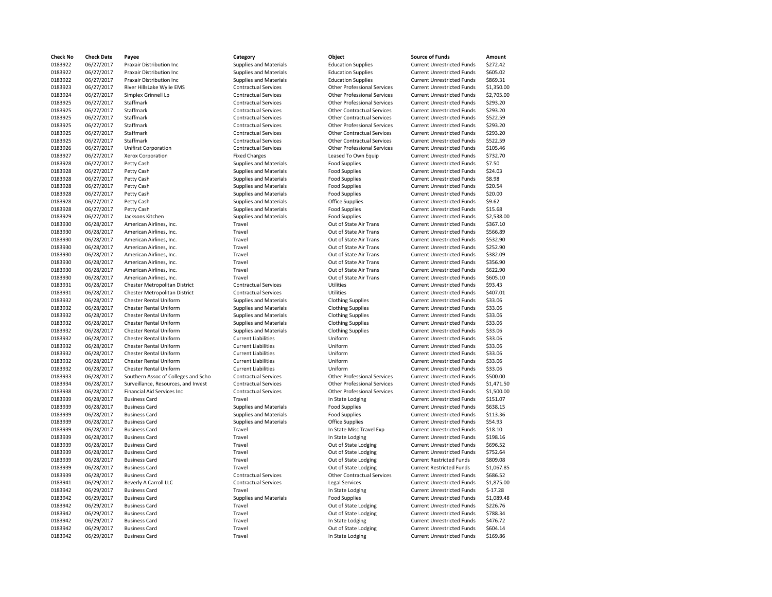| <b>Check No</b> | <b>Check Date</b> | Payee                               | Category                      | Object                             | <b>Source of Funds</b>            | Amount     |
|-----------------|-------------------|-------------------------------------|-------------------------------|------------------------------------|-----------------------------------|------------|
| 0183922         | 06/27/2017        | Praxair Distribution Inc            | <b>Supplies and Materials</b> | <b>Education Supplies</b>          | <b>Current Unrestricted Funds</b> | \$272.42   |
| 0183922         | 06/27/2017        | Praxair Distribution Inc            | Supplies and Materials        | <b>Education Supplies</b>          | <b>Current Unrestricted Funds</b> | \$605.02   |
| 0183922         | 06/27/2017        | Praxair Distribution Inc            | Supplies and Materials        | <b>Education Supplies</b>          | <b>Current Unrestricted Funds</b> | \$869.31   |
| 0183923         | 06/27/2017        | River HillsLake Wylie EMS           | <b>Contractual Services</b>   | <b>Other Professional Services</b> | <b>Current Unrestricted Funds</b> | \$1,350.00 |
| 0183924         | 06/27/2017        | Simplex Grinnell Lp                 | <b>Contractual Services</b>   | <b>Other Professional Services</b> | <b>Current Unrestricted Funds</b> | \$2,705.00 |
| 0183925         | 06/27/2017        | Staffmark                           | <b>Contractual Services</b>   | <b>Other Professional Services</b> | <b>Current Unrestricted Funds</b> | \$293.20   |
| 0183925         | 06/27/2017        | Staffmark                           | <b>Contractual Services</b>   | <b>Other Contractual Services</b>  | <b>Current Unrestricted Funds</b> | \$293.20   |
| 0183925         | 06/27/2017        | Staffmark                           | <b>Contractual Services</b>   | <b>Other Contractual Services</b>  | <b>Current Unrestricted Funds</b> | \$522.59   |
| 0183925         | 06/27/2017        | Staffmark                           | <b>Contractual Services</b>   | <b>Other Professional Services</b> | <b>Current Unrestricted Funds</b> | \$293.20   |
| 0183925         | 06/27/2017        | Staffmark                           | <b>Contractual Services</b>   | <b>Other Contractual Services</b>  | <b>Current Unrestricted Funds</b> | \$293.20   |
|                 |                   | Staffmark                           |                               | <b>Other Contractual Services</b>  |                                   | \$522.59   |
| 0183925         | 06/27/2017        |                                     | <b>Contractual Services</b>   |                                    | <b>Current Unrestricted Funds</b> |            |
| 0183926         | 06/27/2017        | <b>Unifirst Corporation</b>         | <b>Contractual Services</b>   | <b>Other Professional Services</b> | <b>Current Unrestricted Funds</b> | \$105.46   |
| 0183927         | 06/27/2017        | Xerox Corporation                   | <b>Fixed Charges</b>          | Leased To Own Equip                | <b>Current Unrestricted Funds</b> | \$732.70   |
| 0183928         | 06/27/2017        | Petty Cash                          | <b>Supplies and Materials</b> | <b>Food Supplies</b>               | <b>Current Unrestricted Funds</b> | \$7.50     |
| 0183928         | 06/27/2017        | Petty Cash                          | Supplies and Materials        | <b>Food Supplies</b>               | <b>Current Unrestricted Funds</b> | \$24.03    |
| 0183928         | 06/27/2017        | Petty Cash                          | Supplies and Materials        | <b>Food Supplies</b>               | <b>Current Unrestricted Funds</b> | \$8.98     |
| 0183928         | 06/27/2017        | Petty Cash                          | Supplies and Materials        | <b>Food Supplies</b>               | <b>Current Unrestricted Funds</b> | \$20.54    |
| 0183928         | 06/27/2017        | Petty Cash                          | <b>Supplies and Materials</b> | <b>Food Supplies</b>               | <b>Current Unrestricted Funds</b> | \$20.00    |
| 0183928         | 06/27/2017        | Petty Cash                          | Supplies and Materials        | Office Supplies                    | <b>Current Unrestricted Funds</b> | \$9.62     |
| 0183928         | 06/27/2017        | Petty Cash                          | <b>Supplies and Materials</b> | <b>Food Supplies</b>               | <b>Current Unrestricted Funds</b> | \$15.68    |
| 0183929         | 06/27/2017        | Jacksons Kitchen                    | <b>Supplies and Materials</b> | <b>Food Supplies</b>               | <b>Current Unrestricted Funds</b> | \$2,538.00 |
| 0183930         | 06/28/2017        | American Airlines, Inc.             | Travel                        | Out of State Air Trans             | <b>Current Unrestricted Funds</b> | \$367.10   |
| 0183930         | 06/28/2017        | American Airlines, Inc.             | Travel                        | Out of State Air Trans             | <b>Current Unrestricted Funds</b> | \$566.89   |
| 0183930         | 06/28/2017        | American Airlines, Inc.             | Travel                        | Out of State Air Trans             | <b>Current Unrestricted Funds</b> | \$532.90   |
| 0183930         | 06/28/2017        | American Airlines, Inc.             | Travel                        | Out of State Air Trans             | <b>Current Unrestricted Funds</b> | \$252.90   |
| 0183930         | 06/28/2017        | American Airlines, Inc.             | Travel                        | Out of State Air Trans             | <b>Current Unrestricted Funds</b> | \$382.09   |
| 0183930         | 06/28/2017        | American Airlines, Inc.             | Travel                        | Out of State Air Trans             | <b>Current Unrestricted Funds</b> | \$356.90   |
| 0183930         | 06/28/2017        | American Airlines, Inc.             | Travel                        | Out of State Air Trans             | <b>Current Unrestricted Funds</b> | \$622.90   |
| 0183930         | 06/28/2017        | American Airlines, Inc.             | Travel                        | Out of State Air Trans             | <b>Current Unrestricted Funds</b> | \$605.10   |
| 0183931         | 06/28/2017        | Chester Metropolitan District       | <b>Contractual Services</b>   | <b>Utilities</b>                   | <b>Current Unrestricted Funds</b> | \$93.43    |
| 0183931         | 06/28/2017        | Chester Metropolitan District       | <b>Contractual Services</b>   | <b>Utilities</b>                   | <b>Current Unrestricted Funds</b> | \$407.01   |
| 0183932         | 06/28/2017        | <b>Chester Rental Uniform</b>       | <b>Supplies and Materials</b> | <b>Clothing Supplies</b>           | <b>Current Unrestricted Funds</b> | \$33.06    |
|                 |                   |                                     |                               |                                    |                                   |            |
| 0183932         | 06/28/2017        | <b>Chester Rental Uniform</b>       | <b>Supplies and Materials</b> | <b>Clothing Supplies</b>           | <b>Current Unrestricted Funds</b> | \$33.06    |
| 0183932         | 06/28/2017        | <b>Chester Rental Uniform</b>       | Supplies and Materials        | <b>Clothing Supplies</b>           | <b>Current Unrestricted Funds</b> | \$33.06    |
| 0183932         | 06/28/2017        | <b>Chester Rental Uniform</b>       | Supplies and Materials        | <b>Clothing Supplies</b>           | <b>Current Unrestricted Funds</b> | \$33.06    |
| 0183932         | 06/28/2017        | <b>Chester Rental Uniform</b>       | Supplies and Materials        | <b>Clothing Supplies</b>           | <b>Current Unrestricted Funds</b> | \$33.06    |
| 0183932         | 06/28/2017        | <b>Chester Rental Uniform</b>       | <b>Current Liabilities</b>    | Uniform                            | <b>Current Unrestricted Funds</b> | \$33.06    |
| 0183932         | 06/28/2017        | <b>Chester Rental Uniform</b>       | <b>Current Liabilities</b>    | Uniform                            | <b>Current Unrestricted Funds</b> | \$33.06    |
| 0183932         | 06/28/2017        | Chester Rental Uniform              | <b>Current Liabilities</b>    | Uniform                            | <b>Current Unrestricted Funds</b> | \$33.06    |
| 0183932         | 06/28/2017        | <b>Chester Rental Uniform</b>       | <b>Current Liabilities</b>    | Uniform                            | <b>Current Unrestricted Funds</b> | \$33.06    |
| 0183932         | 06/28/2017        | <b>Chester Rental Uniform</b>       | <b>Current Liabilities</b>    | Uniform                            | <b>Current Unrestricted Funds</b> | \$33.06    |
| 0183933         | 06/28/2017        | Southern Assoc of Colleges and Scho | <b>Contractual Services</b>   | <b>Other Professional Services</b> | <b>Current Unrestricted Funds</b> | \$500.00   |
| 0183934         | 06/28/2017        | Surveillance, Resources, and Invest | <b>Contractual Services</b>   | <b>Other Professional Services</b> | <b>Current Unrestricted Funds</b> | \$1,471.50 |
| 0183938         | 06/28/2017        | <b>Financial Aid Services Inc</b>   | <b>Contractual Services</b>   | <b>Other Professional Services</b> | <b>Current Unrestricted Funds</b> | \$1,500.00 |
| 0183939         | 06/28/2017        | <b>Business Card</b>                | Travel                        | In State Lodging                   | <b>Current Unrestricted Funds</b> | \$151.07   |
| 0183939         | 06/28/2017        | <b>Business Card</b>                | Supplies and Materials        | <b>Food Supplies</b>               | <b>Current Unrestricted Funds</b> | \$638.15   |
| 0183939         | 06/28/2017        | <b>Business Card</b>                | Supplies and Materials        | <b>Food Supplies</b>               | <b>Current Unrestricted Funds</b> | \$113.36   |
| 0183939         | 06/28/2017        | <b>Business Card</b>                | <b>Supplies and Materials</b> | <b>Office Supplies</b>             | <b>Current Unrestricted Funds</b> | \$54.93    |
| 0183939         | 06/28/2017        | <b>Business Card</b>                | Travel                        | In State Misc Travel Exp           | <b>Current Unrestricted Funds</b> | \$18.10    |
| 0183939         | 06/28/2017        | <b>Business Card</b>                | Travel                        | In State Lodging                   | <b>Current Unrestricted Funds</b> | \$198.16   |
| 0183939         | 06/28/2017        | <b>Business Card</b>                | Travel                        | Out of State Lodging               | <b>Current Unrestricted Funds</b> | \$696.52   |
| 0183939         | 06/28/2017        | <b>Business Card</b>                | Travel                        | Out of State Lodging               | <b>Current Unrestricted Funds</b> | \$752.64   |
| 0183939         | 06/28/2017        | <b>Business Card</b>                | Travel                        | Out of State Lodging               | <b>Current Restricted Funds</b>   | \$809.08   |
| 0183939         | 06/28/2017        | <b>Business Card</b>                | Travel                        | Out of State Lodging               | <b>Current Restricted Funds</b>   | \$1,067.85 |
| 0183939         | 06/28/2017        | <b>Business Card</b>                | <b>Contractual Services</b>   | <b>Other Contractual Services</b>  | <b>Current Unrestricted Funds</b> | \$686.52   |
| 0183941         | 06/29/2017        | Beverly A Carroll LLC               | <b>Contractual Services</b>   | <b>Legal Services</b>              | <b>Current Unrestricted Funds</b> | \$1,875.00 |
| 0183942         | 06/29/2017        | <b>Business Card</b>                | Travel                        | In State Lodging                   | <b>Current Unrestricted Funds</b> | $$-17.28$  |
| 0183942         | 06/29/2017        | <b>Business Card</b>                | <b>Supplies and Materials</b> | <b>Food Supplies</b>               | <b>Current Unrestricted Funds</b> | \$1,089.48 |
|                 | 06/29/2017        |                                     |                               |                                    |                                   |            |
| 0183942         |                   | <b>Business Card</b>                | Travel                        | Out of State Lodging               | <b>Current Unrestricted Funds</b> | \$226.76   |
| 0183942         | 06/29/2017        | <b>Business Card</b>                | Travel                        | Out of State Lodging               | <b>Current Unrestricted Funds</b> | \$788.34   |
| 0183942         | 06/29/2017        | <b>Business Card</b>                | Travel                        | In State Lodging                   | <b>Current Unrestricted Funds</b> | \$476.72   |
| 0183942         | 06/29/2017        | <b>Business Card</b>                | Travel                        | Out of State Lodging               | <b>Current Unrestricted Funds</b> | \$604.14   |
| 0183942         | 06/29/2017        | <b>Business Card</b>                | Travel                        | In State Lodging                   | <b>Current Unrestricted Funds</b> | \$169.86   |
|                 |                   |                                     |                               |                                    |                                   |            |

| <b>Check No</b>    | <b>Check Date</b>        | Payee                               | Category                                         | Object                                         | <b>Source of Funds</b>                                                 | Amount     |
|--------------------|--------------------------|-------------------------------------|--------------------------------------------------|------------------------------------------------|------------------------------------------------------------------------|------------|
| 0183922            | 06/27/2017               | Praxair Distribution Inc            | Supplies and Materials                           | <b>Education Supplies</b>                      | <b>Current Unrestricted Funds</b>                                      | \$272.42   |
| 0183922            | 06/27/2017               | Praxair Distribution Inc            | Supplies and Materials                           | <b>Education Supplies</b>                      | <b>Current Unrestricted Funds</b>                                      | \$605.02   |
| 0183922            | 06/27/2017               | Praxair Distribution Inc.           | Supplies and Materials                           | <b>Education Supplies</b>                      | <b>Current Unrestricted Funds</b>                                      | \$869.31   |
| 0183923            | 06/27/2017               | River HillsLake Wylie EMS           | <b>Contractual Services</b>                      | <b>Other Professional Services</b>             | <b>Current Unrestricted Funds</b>                                      | \$1,350.00 |
| 0183924            | 06/27/2017               | Simplex Grinnell Lp                 | <b>Contractual Services</b>                      | <b>Other Professional Services</b>             | <b>Current Unrestricted Funds</b>                                      | \$2,705.00 |
| 0183925            | 06/27/2017               | Staffmark                           | <b>Contractual Services</b>                      | <b>Other Professional Services</b>             | <b>Current Unrestricted Funds</b>                                      | \$293.20   |
| 0183925            | 06/27/2017               | Staffmark                           | <b>Contractual Services</b>                      | <b>Other Contractual Services</b>              | <b>Current Unrestricted Funds</b>                                      | \$293.20   |
| 0183925            | 06/27/2017               | Staffmark                           | <b>Contractual Services</b>                      | <b>Other Contractual Services</b>              | <b>Current Unrestricted Funds</b>                                      | \$522.59   |
| 0183925            | 06/27/2017               | Staffmark                           | <b>Contractual Services</b>                      | <b>Other Professional Services</b>             | <b>Current Unrestricted Funds</b>                                      | \$293.20   |
| 0183925            | 06/27/2017               | Staffmark                           | <b>Contractual Services</b>                      | <b>Other Contractual Services</b>              | <b>Current Unrestricted Funds</b>                                      | \$293.20   |
| 0183925            | 06/27/2017               | Staffmark                           | <b>Contractual Services</b>                      | <b>Other Contractual Services</b>              | <b>Current Unrestricted Funds</b>                                      | \$522.59   |
| 0183926            | 06/27/2017               | <b>Unifirst Corporation</b>         | <b>Contractual Services</b>                      | <b>Other Professional Services</b>             | <b>Current Unrestricted Funds</b>                                      | \$105.46   |
| 0183927            | 06/27/2017               | Xerox Corporation                   | <b>Fixed Charges</b>                             | Leased To Own Equip                            | <b>Current Unrestricted Funds</b>                                      | \$732.70   |
| 0183928            | 06/27/2017               | Petty Cash                          | <b>Supplies and Materials</b>                    | <b>Food Supplies</b>                           | <b>Current Unrestricted Funds</b>                                      | \$7.50     |
| 0183928            | 06/27/2017               | Petty Cash                          | <b>Supplies and Materials</b>                    | <b>Food Supplies</b>                           | <b>Current Unrestricted Funds</b>                                      | \$24.03    |
| 0183928            | 06/27/2017               | Petty Cash                          | <b>Supplies and Materials</b>                    | <b>Food Supplies</b>                           | <b>Current Unrestricted Funds</b>                                      | \$8.98     |
| 0183928            | 06/27/2017               | Petty Cash                          | Supplies and Materials                           | <b>Food Supplies</b>                           | <b>Current Unrestricted Funds</b>                                      | \$20.54    |
|                    |                          |                                     |                                                  |                                                | <b>Current Unrestricted Funds</b>                                      | \$20.00    |
| 0183928            | 06/27/2017               | Petty Cash<br>Petty Cash            | <b>Supplies and Materials</b>                    | <b>Food Supplies</b>                           |                                                                        | \$9.62     |
| 0183928<br>0183928 | 06/27/2017<br>06/27/2017 | Petty Cash                          | Supplies and Materials<br>Supplies and Materials | <b>Office Supplies</b><br><b>Food Supplies</b> | <b>Current Unrestricted Funds</b><br><b>Current Unrestricted Funds</b> | \$15.68    |
|                    |                          |                                     |                                                  |                                                |                                                                        |            |
| 0183929            | 06/27/2017               | Jacksons Kitchen                    | Supplies and Materials                           | <b>Food Supplies</b>                           | <b>Current Unrestricted Funds</b>                                      | \$2,538.00 |
| 0183930            | 06/28/2017               | American Airlines, Inc.             | Travel                                           | Out of State Air Trans                         | <b>Current Unrestricted Funds</b>                                      | \$367.10   |
| 0183930            | 06/28/2017               | American Airlines, Inc.             | Travel                                           | Out of State Air Trans                         | <b>Current Unrestricted Funds</b>                                      | \$566.89   |
| 0183930            | 06/28/2017               | American Airlines, Inc.             | Travel                                           | Out of State Air Trans                         | <b>Current Unrestricted Funds</b>                                      | \$532.90   |
| 0183930            | 06/28/2017               | American Airlines, Inc.             | Travel                                           | Out of State Air Trans                         | <b>Current Unrestricted Funds</b>                                      | \$252.90   |
| 0183930            | 06/28/2017               | American Airlines, Inc.             | Travel                                           | Out of State Air Trans                         | <b>Current Unrestricted Funds</b>                                      | \$382.09   |
| 0183930            | 06/28/2017               | American Airlines, Inc.             | Travel                                           | Out of State Air Trans                         | <b>Current Unrestricted Funds</b>                                      | \$356.90   |
| 0183930            | 06/28/2017               | American Airlines, Inc.             | Travel                                           | Out of State Air Trans                         | <b>Current Unrestricted Funds</b>                                      | \$622.90   |
| 0183930            | 06/28/2017               | American Airlines, Inc.             | Travel                                           | Out of State Air Trans                         | <b>Current Unrestricted Funds</b>                                      | \$605.10   |
| 0183931            | 06/28/2017               | Chester Metropolitan District       | <b>Contractual Services</b>                      | Utilities                                      | <b>Current Unrestricted Funds</b>                                      | \$93.43    |
| 0183931            | 06/28/2017               | Chester Metropolitan District       | <b>Contractual Services</b>                      | Utilities                                      | <b>Current Unrestricted Funds</b>                                      | \$407.01   |
| 0183932            | 06/28/2017               | <b>Chester Rental Uniform</b>       | <b>Supplies and Materials</b>                    | <b>Clothing Supplies</b>                       | <b>Current Unrestricted Funds</b>                                      | \$33.06    |
| 0183932            | 06/28/2017               | <b>Chester Rental Uniform</b>       | Supplies and Materials                           | <b>Clothing Supplies</b>                       | <b>Current Unrestricted Funds</b>                                      | \$33.06    |
| 0183932            | 06/28/2017               | Chester Rental Uniform              | <b>Supplies and Materials</b>                    | <b>Clothing Supplies</b>                       | <b>Current Unrestricted Funds</b>                                      | \$33.06    |
| 0183932            | 06/28/2017               | <b>Chester Rental Uniform</b>       | <b>Supplies and Materials</b>                    | <b>Clothing Supplies</b>                       | <b>Current Unrestricted Funds</b>                                      | \$33.06    |
| 0183932            | 06/28/2017               | <b>Chester Rental Uniform</b>       | Supplies and Materials                           | <b>Clothing Supplies</b>                       | <b>Current Unrestricted Funds</b>                                      | \$33.06    |
| 0183932            | 06/28/2017               | <b>Chester Rental Uniform</b>       | <b>Current Liabilities</b>                       | Uniform                                        | <b>Current Unrestricted Funds</b>                                      | \$33.06    |
| 0183932            | 06/28/2017               | <b>Chester Rental Uniform</b>       | <b>Current Liabilities</b>                       | Uniform                                        | <b>Current Unrestricted Funds</b>                                      | \$33.06    |
| 0183932            | 06/28/2017               | <b>Chester Rental Uniform</b>       | <b>Current Liabilities</b>                       | Uniform                                        | <b>Current Unrestricted Funds</b>                                      | \$33.06    |
| 0183932            | 06/28/2017               | <b>Chester Rental Uniform</b>       | <b>Current Liabilities</b>                       | Uniform                                        | <b>Current Unrestricted Funds</b>                                      | \$33.06    |
| 0183932            | 06/28/2017               | <b>Chester Rental Uniform</b>       | <b>Current Liabilities</b>                       | Uniform                                        | <b>Current Unrestricted Funds</b>                                      | \$33.06    |
| 0183933            | 06/28/2017               | Southern Assoc of Colleges and Scho | <b>Contractual Services</b>                      | <b>Other Professional Services</b>             | <b>Current Unrestricted Funds</b>                                      | \$500.00   |
| 0183934            | 06/28/2017               | Surveillance, Resources, and Invest | <b>Contractual Services</b>                      | <b>Other Professional Services</b>             | <b>Current Unrestricted Funds</b>                                      | \$1,471.50 |
| 0183938            | 06/28/2017               | <b>Financial Aid Services Inc</b>   | <b>Contractual Services</b>                      | <b>Other Professional Services</b>             | <b>Current Unrestricted Funds</b>                                      | \$1,500.00 |
| 0183939            | 06/28/2017               | <b>Business Card</b>                | Travel                                           | In State Lodging                               | <b>Current Unrestricted Funds</b>                                      | \$151.07   |
| 0183939            | 06/28/2017               | <b>Business Card</b>                | <b>Supplies and Materials</b>                    | <b>Food Supplies</b>                           | <b>Current Unrestricted Funds</b>                                      | \$638.15   |
| 0183939            | 06/28/2017               | <b>Business Card</b>                | <b>Supplies and Materials</b>                    | <b>Food Supplies</b>                           | <b>Current Unrestricted Funds</b>                                      | \$113.36   |
| 0183939            | 06/28/2017               | <b>Business Card</b>                | Supplies and Materials                           | <b>Office Supplies</b>                         | <b>Current Unrestricted Funds</b>                                      | \$54.93    |
| 0183939            | 06/28/2017               | <b>Business Card</b>                | Travel                                           | In State Misc Travel Exp                       | <b>Current Unrestricted Funds</b>                                      | \$18.10    |
| 0183939            | 06/28/2017               | <b>Business Card</b>                | Travel                                           | In State Lodging                               | <b>Current Unrestricted Funds</b>                                      | \$198.16   |
| 0183939            | 06/28/2017               | <b>Business Card</b>                | Travel                                           | Out of State Lodging                           | <b>Current Unrestricted Funds</b>                                      | \$696.52   |
| 0183939            | 06/28/2017               | <b>Business Card</b>                | Travel                                           | Out of State Lodging                           | <b>Current Unrestricted Funds</b>                                      | \$752.64   |
| 0183939            | 06/28/2017               | <b>Business Card</b>                | Travel                                           | Out of State Lodging                           | <b>Current Restricted Funds</b>                                        | \$809.08   |
| 0183939            | 06/28/2017               | <b>Business Card</b>                | Travel                                           | Out of State Lodging                           | <b>Current Restricted Funds</b>                                        | \$1,067.85 |
| 0183939            | 06/28/2017               | <b>Business Card</b>                | <b>Contractual Services</b>                      | <b>Other Contractual Services</b>              | <b>Current Unrestricted Funds</b>                                      | \$686.52   |
| 0183941            | 06/29/2017               | Beverly A Carroll LLC               | <b>Contractual Services</b>                      | <b>Legal Services</b>                          | <b>Current Unrestricted Funds</b>                                      | \$1,875.00 |
| 0183942            | 06/29/2017               | <b>Business Card</b>                | Travel                                           | In State Lodging                               | <b>Current Unrestricted Funds</b>                                      | $$-17.28$  |
| 0183942            | 06/29/2017               | <b>Business Card</b>                | Supplies and Materials                           | <b>Food Supplies</b>                           | <b>Current Unrestricted Funds</b>                                      | \$1,089.48 |
| 0183942            | 06/29/2017               | <b>Business Card</b>                | Travel                                           | Out of State Lodging                           | <b>Current Unrestricted Funds</b>                                      | \$226.76   |
| 0183942            | 06/29/2017               | <b>Business Card</b>                | Travel                                           | Out of State Lodging                           | <b>Current Unrestricted Funds</b>                                      | \$788.34   |
| 0183942            | 06/29/2017               | <b>Business Card</b>                | Travel                                           | In State Lodging                               | <b>Current Unrestricted Funds</b>                                      | \$476.72   |
| 0183942            | 06/29/2017               | <b>Business Card</b>                | Travel                                           | Out of State Lodging                           | <b>Current Unrestricted Funds</b>                                      | \$604.14   |
| 0183942            | 06/29/2017               | <b>Business Card</b>                | Travel                                           | In State Lodging                               | <b>Current Unrestricted Funds</b>                                      | \$169.86   |
|                    |                          |                                     |                                                  |                                                |                                                                        |            |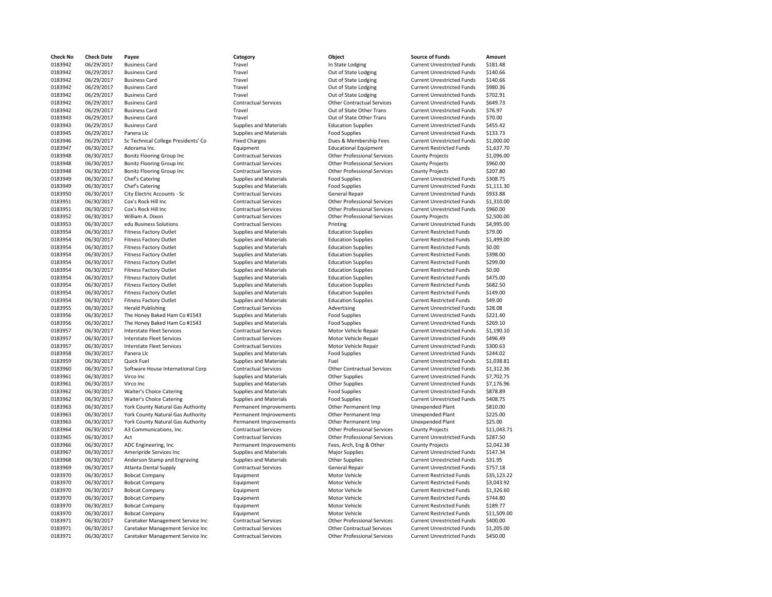**Check No Check Date Payee Category Object Source of Funds Amount** 0183942 06/29/2017 Business Card Travel Travel Travel In State Lodging Current Unrestricted Funds (181.48 outlet<br>1939 05/29/2017 Business Card Travel Travel Travel Cut of State Lodging Current Unrestricted Funds (140.66 ou 0183942 06/29/2017 Business Card Travel Travel Travel Out of State Lodging Current Unrestricted Funds \$140.66 0183942 06/29/2017 Business Card Travel Travel Travel Out of State Lodging Current Unrestricted Funds \$140.66 0183942 06/29/2017 Business Card Travel Out of State Lodging Current Unrestricted Funds \$980.36 0183942 06/29/2017 Business Card Travel Travel Travel Out of State Lodging Current Unrestricted Funds \$702.91 0183942 06/29/2017 Business Card Contractual Services Other Contractual Services Current Unrestricted Funds \$649.73 0183942 06/29/2017 Business Card Travel Out of State Other Trans Current Unrestricted Funds \$76.97 0183943 06/29/2017 Business Card Travel Out of State Other Trans Current Unrestricted Funds \$70.00 0183943 06/29/2017 Business Card Supplies and Materials Education Supplies Current Unrestricted Funds \$455.42 0183945 06/29/2017 Panera Llc Supplies and Materials Food Supplies Current Unrestricted Funds \$133.73 0183946 06/29/2017 Sc Technical College Presidents' Co Fixed Charges Dues & Membership Fees Current Unrestricted Funds \$1,000.00 0183947 06/30/2017 Adorama Inc. Equipment Educational Equipment Current Restricted Funds \$1,637.70 0183948 06/30/2017 Bonitz Flooring Group Inc Contractual Services Other Professional Services County Projects \$1,096.00 0183948 06/30/2017 Bonitz Flooring Group Inc Contractual Services Other Professional Services County Projects \$960.00 0183948 06/30/2017 Bonitz Flooring Group Inc Contractual Services Other Professional Services County Projects \$207.80 0183949 06/30/2017 Chef's Catering Supplies and Materials Food Supplies Current Unrestricted Funds \$308.75 0183949 06/30/2017 Chef's Catering Supplies and Materials Food Supplies Current Unrestricted Funds \$1,111.30 0183950 06/30/2017 City Electric Accounts - Sc Contractual Services General Repair Current Unrestricted Funds \$933.88 0183951 06/30/2017 Cox's Rock Hill Inc Contractual Services Other Professional Services Current Unrestricted Funds \$1,310.00 0183951 06/30/2017 Cox's Rock Hill Inc Contractual Services Current Outer Professional Services Current Unrestricted Funds \$960.00 0183952 06/30/2017 William A. Dixon Contractual Services Other Professional Services County Projects \$2,500.00 0183953 06/30/2017 edu Business Solutions Contractual Services Printing Printing Current Unrestricted Funds \$4,995.00 0183954 06/30/2017 Fitness Factory Outlet Supplies and Materials Education Supplies Current Restricted Funds \$79.00 0183954 06/30/2017 Fitness Factory Outlet Supplies and Materials Education Supplies Current Restricted Funds \$1,499.00 0183954 06/30/2017 Fitness Factory Outlet Supplies and Materials Education Supplies Current Restricted Funds \$0.00 0183954 06/30/2017 Fitness Factory Outlet Supplies and Materials Education Supplies Current Restricted Funds \$398.00 0183954 06/30/2017 Fitness Factory Outlet Supplies and Materials Education Supplies Current Restricted Funds \$299.00 0183954 06/30/2017 Fitness Factory Outlet Supplies and Materials Education Supplies Current Restricted Funds \$0.00 0183954 06/30/2017 Fitness Factory Outlet Supplies and Materials Education Supplies Current Restricted Funds \$475.00 0183954 06/30/2017 Fitness Factory Outlet Supplies and Materials Education Supplies Current Restricted Funds \$682.50 0183954 06/30/2017 Fitness Factory Outlet Supplies and Materials Education Supplies Current Restricted Funds \$149.00 0183954 06/30/2017 Fitness Factory Outlet Supplies and Materials Education Supplies Current Restricted Funds \$49.00 0183955 06/30/2017 Herald Publishing Contractual Services Advertising Current Unrestricted Funds \$28.08 0183956 06/30/2017 The Honey Baked Ham Co #1543 Supplies and Materials Food Supplies Current Unrestricted Funds \$221.40 0183956 06/30/2017 The Honey Baked Ham Co #1543 Supplies and Materials Food Supplies Current Unrestricted Funds \$269.10 0183957 06/30/2017 Interstate Fleet Services Contractual Services Motor Vehicle Repair Current Unrestricted Funds \$1,190.10<br>183957 06/30/2017 Interstate Fleet Services Contractual Services Motor Vehicle Repair Current Unre 0183957 06/30/2017 Interstate Fleet Services Contractual Services Motor Vehicle Repair Current Unrestricted Funds \$496.49 0183957 06/30/2017 Interstate Fleet Services Contractual Services Motor Vehicle Repair Current Unrestricted Funds \$300.63 0183958 06/30/2017 Panera Llc Supplies and Materials Food Supplies Current Unrestricted Funds 5244.02 0183959 06/30/2017 Quick Fuel Supplies and Materials Fuel Fuel Current Unrestricted Funds \$1,038.81 0183960 06/30/2017 Software House International Corp Contractual Services Other Contractual Services Current Unrestricted Funds \$1,312.36<br>183961 06/30/2017 Virco Inc Current Unrestricted Funds \$7,702.75 0183961 06/30/2017 Virco Inc Supplies and Materials Other Supplies Current Unrestricted Funds \$7,702.75 0183961 06/30/2017 Virco Inc Current Unrestricted Funds \$7,176.96 0183962 06/30/2017 Waiter's Choice Catering Supplies and Materials Food Supplies Current Unrestricted Funds \$878.89 0183962 06/30/2017 Waiter's Choice Catering Supplies and Materials Food Supplies Food Supplies Current Unrestricted Funds \$408.75 0183963 06/30/2017 York County Natural Gas Authority Permanent Improvements Other Permanent Imp Unexpended Plant \$810.00 0183963 06/30/2017 York County Natural Gas Authority Permanent Improvements Other Permanent Imp Unexpended Plant \$225.00 0183963 06/30/2017 York County Natural Gas Authority Permanent Improvements Other Permanent Imp Unexpended Plant \$25.00 0183964 06/30/2017 A3 Communications, Inc. Contractual Services Other Professional Services County Projects \$11,043.71 0183965 06/30/2017 Act **Contractual Services** Contractual Services Other Professional Services Current Unrestricted Funds \$287.50 0183966 06/30/2017 ADC Engineering, Inc Permanent Improvements Fees, Arch, Eng & Other County Projects \$2,042.38 0183967 06/30/2017 Ameripride Services Inc Supplies and Materials Major Supplies Current Unrestricted Funds \$147.34 0183968 06/30/2017 Anderson Stamp and Engraving Supplies and Materials Other Supplies Current Unrestricted Funds \$31.95 0183969 06/30/2017 Atlanta Dental Supply Contractual Services General Repair Current Unrestricted Funds \$757.18 0183970 06/30/2017 Bobcat Company **Equipment** Equipment Motor Vehicle Current Restricted Funds \$35,123.22 0183970 06/30/2017 Bobcat Company **Equipment** Equipment Motor Vehicle Current Restricted Funds \$3,043.92 0183970 06/30/2017 Bobcat Company **Equipment** Equipment Motor Vehicle Current Restricted Funds \$1,326.60 0183970 06/30/2017 Bobcat Company **Equipment** Equipment Motor Vehicle Current Restricted Funds \$744.80 0183970 06/30/2017 Bobcat Company **Equipment** Equipment Motor Vehicle Current Restricted Funds \$189.77 0183970 06/30/2017 Bobcat Company **Equipment** Equipment Motor Vehicle Current Restricted Funds \$11,509.00 0183971 06/30/2017 Caretaker Management Service Inc Contractual Services Other Professional Services Current Unrestricted Funds \$400.00 0183971 06/30/2017 Caretaker Management Service Inc Contractual Services Other Contractual Services Current Unrestricted Funds \$1,205.00 0183971 06/30/2017 Caretaker Management Service Inc Contractual Services Other Professional Services Current Unrestricted Funds \$450.00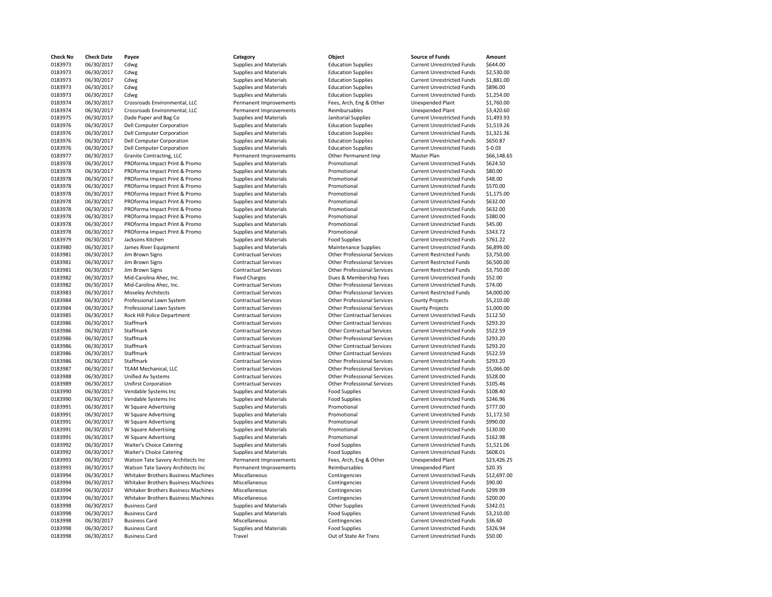| <b>Check No</b>    | <b>Check Date</b> | Payee                               | Category                      | Object                             | <b>Source of Funds</b>            | Amount      |
|--------------------|-------------------|-------------------------------------|-------------------------------|------------------------------------|-----------------------------------|-------------|
| 0183973            | 06/30/2017        | Cdwg                                | Supplies and Materials        | <b>Education Supplies</b>          | <b>Current Unrestricted Funds</b> | \$644.00    |
| 0183973            | 06/30/2017        | Cdwg                                | <b>Supplies and Materials</b> | <b>Education Supplies</b>          | <b>Current Unrestricted Funds</b> | \$2,530.00  |
| 0183973            | 06/30/2017        | Cdwg                                | Supplies and Materials        | <b>Education Supplies</b>          | <b>Current Unrestricted Funds</b> | \$1,881.00  |
| 0183973            | 06/30/2017        | Cdwg                                | Supplies and Materials        | <b>Education Supplies</b>          | <b>Current Unrestricted Funds</b> | \$896.00    |
| 0183973            | 06/30/2017        | Cdwg                                | <b>Supplies and Materials</b> | <b>Education Supplies</b>          | <b>Current Unrestricted Funds</b> | \$1,254.00  |
| 0183974            | 06/30/2017        | Crossroads Environmental, LLC       | Permanent Improvements        | Fees, Arch, Eng & Other            | <b>Unexpended Plant</b>           | \$1,760.00  |
| 0183974            | 06/30/2017        | Crossroads Environmental, LLC       | Permanent Improvements        | Reimbursables                      | <b>Unexpended Plant</b>           | \$3,420.60  |
| 0183975            | 06/30/2017        | Dade Paper and Bag Co               | <b>Supplies and Materials</b> | Janitorial Supplies                | <b>Current Unrestricted Funds</b> | \$1,493.93  |
| 0183976            | 06/30/2017        | <b>Dell Computer Corporation</b>    | <b>Supplies and Materials</b> | <b>Education Supplies</b>          | <b>Current Unrestricted Funds</b> | \$1,519.26  |
| 0183976            | 06/30/2017        | <b>Dell Computer Corporation</b>    | <b>Supplies and Materials</b> | <b>Education Supplies</b>          | <b>Current Unrestricted Funds</b> | \$1,321.36  |
| 0183976            | 06/30/2017        | <b>Dell Computer Corporation</b>    | Supplies and Materials        | <b>Education Supplies</b>          | <b>Current Unrestricted Funds</b> | \$650.87    |
| 0183976            | 06/30/2017        | <b>Dell Computer Corporation</b>    | Supplies and Materials        | <b>Education Supplies</b>          | <b>Current Unrestricted Funds</b> | $$-0.03$    |
| 0183977            | 06/30/2017        | Granite Contracting, LLC            | Permanent Improvements        | Other Permanent Imp                | Master Plan                       | \$66,148.65 |
| 0183978            | 06/30/2017        |                                     |                               |                                    |                                   |             |
|                    |                   | PROforma Impact Print & Promo       | Supplies and Materials        | Promotional                        | <b>Current Unrestricted Funds</b> | \$624.50    |
| 0183978            | 06/30/2017        | PROforma Impact Print & Promo       | <b>Supplies and Materials</b> | Promotional                        | <b>Current Unrestricted Funds</b> | \$80.00     |
| 0183978            | 06/30/2017        | PROforma Impact Print & Promo       | Supplies and Materials        | Promotional                        | <b>Current Unrestricted Funds</b> | \$48.00     |
| 0183978            | 06/30/2017        | PROforma Impact Print & Promo       | <b>Supplies and Materials</b> | Promotional                        | <b>Current Unrestricted Funds</b> | \$570.00    |
| 0183978            | 06/30/2017        | PROforma Impact Print & Promo       | <b>Supplies and Materials</b> | Promotional                        | <b>Current Unrestricted Funds</b> | \$1,175.00  |
| 0183978            | 06/30/2017        | PROforma Impact Print & Promo       | Supplies and Materials        | Promotional                        | <b>Current Unrestricted Funds</b> | \$632.00    |
| 0183978            | 06/30/2017        | PROforma Impact Print & Promo       | Supplies and Materials        | Promotional                        | <b>Current Unrestricted Funds</b> | \$632.00    |
| 0183978            | 06/30/2017        | PROforma Impact Print & Promo       | Supplies and Materials        | Promotional                        | <b>Current Unrestricted Funds</b> | \$380.00    |
| 0183978            | 06/30/2017        | PROforma Impact Print & Promo       | <b>Supplies and Materials</b> | Promotional                        | <b>Current Unrestricted Funds</b> | \$45.00     |
| 0183978            | 06/30/2017        | PROforma Impact Print & Promo       | <b>Supplies and Materials</b> | Promotional                        | <b>Current Unrestricted Funds</b> | \$343.72    |
| 0183979            | 06/30/2017        | Jacksons Kitchen                    | Supplies and Materials        | <b>Food Supplies</b>               | <b>Current Unrestricted Funds</b> | \$761.22    |
| 0183980            | 06/30/2017        | James River Equipment               | <b>Supplies and Materials</b> | Maintenance Supplies               | <b>Current Unrestricted Funds</b> | \$6,899.00  |
| 0183981            | 06/30/2017        | Jim Brown Signs                     | <b>Contractual Services</b>   | <b>Other Professional Services</b> | <b>Current Restricted Funds</b>   | \$3,750.00  |
| 0183981            | 06/30/2017        | Jim Brown Signs                     | <b>Contractual Services</b>   | <b>Other Professional Services</b> | <b>Current Restricted Funds</b>   | \$6,500.00  |
| 0183981            | 06/30/2017        | Jim Brown Signs                     | <b>Contractual Services</b>   | <b>Other Professional Services</b> | <b>Current Restricted Funds</b>   | \$3,750.00  |
| 0183982            | 06/30/2017        | Mid-Carolina Ahec, Inc.             | <b>Fixed Charges</b>          | Dues & Membership Fees             | <b>Current Unrestricted Funds</b> | \$52.00     |
| 0183982            | 06/30/2017        | Mid-Carolina Ahec, Inc.             | <b>Contractual Services</b>   | <b>Other Professional Services</b> | <b>Current Unrestricted Funds</b> | \$74.00     |
| 0183983            | 06/30/2017        | <b>Moseley Architects</b>           | <b>Contractual Services</b>   | <b>Other Professional Services</b> | <b>Current Restricted Funds</b>   | \$4,000.00  |
| 0183984            | 06/30/2017        | Professional Lawn System            | <b>Contractual Services</b>   | <b>Other Professional Services</b> | <b>County Projects</b>            | \$5,210.00  |
| 0183984            | 06/30/2017        | Professional Lawn System            | <b>Contractual Services</b>   | <b>Other Professional Services</b> | <b>County Projects</b>            | \$1,000.00  |
| 0183985            | 06/30/2017        | Rock Hill Police Department         | <b>Contractual Services</b>   | <b>Other Contractual Services</b>  | <b>Current Unrestricted Funds</b> | \$112.50    |
| 0183986            | 06/30/2017        | Staffmark                           | <b>Contractual Services</b>   | <b>Other Contractual Services</b>  | <b>Current Unrestricted Funds</b> | \$293.20    |
| 0183986            | 06/30/2017        | Staffmark                           | <b>Contractual Services</b>   | <b>Other Contractual Services</b>  | <b>Current Unrestricted Funds</b> | \$522.59    |
| 0183986            | 06/30/2017        | Staffmark                           | <b>Contractual Services</b>   | <b>Other Professional Services</b> | <b>Current Unrestricted Funds</b> | \$293.20    |
| 0183986            | 06/30/2017        | Staffmark                           | <b>Contractual Services</b>   | <b>Other Contractual Services</b>  | <b>Current Unrestricted Funds</b> | \$293.20    |
|                    | 06/30/2017        | Staffmark                           | <b>Contractual Services</b>   | <b>Other Contractual Services</b>  | <b>Current Unrestricted Funds</b> | \$522.59    |
| 0183986<br>0183986 | 06/30/2017        | Staffmark                           | <b>Contractual Services</b>   | <b>Other Professional Services</b> | <b>Current Unrestricted Funds</b> | \$293.20    |
|                    |                   |                                     |                               |                                    |                                   |             |
| 0183987            | 06/30/2017        | TEAM Mechanical, LLC                | <b>Contractual Services</b>   | <b>Other Professional Services</b> | <b>Current Unrestricted Funds</b> | \$5,066.00  |
| 0183988            | 06/30/2017        | Unified Av Systems                  | <b>Contractual Services</b>   | <b>Other Professional Services</b> | <b>Current Unrestricted Funds</b> | \$528.00    |
| 0183989            | 06/30/2017        | <b>Unifirst Corporation</b>         | <b>Contractual Services</b>   | <b>Other Professional Services</b> | <b>Current Unrestricted Funds</b> | \$105.46    |
| 0183990            | 06/30/2017        | Vendable Systems Inc                | Supplies and Materials        | <b>Food Supplies</b>               | <b>Current Unrestricted Funds</b> | \$108.40    |
| 0183990            | 06/30/2017        | Vendable Systems Inc                | Supplies and Materials        | <b>Food Supplies</b>               | <b>Current Unrestricted Funds</b> | \$246.96    |
| 0183991            | 06/30/2017        | W Square Advertising                | <b>Supplies and Materials</b> | Promotional                        | <b>Current Unrestricted Funds</b> | \$777.00    |
| 0183991            | 06/30/2017        | W Square Advertising                | <b>Supplies and Materials</b> | Promotional                        | <b>Current Unrestricted Funds</b> | \$1,172.50  |
| 0183991            | 06/30/2017        | W Square Advertising                | Supplies and Materials        | Promotional                        | <b>Current Unrestricted Funds</b> | \$990.00    |
| 0183991            | 06/30/2017        | W Square Advertising                | <b>Supplies and Materials</b> | Promotional                        | <b>Current Unrestricted Funds</b> | \$130.00    |
| 0183991            | 06/30/2017        | W Square Advertising                | <b>Supplies and Materials</b> | Promotional                        | <b>Current Unrestricted Funds</b> | \$162.98    |
| 0183992            | 06/30/2017        | <b>Waiter's Choice Catering</b>     | Supplies and Materials        | <b>Food Supplies</b>               | <b>Current Unrestricted Funds</b> | \$1,521.06  |
| 0183992            | 06/30/2017        | <b>Waiter's Choice Catering</b>     | Supplies and Materials        | <b>Food Supplies</b>               | Current Unrestricted Funds        | \$608.01    |
| 0183993            | 06/30/2017        | Watson Tate Savory Architects Inc   | Permanent Improvements        | Fees, Arch, Eng & Other            | <b>Unexpended Plant</b>           | \$23,426.25 |
| 0183993            | 06/30/2017        | Watson Tate Savory Architects Inc   | Permanent Improvements        | Reimbursables                      | <b>Unexpended Plant</b>           | \$20.35     |
| 0183994            | 06/30/2017        | Whitaker Brothers Business Machines | Miscellaneous                 | Contingencies                      | <b>Current Unrestricted Funds</b> | \$12,697.00 |
| 0183994            | 06/30/2017        | Whitaker Brothers Business Machines | Miscellaneous                 | Contingencies                      | <b>Current Unrestricted Funds</b> | \$90.00     |
| 0183994            | 06/30/2017        | Whitaker Brothers Business Machines | Miscellaneous                 | Contingencies                      | <b>Current Unrestricted Funds</b> | \$299.99    |
| 0183994            | 06/30/2017        | Whitaker Brothers Business Machines | Miscellaneous                 | Contingencies                      | <b>Current Unrestricted Funds</b> | \$200.00    |
| 0183998            | 06/30/2017        | <b>Business Card</b>                | <b>Supplies and Materials</b> | Other Supplies                     | <b>Current Unrestricted Funds</b> | \$342.01    |
| 0183998            | 06/30/2017        | <b>Business Card</b>                | <b>Supplies and Materials</b> | <b>Food Supplies</b>               | <b>Current Unrestricted Funds</b> | \$3,210.00  |
| 0183998            | 06/30/2017        | <b>Business Card</b>                | Miscellaneous                 | Contingencies                      | <b>Current Unrestricted Funds</b> | \$36.60     |
| 0183998            | 06/30/2017        | <b>Business Card</b>                | Supplies and Materials        | <b>Food Supplies</b>               | <b>Current Unrestricted Funds</b> | \$326.94    |
| 0183998            | 06/30/2017        | <b>Business Card</b>                | Travel                        | Out of State Air Trans             | <b>Current Unrestricted Funds</b> | \$50.00     |
|                    |                   |                                     |                               |                                    |                                   |             |

| Category                      | Object                             | <b>Source of Funds</b>            | Amount      |
|-------------------------------|------------------------------------|-----------------------------------|-------------|
| <b>Supplies and Materials</b> | <b>Education Supplies</b>          | <b>Current Unrestricted Funds</b> | \$644.00    |
| <b>Supplies and Materials</b> | <b>Education Supplies</b>          | <b>Current Unrestricted Funds</b> | \$2,530.00  |
| <b>Supplies and Materials</b> | <b>Education Supplies</b>          | <b>Current Unrestricted Funds</b> | \$1,881.00  |
| <b>Supplies and Materials</b> | <b>Education Supplies</b>          | <b>Current Unrestricted Funds</b> | \$896.00    |
| <b>Supplies and Materials</b> | <b>Education Supplies</b>          | <b>Current Unrestricted Funds</b> | \$1,254.00  |
| Permanent Improvements        | Fees, Arch, Eng & Other            | <b>Unexpended Plant</b>           | \$1,760.00  |
| Permanent Improvements        | Reimbursables                      | <b>Unexpended Plant</b>           | \$3,420.60  |
| <b>Supplies and Materials</b> | Janitorial Supplies                | <b>Current Unrestricted Funds</b> | \$1,493.93  |
| Supplies and Materials        | <b>Education Supplies</b>          | <b>Current Unrestricted Funds</b> | \$1,519.26  |
| <b>Supplies and Materials</b> | <b>Education Supplies</b>          | <b>Current Unrestricted Funds</b> | \$1,321.36  |
| <b>Supplies and Materials</b> | <b>Education Supplies</b>          | <b>Current Unrestricted Funds</b> | \$650.87    |
| <b>Supplies and Materials</b> | <b>Education Supplies</b>          | <b>Current Unrestricted Funds</b> | $$-0.03$    |
| Permanent Improvements        | Other Permanent Imp                | Master Plan                       |             |
|                               |                                    |                                   | \$66,148.65 |
| <b>Supplies and Materials</b> | Promotional                        | <b>Current Unrestricted Funds</b> | \$624.50    |
| <b>Supplies and Materials</b> | Promotional                        | <b>Current Unrestricted Funds</b> | \$80.00     |
| <b>Supplies and Materials</b> | Promotional                        | <b>Current Unrestricted Funds</b> | \$48.00     |
| <b>Supplies and Materials</b> | Promotional                        | <b>Current Unrestricted Funds</b> | \$570.00    |
| <b>Supplies and Materials</b> | Promotional                        | <b>Current Unrestricted Funds</b> | \$1,175.00  |
| Supplies and Materials        | Promotional                        | <b>Current Unrestricted Funds</b> | \$632.00    |
| <b>Supplies and Materials</b> | Promotional                        | <b>Current Unrestricted Funds</b> | \$632.00    |
| <b>Supplies and Materials</b> | Promotional                        | <b>Current Unrestricted Funds</b> | \$380.00    |
| <b>Supplies and Materials</b> | Promotional                        | <b>Current Unrestricted Funds</b> | \$45.00     |
| Supplies and Materials        | Promotional                        | <b>Current Unrestricted Funds</b> | \$343.72    |
| <b>Supplies and Materials</b> | <b>Food Supplies</b>               | <b>Current Unrestricted Funds</b> | \$761.22    |
| <b>Supplies and Materials</b> | Maintenance Supplies               | <b>Current Unrestricted Funds</b> | \$6,899.00  |
| <b>Contractual Services</b>   | <b>Other Professional Services</b> | <b>Current Restricted Funds</b>   | \$3,750.00  |
| <b>Contractual Services</b>   | <b>Other Professional Services</b> | <b>Current Restricted Funds</b>   | \$6,500.00  |
| <b>Contractual Services</b>   | <b>Other Professional Services</b> | <b>Current Restricted Funds</b>   | \$3,750.00  |
| <b>Fixed Charges</b>          | Dues & Membership Fees             | <b>Current Unrestricted Funds</b> | \$52.00     |
| <b>Contractual Services</b>   | <b>Other Professional Services</b> | <b>Current Unrestricted Funds</b> | \$74.00     |
| <b>Contractual Services</b>   | <b>Other Professional Services</b> | <b>Current Restricted Funds</b>   | \$4,000.00  |
| <b>Contractual Services</b>   | <b>Other Professional Services</b> | <b>County Projects</b>            | \$5,210.00  |
| <b>Contractual Services</b>   | <b>Other Professional Services</b> | <b>County Projects</b>            | \$1,000.00  |
| <b>Contractual Services</b>   | <b>Other Contractual Services</b>  | <b>Current Unrestricted Funds</b> | \$112.50    |
| <b>Contractual Services</b>   | <b>Other Contractual Services</b>  | <b>Current Unrestricted Funds</b> | \$293.20    |
| <b>Contractual Services</b>   | <b>Other Contractual Services</b>  | <b>Current Unrestricted Funds</b> | \$522.59    |
| <b>Contractual Services</b>   | <b>Other Professional Services</b> | <b>Current Unrestricted Funds</b> | \$293.20    |
| <b>Contractual Services</b>   | <b>Other Contractual Services</b>  | <b>Current Unrestricted Funds</b> | \$293.20    |
| <b>Contractual Services</b>   | <b>Other Contractual Services</b>  | <b>Current Unrestricted Funds</b> | \$522.59    |
| <b>Contractual Services</b>   | <b>Other Professional Services</b> | <b>Current Unrestricted Funds</b> | \$293.20    |
| <b>Contractual Services</b>   | <b>Other Professional Services</b> | <b>Current Unrestricted Funds</b> | \$5,066.00  |
| <b>Contractual Services</b>   | <b>Other Professional Services</b> | <b>Current Unrestricted Funds</b> | \$528.00    |
| <b>Contractual Services</b>   | <b>Other Professional Services</b> | <b>Current Unrestricted Funds</b> | \$105.46    |
| Supplies and Materials        | <b>Food Supplies</b>               | <b>Current Unrestricted Funds</b> | \$108.40    |
| Supplies and Materials        | <b>Food Supplies</b>               | <b>Current Unrestricted Funds</b> | \$246.96    |
| <b>Supplies and Materials</b> | Promotional                        | <b>Current Unrestricted Funds</b> | \$777.00    |
| Supplies and Materials        | Promotional                        | <b>Current Unrestricted Funds</b> | \$1,172.50  |
| <b>Supplies and Materials</b> | Promotional                        | <b>Current Unrestricted Funds</b> | \$990.00    |
|                               |                                    |                                   |             |
| <b>Supplies and Materials</b> | Promotional                        | <b>Current Unrestricted Funds</b> | \$130.00    |
| <b>Supplies and Materials</b> | Promotional                        | <b>Current Unrestricted Funds</b> | \$162.98    |
| <b>Supplies and Materials</b> | <b>Food Supplies</b>               | <b>Current Unrestricted Funds</b> | \$1,521.06  |
| <b>Supplies and Materials</b> | <b>Food Supplies</b>               | <b>Current Unrestricted Funds</b> | \$608.01    |
| Permanent Improvements        | Fees, Arch, Eng & Other            | <b>Unexpended Plant</b>           | \$23,426.25 |
| Permanent Improvements        | Reimbursables                      | <b>Unexpended Plant</b>           | \$20.35     |
| Miscellaneous                 | Contingencies                      | <b>Current Unrestricted Funds</b> | \$12,697.00 |
| Miscellaneous                 | Contingencies                      | <b>Current Unrestricted Funds</b> | \$90.00     |
| Miscellaneous                 | Contingencies                      | <b>Current Unrestricted Funds</b> | \$299.99    |
| Miscellaneous                 | Contingencies                      | <b>Current Unrestricted Funds</b> | \$200.00    |
| Supplies and Materials        | <b>Other Supplies</b>              | <b>Current Unrestricted Funds</b> | \$342.01    |
| <b>Supplies and Materials</b> |                                    |                                   |             |
|                               | <b>Food Supplies</b>               | <b>Current Unrestricted Funds</b> | \$3,210.00  |
| Miscellaneous                 | Contingencies                      | <b>Current Unrestricted Funds</b> | \$36.60     |
| <b>Supplies and Materials</b> | <b>Food Supplies</b>               | <b>Current Unrestricted Funds</b> | \$326.94    |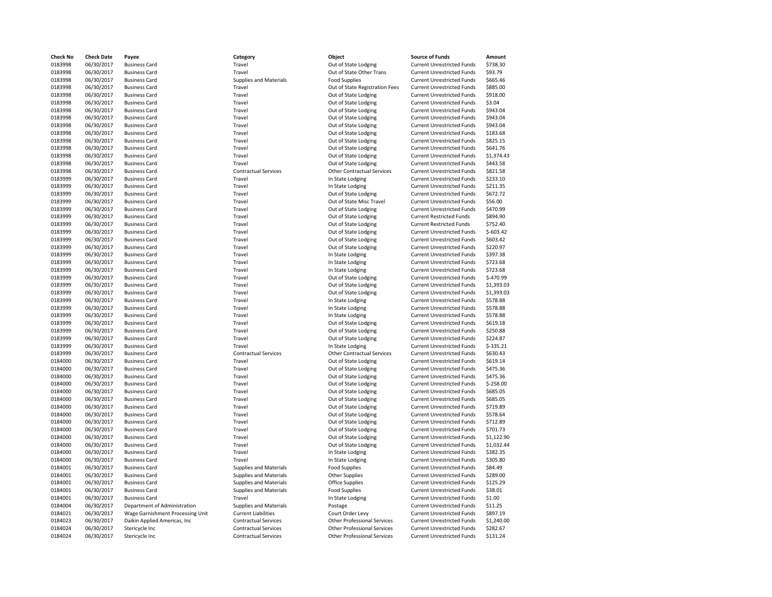| Check No | <b>Check Date</b> | Payee                            | Category                      | Object                             | <b>Source of Funds</b>            | Amount     |
|----------|-------------------|----------------------------------|-------------------------------|------------------------------------|-----------------------------------|------------|
| 0183998  | 06/30/2017        | <b>Business Card</b>             | Travel                        | Out of State Lodging               | <b>Current Unrestricted Funds</b> | \$738.30   |
| 0183998  | 06/30/2017        | <b>Business Card</b>             | Travel                        | Out of State Other Trans           | <b>Current Unrestricted Funds</b> | \$93.79    |
| 0183998  | 06/30/2017        | <b>Business Card</b>             | <b>Supplies and Materials</b> | <b>Food Supplies</b>               | <b>Current Unrestricted Funds</b> | \$665.46   |
| 0183998  | 06/30/2017        | <b>Business Card</b>             | Travel                        | Out of State Registration Fees     | <b>Current Unrestricted Funds</b> | \$885.00   |
| 0183998  | 06/30/2017        | <b>Business Card</b>             | Travel                        | Out of State Lodging               | <b>Current Unrestricted Funds</b> | \$918.00   |
|          | 06/30/2017        |                                  | Travel                        |                                    |                                   |            |
| 0183998  |                   | <b>Business Card</b>             |                               | Out of State Lodging               | <b>Current Unrestricted Funds</b> | \$3.04     |
| 0183998  | 06/30/2017        | <b>Business Card</b>             | Travel                        | Out of State Lodging               | <b>Current Unrestricted Funds</b> | \$943.04   |
| 0183998  | 06/30/2017        | <b>Business Card</b>             | Travel                        | Out of State Lodging               | <b>Current Unrestricted Funds</b> | \$943.04   |
| 0183998  | 06/30/2017        | <b>Business Card</b>             | Travel                        | Out of State Lodging               | <b>Current Unrestricted Funds</b> | \$943.04   |
| 0183998  | 06/30/2017        | <b>Business Card</b>             | Travel                        | Out of State Lodging               | <b>Current Unrestricted Funds</b> | \$183.68   |
| 0183998  | 06/30/2017        | <b>Business Card</b>             | Travel                        | Out of State Lodging               | <b>Current Unrestricted Funds</b> | \$825.15   |
| 0183998  | 06/30/2017        | <b>Business Card</b>             | Travel                        | Out of State Lodging               | <b>Current Unrestricted Funds</b> | \$641.76   |
| 0183998  | 06/30/2017        | <b>Business Card</b>             | Travel                        | Out of State Lodging               | <b>Current Unrestricted Funds</b> | \$1,374.43 |
| 0183998  | 06/30/2017        | <b>Business Card</b>             | Travel                        | Out of State Lodging               | <b>Current Unrestricted Funds</b> | \$443.58   |
| 0183998  | 06/30/2017        | <b>Business Card</b>             | <b>Contractual Services</b>   | <b>Other Contractual Services</b>  | <b>Current Unrestricted Funds</b> | \$821.58   |
| 0183999  | 06/30/2017        | <b>Business Card</b>             | Travel                        | In State Lodging                   | <b>Current Unrestricted Funds</b> | \$233.10   |
| 0183999  | 06/30/2017        | <b>Business Card</b>             | Travel                        | In State Lodging                   | <b>Current Unrestricted Funds</b> | \$211.35   |
| 0183999  | 06/30/2017        | <b>Business Card</b>             | Travel                        | Out of State Lodging               | <b>Current Unrestricted Funds</b> | \$672.72   |
| 0183999  | 06/30/2017        | <b>Business Card</b>             | Travel                        | Out of State Misc Travel           | <b>Current Unrestricted Funds</b> | \$56.00    |
| 0183999  | 06/30/2017        | <b>Business Card</b>             | Travel                        | Out of State Lodging               | <b>Current Unrestricted Funds</b> | \$470.99   |
| 0183999  | 06/30/2017        | <b>Business Card</b>             | Travel                        | Out of State Lodging               | <b>Current Restricted Funds</b>   | \$894.90   |
| 0183999  | 06/30/2017        | <b>Business Card</b>             | Travel                        | Out of State Lodging               | <b>Current Restricted Funds</b>   | \$752.40   |
| 0183999  | 06/30/2017        | <b>Business Card</b>             | Travel                        | Out of State Lodging               | <b>Current Unrestricted Funds</b> | $$-603.42$ |
| 0183999  | 06/30/2017        | <b>Business Card</b>             | Travel                        | Out of State Lodging               | <b>Current Unrestricted Funds</b> | \$603.42   |
| 0183999  | 06/30/2017        | <b>Business Card</b>             | Travel                        | Out of State Lodging               | <b>Current Unrestricted Funds</b> | \$220.97   |
| 0183999  | 06/30/2017        | <b>Business Card</b>             | Travel                        | In State Lodging                   | <b>Current Unrestricted Funds</b> | \$397.38   |
| 0183999  | 06/30/2017        | <b>Business Card</b>             | Travel                        | In State Lodging                   | <b>Current Unrestricted Funds</b> | \$723.68   |
| 0183999  | 06/30/2017        | <b>Business Card</b>             | Travel                        | In State Lodging                   | <b>Current Unrestricted Funds</b> | \$723.68   |
| 0183999  | 06/30/2017        | <b>Business Card</b>             | Travel                        | Out of State Lodging               | <b>Current Unrestricted Funds</b> | \$-470.99  |
|          | 06/30/2017        |                                  | Travel                        |                                    |                                   |            |
| 0183999  |                   | <b>Business Card</b>             |                               | Out of State Lodging               | <b>Current Unrestricted Funds</b> | \$1,393.03 |
| 0183999  | 06/30/2017        | <b>Business Card</b>             | Travel                        | Out of State Lodging               | <b>Current Unrestricted Funds</b> | \$1,393.03 |
| 0183999  | 06/30/2017        | <b>Business Card</b>             | Travel                        | In State Lodging                   | <b>Current Unrestricted Funds</b> | \$578.88   |
| 0183999  | 06/30/2017        | <b>Business Card</b>             | Travel                        | In State Lodging                   | <b>Current Unrestricted Funds</b> | \$578.88   |
| 0183999  | 06/30/2017        | <b>Business Card</b>             | Travel                        | In State Lodging                   | <b>Current Unrestricted Funds</b> | \$578.88   |
| 0183999  | 06/30/2017        | <b>Business Card</b>             | Travel                        | Out of State Lodging               | <b>Current Unrestricted Funds</b> | \$619.18   |
| 0183999  | 06/30/2017        | <b>Business Card</b>             | Travel                        | Out of State Lodging               | <b>Current Unrestricted Funds</b> | \$250.88   |
| 0183999  | 06/30/2017        | <b>Business Card</b>             | Travel                        | Out of State Lodging               | <b>Current Unrestricted Funds</b> | \$224.87   |
| 0183999  | 06/30/2017        | <b>Business Card</b>             | Travel                        | In State Lodging                   | <b>Current Unrestricted Funds</b> | \$-335.21  |
| 0183999  | 06/30/2017        | <b>Business Card</b>             | <b>Contractual Services</b>   | <b>Other Contractual Services</b>  | <b>Current Unrestricted Funds</b> | \$630.43   |
| 0184000  | 06/30/2017        | <b>Business Card</b>             | Travel                        | Out of State Lodging               | <b>Current Unrestricted Funds</b> | \$619.14   |
| 0184000  | 06/30/2017        | <b>Business Card</b>             | Travel                        | Out of State Lodging               | <b>Current Unrestricted Funds</b> | \$475.36   |
| 0184000  | 06/30/2017        | <b>Business Card</b>             | Travel                        | Out of State Lodging               | <b>Current Unrestricted Funds</b> | \$475.36   |
| 0184000  | 06/30/2017        | <b>Business Card</b>             | Travel                        | Out of State Lodging               | <b>Current Unrestricted Funds</b> | $$-258.00$ |
| 0184000  | 06/30/2017        | <b>Business Card</b>             | Travel                        | Out of State Lodging               | <b>Current Unrestricted Funds</b> | \$685.05   |
| 0184000  | 06/30/2017        | <b>Business Card</b>             | Travel                        | Out of State Lodging               | <b>Current Unrestricted Funds</b> | \$685.05   |
| 0184000  | 06/30/2017        | <b>Business Card</b>             | Travel                        | Out of State Lodging               | <b>Current Unrestricted Funds</b> | \$719.89   |
| 0184000  | 06/30/2017        | <b>Business Card</b>             | Travel                        | Out of State Lodging               | <b>Current Unrestricted Funds</b> | \$578.64   |
| 0184000  | 06/30/2017        | <b>Business Card</b>             | Travel                        | Out of State Lodging               | <b>Current Unrestricted Funds</b> | \$712.89   |
| 0184000  | 06/30/2017        | <b>Business Card</b>             | Travel                        | Out of State Lodging               | <b>Current Unrestricted Funds</b> | \$701.73   |
| 0184000  | 06/30/2017        | <b>Business Card</b>             | Travel                        | Out of State Lodging               | <b>Current Unrestricted Funds</b> | \$1,122.90 |
| 0184000  | 06/30/2017        | <b>Business Card</b>             | Travel                        | Out of State Lodging               | <b>Current Unrestricted Funds</b> | \$1,032.44 |
| 0184000  | 06/30/2017        | <b>Business Card</b>             | Travel                        | In State Lodging                   | <b>Current Unrestricted Funds</b> | \$382.35   |
| 0184000  | 06/30/2017        | <b>Business Card</b>             | Travel                        | In State Lodging                   | <b>Current Unrestricted Funds</b> | \$305.80   |
| 0184001  | 06/30/2017        | <b>Business Card</b>             | <b>Supplies and Materials</b> | <b>Food Supplies</b>               | <b>Current Unrestricted Funds</b> | \$84.49    |
| 0184001  | 06/30/2017        | <b>Business Card</b>             | <b>Supplies and Materials</b> | <b>Other Supplies</b>              | <b>Current Unrestricted Funds</b> | \$289.00   |
| 0184001  | 06/30/2017        | <b>Business Card</b>             | Supplies and Materials        | <b>Office Supplies</b>             | <b>Current Unrestricted Funds</b> | \$125.29   |
| 0184001  | 06/30/2017        | <b>Business Card</b>             | <b>Supplies and Materials</b> | <b>Food Supplies</b>               | <b>Current Unrestricted Funds</b> | \$38.01    |
| 0184001  | 06/30/2017        | <b>Business Card</b>             | Travel                        | In State Lodging                   | <b>Current Unrestricted Funds</b> | \$1.00     |
| 0184004  | 06/30/2017        | Department of Administration     | Supplies and Materials        |                                    | <b>Current Unrestricted Funds</b> | \$11.25    |
|          |                   |                                  | <b>Current Liabilities</b>    | Postage                            |                                   |            |
| 0184021  | 06/30/2017        | Wage Garnishment Processing Unit | <b>Contractual Services</b>   | Court Order Levy                   | <b>Current Unrestricted Funds</b> | \$897.19   |
| 0184023  | 06/30/2017        | Daikin Applied Americas, Inc.    |                               | <b>Other Professional Services</b> | <b>Current Unrestricted Funds</b> | \$1,240.00 |
| 0184024  | 06/30/2017        | Stericycle Inc                   | <b>Contractual Services</b>   | <b>Other Professional Services</b> | <b>Current Unrestricted Funds</b> | \$282.67   |
| 0184024  | 06/30/2017        | Stericycle Inc                   | <b>Contractual Services</b>   | <b>Other Professional Services</b> | <b>Current Unrestricted Funds</b> | \$131.24   |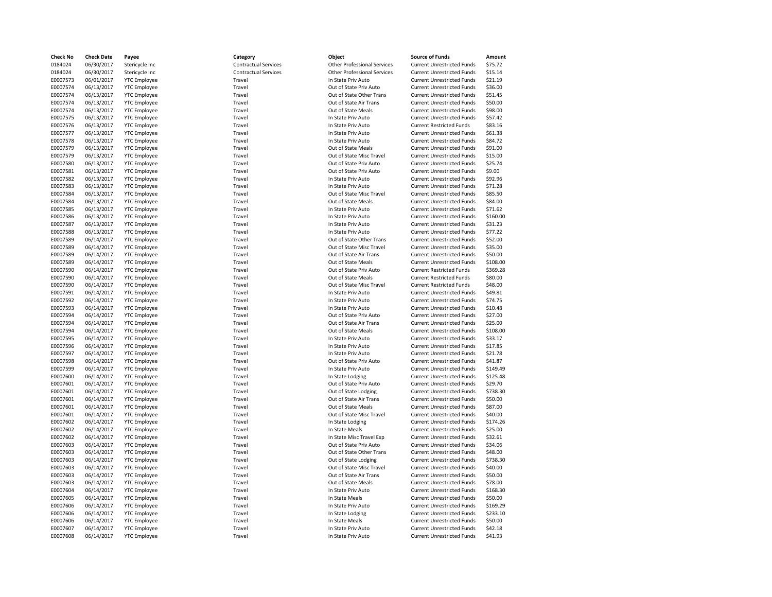| Check No | <b>Check Date</b> | Payee               | Category                    | Object                                           | <b>Source of Funds</b>            | Amount   |
|----------|-------------------|---------------------|-----------------------------|--------------------------------------------------|-----------------------------------|----------|
| 0184024  | 06/30/2017        | Stericycle Inc      | <b>Contractual Services</b> | <b>Other Professional Services</b>               | <b>Current Unrestricted Funds</b> | \$75.72  |
| 0184024  | 06/30/2017        | Stericycle Inc      | <b>Contractual Services</b> | <b>Other Professional Services</b>               | <b>Current Unrestricted Funds</b> | \$15.14  |
| E0007573 | 06/01/2017        | <b>YTC Employee</b> | Travel                      | In State Priv Auto                               | <b>Current Unrestricted Funds</b> | \$21.19  |
| E0007574 | 06/13/2017        | <b>YTC Employee</b> | Travel                      | Out of State Priv Auto                           | <b>Current Unrestricted Funds</b> | \$36.00  |
| E0007574 | 06/13/2017        | <b>YTC Employee</b> | Travel                      | Out of State Other Trans                         | <b>Current Unrestricted Funds</b> | \$51.45  |
| E0007574 | 06/13/2017        | <b>YTC Employee</b> | Travel                      | Out of State Air Trans                           | <b>Current Unrestricted Funds</b> | \$50.00  |
| E0007574 | 06/13/2017        | <b>YTC Employee</b> | Travel                      | Out of State Meals                               | <b>Current Unrestricted Funds</b> | \$98.00  |
| E0007575 | 06/13/2017        | <b>YTC Employee</b> | Travel                      | In State Priv Auto                               | <b>Current Unrestricted Funds</b> | \$57.42  |
| E0007576 | 06/13/2017        | <b>YTC Employee</b> | Travel                      | In State Priv Auto                               | <b>Current Restricted Funds</b>   | \$83.16  |
|          |                   |                     |                             |                                                  |                                   |          |
| E0007577 | 06/13/2017        | <b>YTC Employee</b> | Travel                      | In State Priv Auto                               | <b>Current Unrestricted Funds</b> | \$61.38  |
| E0007578 | 06/13/2017        | <b>YTC Employee</b> | Travel                      | In State Priv Auto                               | <b>Current Unrestricted Funds</b> | \$84.72  |
| E0007579 | 06/13/2017        | <b>YTC Employee</b> | Travel                      | Out of State Meals                               | <b>Current Unrestricted Funds</b> | \$91.00  |
| E0007579 | 06/13/2017        | <b>YTC Employee</b> | Travel                      | Out of State Misc Travel                         | <b>Current Unrestricted Funds</b> | \$15.00  |
| E0007580 | 06/13/2017        | <b>YTC Employee</b> | Travel                      | Out of State Priv Auto                           | <b>Current Unrestricted Funds</b> | \$25.74  |
| E0007581 | 06/13/2017        | <b>YTC Employee</b> | Travel                      | Out of State Priv Auto                           | <b>Current Unrestricted Funds</b> | \$9.00   |
| E0007582 | 06/13/2017        | <b>YTC Employee</b> | Travel                      | In State Priv Auto                               | <b>Current Unrestricted Funds</b> | \$92.96  |
| E0007583 | 06/13/2017        | <b>YTC Employee</b> | Travel                      | In State Priv Auto                               | <b>Current Unrestricted Funds</b> | \$71.28  |
| E0007584 | 06/13/2017        | <b>YTC Employee</b> | Travel                      | Out of State Misc Travel                         | <b>Current Unrestricted Funds</b> | \$85.50  |
| E0007584 | 06/13/2017        | <b>YTC Employee</b> | Travel                      | Out of State Meals                               | <b>Current Unrestricted Funds</b> | \$84.00  |
| E0007585 | 06/13/2017        | <b>YTC Employee</b> | Travel                      | In State Priv Auto                               | <b>Current Unrestricted Funds</b> | \$71.62  |
| E0007586 | 06/13/2017        | <b>YTC Employee</b> | Travel                      | In State Priv Auto                               | <b>Current Unrestricted Funds</b> | \$160.00 |
| E0007587 | 06/13/2017        | <b>YTC Employee</b> | Travel                      | In State Priv Auto                               | <b>Current Unrestricted Funds</b> | \$31.23  |
| E0007588 | 06/13/2017        | <b>YTC Employee</b> | Travel                      | In State Priv Auto                               | <b>Current Unrestricted Funds</b> | \$77.22  |
| E0007589 | 06/14/2017        | <b>YTC Employee</b> | Travel                      | Out of State Other Trans                         | <b>Current Unrestricted Funds</b> | \$52.00  |
| E0007589 | 06/14/2017        | <b>YTC Employee</b> | Travel                      | Out of State Misc Travel                         | <b>Current Unrestricted Funds</b> | \$35.00  |
| E0007589 | 06/14/2017        | <b>YTC Employee</b> | Travel                      | Out of State Air Trans                           | <b>Current Unrestricted Funds</b> | \$50.00  |
| E0007589 | 06/14/2017        | <b>YTC Employee</b> | Travel                      | Out of State Meals                               | <b>Current Unrestricted Funds</b> | \$108.00 |
| E0007590 | 06/14/2017        | <b>YTC Employee</b> | Travel                      | Out of State Priv Auto                           | <b>Current Restricted Funds</b>   | \$369.28 |
| E0007590 | 06/14/2017        | <b>YTC Employee</b> | Travel                      | Out of State Meals                               | <b>Current Restricted Funds</b>   | \$80.00  |
| E0007590 | 06/14/2017        | <b>YTC Employee</b> | Travel                      | Out of State Misc Travel                         | <b>Current Restricted Funds</b>   | \$48.00  |
| E0007591 | 06/14/2017        | <b>YTC Employee</b> | Travel                      | In State Priv Auto                               | <b>Current Unrestricted Funds</b> | \$49.81  |
| E0007592 | 06/14/2017        | <b>YTC Employee</b> | Travel                      | In State Priv Auto                               | <b>Current Unrestricted Funds</b> | \$74.75  |
| E0007593 | 06/14/2017        | <b>YTC Employee</b> | Travel                      | In State Priv Auto                               | <b>Current Unrestricted Funds</b> | \$10.48  |
|          |                   |                     |                             |                                                  |                                   |          |
| E0007594 | 06/14/2017        | <b>YTC Employee</b> | Travel<br>Travel            | Out of State Priv Auto<br>Out of State Air Trans | <b>Current Unrestricted Funds</b> | \$27.00  |
| E0007594 | 06/14/2017        | <b>YTC Employee</b> |                             |                                                  | <b>Current Unrestricted Funds</b> | \$25.00  |
| E0007594 | 06/14/2017        | <b>YTC Employee</b> | Travel                      | Out of State Meals                               | <b>Current Unrestricted Funds</b> | \$108.00 |
| E0007595 | 06/14/2017        | <b>YTC Employee</b> | Travel                      | In State Priv Auto                               | <b>Current Unrestricted Funds</b> | \$33.17  |
| E0007596 | 06/14/2017        | <b>YTC Employee</b> | Travel                      | In State Priv Auto                               | <b>Current Unrestricted Funds</b> | \$17.85  |
| E0007597 | 06/14/2017        | <b>YTC Employee</b> | Travel                      | In State Priv Auto                               | <b>Current Unrestricted Funds</b> | \$21.78  |
| E0007598 | 06/14/2017        | <b>YTC Employee</b> | Travel                      | Out of State Priv Auto                           | <b>Current Unrestricted Funds</b> | \$41.87  |
| E0007599 | 06/14/2017        | <b>YTC Employee</b> | Travel                      | In State Priv Auto                               | <b>Current Unrestricted Funds</b> | \$149.49 |
| E0007600 | 06/14/2017        | <b>YTC Employee</b> | Travel                      | In State Lodging                                 | <b>Current Unrestricted Funds</b> | \$125.48 |
| E0007601 | 06/14/2017        | <b>YTC Employee</b> | Travel                      | Out of State Priv Auto                           | <b>Current Unrestricted Funds</b> | \$29.70  |
| E0007601 | 06/14/2017        | <b>YTC Employee</b> | Travel                      | Out of State Lodging                             | <b>Current Unrestricted Funds</b> | \$738.30 |
| E0007601 | 06/14/2017        | <b>YTC Employee</b> | Travel                      | Out of State Air Trans                           | <b>Current Unrestricted Funds</b> | \$50.00  |
| E0007601 | 06/14/2017        | <b>YTC Employee</b> | Travel                      | Out of State Meals                               | <b>Current Unrestricted Funds</b> | \$87.00  |
| E0007601 | 06/14/2017        | <b>YTC Employee</b> | Travel                      | Out of State Misc Travel                         | <b>Current Unrestricted Funds</b> | \$40.00  |
| E0007602 | 06/14/2017        | <b>YTC Employee</b> | Travel                      | In State Lodging                                 | <b>Current Unrestricted Funds</b> | \$174.26 |
| E0007602 | 06/14/2017        | <b>YTC Employee</b> | Travel                      | In State Meals                                   | <b>Current Unrestricted Funds</b> | \$25.00  |
| E0007602 | 06/14/2017        | <b>YTC Employee</b> | Travel                      | In State Misc Travel Exp                         | <b>Current Unrestricted Funds</b> | \$32.61  |
| E0007603 | 06/14/2017        | <b>YTC Employee</b> | Travel                      | Out of State Priv Auto                           | <b>Current Unrestricted Funds</b> | \$34.06  |
| E0007603 | 06/14/2017        | <b>YTC Employee</b> | Travel                      | Out of State Other Trans                         | <b>Current Unrestricted Funds</b> | \$48.00  |
| E0007603 | 06/14/2017        | <b>YTC Employee</b> | Travel                      | Out of State Lodging                             | <b>Current Unrestricted Funds</b> | \$738.30 |
| E0007603 | 06/14/2017        | <b>YTC Employee</b> | Travel                      | Out of State Misc Travel                         | <b>Current Unrestricted Funds</b> | \$40.00  |
| E0007603 | 06/14/2017        | <b>YTC Employee</b> | Travel                      | Out of State Air Trans                           | <b>Current Unrestricted Funds</b> | \$50.00  |
| E0007603 | 06/14/2017        | <b>YTC Employee</b> | Travel                      | Out of State Meals                               | <b>Current Unrestricted Funds</b> | \$78.00  |
| E0007604 | 06/14/2017        | <b>YTC Employee</b> | Travel                      | In State Priv Auto                               | <b>Current Unrestricted Funds</b> | \$168.30 |
| E0007605 | 06/14/2017        | <b>YTC Employee</b> | Travel                      | In State Meals                                   | <b>Current Unrestricted Funds</b> | \$50.00  |
| E0007606 | 06/14/2017        | <b>YTC Employee</b> | Travel                      | In State Priv Auto                               | <b>Current Unrestricted Funds</b> | \$169.29 |
| E0007606 |                   |                     | Travel                      |                                                  | <b>Current Unrestricted Funds</b> | \$233.10 |
|          | 06/14/2017        | <b>YTC Employee</b> |                             | In State Lodging                                 |                                   |          |
| E0007606 | 06/14/2017        | <b>YTC Employee</b> | Travel                      | In State Meals                                   | <b>Current Unrestricted Funds</b> | \$50.00  |
| E0007607 | 06/14/2017        | <b>YTC Employee</b> | Travel                      | In State Priv Auto                               | <b>Current Unrestricted Funds</b> | \$42.18  |
| E0007608 | 06/14/2017        | <b>YTC Employee</b> | Travel                      | In State Priv Auto                               | <b>Current Unrestricted Funds</b> | \$41.93  |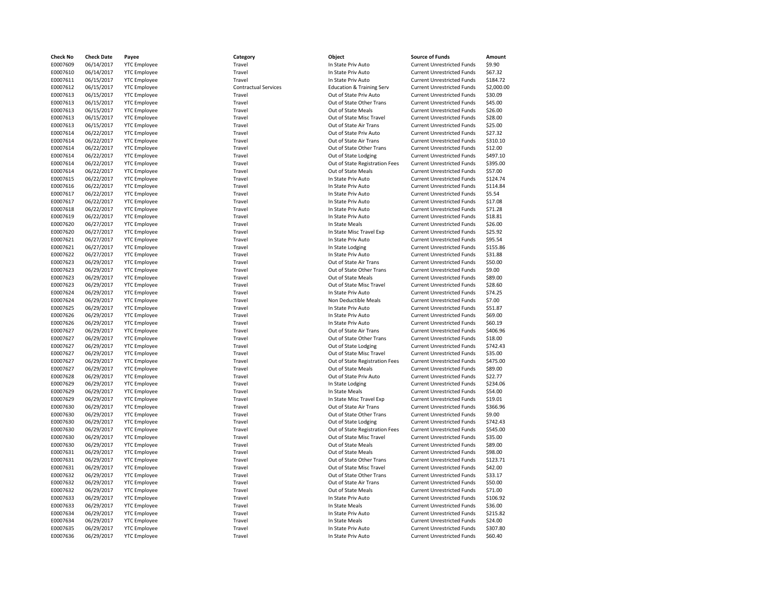| <b>Check No</b> | <b>Check Date</b> | Payee               | Category                    | Object                                   | <b>Source of Funds</b>                                                 | Amount     |
|-----------------|-------------------|---------------------|-----------------------------|------------------------------------------|------------------------------------------------------------------------|------------|
| E0007609        | 06/14/2017        | <b>YTC Employee</b> | Travel                      | In State Priv Auto                       | <b>Current Unrestricted Funds</b>                                      | \$9.90     |
| E0007610        | 06/14/2017        | <b>YTC Employee</b> | Travel                      | In State Priv Auto                       | <b>Current Unrestricted Funds</b>                                      | \$67.32    |
| E0007611        | 06/15/2017        | <b>YTC Employee</b> | Travel                      | In State Priv Auto                       | <b>Current Unrestricted Funds</b>                                      | \$184.72   |
| E0007612        | 06/15/2017        | <b>YTC Employee</b> | <b>Contractual Services</b> | <b>Education &amp; Training Serv</b>     | <b>Current Unrestricted Funds</b>                                      | \$2,000.00 |
| E0007613        | 06/15/2017        | <b>YTC Employee</b> | Travel                      | Out of State Priv Auto                   | <b>Current Unrestricted Funds</b>                                      | \$30.09    |
| E0007613        | 06/15/2017        | <b>YTC Employee</b> | Travel                      | Out of State Other Trans                 | <b>Current Unrestricted Funds</b>                                      | \$45.00    |
| E0007613        | 06/15/2017        | <b>YTC Employee</b> | Travel                      | Out of State Meals                       | <b>Current Unrestricted Funds</b>                                      | \$26.00    |
| E0007613        | 06/15/2017        | <b>YTC Employee</b> | Travel                      | Out of State Misc Travel                 | <b>Current Unrestricted Funds</b>                                      | \$28.00    |
| E0007613        | 06/15/2017        | <b>YTC Employee</b> | Travel                      | Out of State Air Trans                   | <b>Current Unrestricted Funds</b>                                      | \$25.00    |
| E0007614        | 06/22/2017        | <b>YTC Employee</b> | Travel                      | Out of State Priv Auto                   | <b>Current Unrestricted Funds</b>                                      | \$27.32    |
| E0007614        | 06/22/2017        | <b>YTC Employee</b> | Travel                      | Out of State Air Trans                   | <b>Current Unrestricted Funds</b>                                      | \$310.10   |
| E0007614        | 06/22/2017        | <b>YTC Employee</b> | Travel                      | Out of State Other Trans                 | <b>Current Unrestricted Funds</b>                                      | \$12.00    |
| E0007614        | 06/22/2017        | <b>YTC Employee</b> | Travel                      | Out of State Lodging                     | <b>Current Unrestricted Funds</b>                                      | \$497.10   |
| E0007614        | 06/22/2017        | <b>YTC Employee</b> | Travel                      | Out of State Registration Fees           | <b>Current Unrestricted Funds</b>                                      | \$395.00   |
| E0007614        | 06/22/2017        | <b>YTC Employee</b> | Travel                      | Out of State Meals                       | <b>Current Unrestricted Funds</b>                                      | \$57.00    |
| E0007615        | 06/22/2017        | <b>YTC Employee</b> | Travel                      | In State Priv Auto                       | <b>Current Unrestricted Funds</b>                                      | \$124.74   |
| E0007616        | 06/22/2017        | <b>YTC Employee</b> | Travel                      | In State Priv Auto                       | <b>Current Unrestricted Funds</b>                                      | \$114.84   |
| E0007617        | 06/22/2017        | <b>YTC Employee</b> | Travel                      | In State Priv Auto                       | <b>Current Unrestricted Funds</b>                                      | \$5.54     |
| E0007617        | 06/22/2017        | <b>YTC Employee</b> | Travel                      | In State Priv Auto                       | <b>Current Unrestricted Funds</b>                                      | \$17.08    |
| E0007618        | 06/22/2017        |                     | Travel                      |                                          |                                                                        | \$71.28    |
| E0007619        | 06/22/2017        | <b>YTC Employee</b> | Travel                      | In State Priv Auto<br>In State Priv Auto | <b>Current Unrestricted Funds</b><br><b>Current Unrestricted Funds</b> | \$18.81    |
|                 |                   | <b>YTC Employee</b> |                             |                                          |                                                                        |            |
| E0007620        | 06/27/2017        | <b>YTC Employee</b> | Travel                      | In State Meals                           | <b>Current Unrestricted Funds</b>                                      | \$26.00    |
| E0007620        | 06/27/2017        | <b>YTC Employee</b> | Travel                      | In State Misc Travel Exp                 | <b>Current Unrestricted Funds</b>                                      | \$25.92    |
| E0007621        | 06/27/2017        | <b>YTC Employee</b> | Travel                      | In State Priv Auto                       | <b>Current Unrestricted Funds</b>                                      | \$95.54    |
| E0007621        | 06/27/2017        | <b>YTC Employee</b> | Travel                      | In State Lodging                         | <b>Current Unrestricted Funds</b>                                      | \$155.86   |
| E0007622        | 06/27/2017        | <b>YTC Employee</b> | Travel                      | In State Priv Auto                       | <b>Current Unrestricted Funds</b>                                      | \$31.88    |
| E0007623        | 06/29/2017        | <b>YTC Employee</b> | Travel                      | Out of State Air Trans                   | <b>Current Unrestricted Funds</b>                                      | \$50.00    |
| E0007623        | 06/29/2017        | <b>YTC Employee</b> | Travel                      | Out of State Other Trans                 | <b>Current Unrestricted Funds</b>                                      | \$9.00     |
| E0007623        | 06/29/2017        | <b>YTC Employee</b> | Travel                      | Out of State Meals                       | <b>Current Unrestricted Funds</b>                                      | \$89.00    |
| E0007623        | 06/29/2017        | <b>YTC Employee</b> | Travel                      | Out of State Misc Travel                 | <b>Current Unrestricted Funds</b>                                      | \$28.60    |
| E0007624        | 06/29/2017        | <b>YTC Employee</b> | Travel                      | In State Priv Auto                       | <b>Current Unrestricted Funds</b>                                      | \$74.25    |
| E0007624        | 06/29/2017        | <b>YTC Employee</b> | Travel                      | Non Deductible Meals                     | <b>Current Unrestricted Funds</b>                                      | \$7.00     |
| E0007625        | 06/29/2017        | <b>YTC Employee</b> | Travel                      | In State Priv Auto                       | <b>Current Unrestricted Funds</b>                                      | \$51.87    |
| E0007626        | 06/29/2017        | <b>YTC Employee</b> | Travel                      | In State Priv Auto                       | <b>Current Unrestricted Funds</b>                                      | \$69.00    |
| E0007626        | 06/29/2017        | <b>YTC Employee</b> | Travel                      | In State Priv Auto                       | <b>Current Unrestricted Funds</b>                                      | \$60.19    |
| E0007627        | 06/29/2017        | <b>YTC Employee</b> | Travel                      | Out of State Air Trans                   | <b>Current Unrestricted Funds</b>                                      | \$406.96   |
| E0007627        | 06/29/2017        | <b>YTC Employee</b> | Travel                      | Out of State Other Trans                 | <b>Current Unrestricted Funds</b>                                      | \$18.00    |
| E0007627        | 06/29/2017        | <b>YTC Employee</b> | Travel                      | Out of State Lodging                     | <b>Current Unrestricted Funds</b>                                      | \$742.43   |
| E0007627        | 06/29/2017        | <b>YTC Employee</b> | Travel                      | Out of State Misc Travel                 | <b>Current Unrestricted Funds</b>                                      | \$35.00    |
| E0007627        | 06/29/2017        | <b>YTC Employee</b> | Travel                      | Out of State Registration Fees           | <b>Current Unrestricted Funds</b>                                      | \$475.00   |
| E0007627        | 06/29/2017        | <b>YTC Employee</b> | Travel                      | Out of State Meals                       | <b>Current Unrestricted Funds</b>                                      | \$89.00    |
| E0007628        | 06/29/2017        | <b>YTC Employee</b> | Travel                      | Out of State Priv Auto                   | <b>Current Unrestricted Funds</b>                                      | \$22.77    |
| E0007629        | 06/29/2017        | <b>YTC Employee</b> | Travel                      | In State Lodging                         | <b>Current Unrestricted Funds</b>                                      | \$234.06   |
| E0007629        | 06/29/2017        | <b>YTC Employee</b> | Travel                      | In State Meals                           | <b>Current Unrestricted Funds</b>                                      | \$54.00    |
| E0007629        | 06/29/2017        | <b>YTC Employee</b> | Travel                      | In State Misc Travel Exp                 | <b>Current Unrestricted Funds</b>                                      | \$19.01    |
| E0007630        | 06/29/2017        | <b>YTC Employee</b> | Travel                      | Out of State Air Trans                   | <b>Current Unrestricted Funds</b>                                      | \$366.96   |
| E0007630        | 06/29/2017        | <b>YTC Employee</b> | Travel                      | Out of State Other Trans                 | <b>Current Unrestricted Funds</b>                                      | \$9.00     |
| E0007630        | 06/29/2017        | <b>YTC Employee</b> | Travel                      | Out of State Lodging                     | <b>Current Unrestricted Funds</b>                                      | \$742.43   |
| E0007630        | 06/29/2017        | <b>YTC Employee</b> | Travel                      | Out of State Registration Fees           | <b>Current Unrestricted Funds</b>                                      | \$545.00   |
| E0007630        | 06/29/2017        | <b>YTC Employee</b> | Travel                      | Out of State Misc Travel                 | <b>Current Unrestricted Funds</b>                                      | \$35.00    |
| E0007630        | 06/29/2017        | <b>YTC Employee</b> | Travel                      | Out of State Meals                       | <b>Current Unrestricted Funds</b>                                      | \$89.00    |
| E0007631        | 06/29/2017        | <b>YTC Employee</b> | Travel                      | Out of State Meals                       | <b>Current Unrestricted Funds</b>                                      | \$98.00    |
| E0007631        | 06/29/2017        | <b>YTC Employee</b> | Travel                      | Out of State Other Trans                 | <b>Current Unrestricted Funds</b>                                      | \$123.71   |
| E0007631        | 06/29/2017        | <b>YTC Employee</b> | Travel                      | Out of State Misc Travel                 | <b>Current Unrestricted Funds</b>                                      | \$42.00    |
| E0007632        | 06/29/2017        | <b>YTC Employee</b> | Travel                      | Out of State Other Trans                 | <b>Current Unrestricted Funds</b>                                      | \$33.17    |
| E0007632        | 06/29/2017        | <b>YTC Employee</b> | Travel                      | Out of State Air Trans                   | <b>Current Unrestricted Funds</b>                                      | \$50.00    |
| E0007632        | 06/29/2017        | <b>YTC Employee</b> | Travel                      | Out of State Meals                       | <b>Current Unrestricted Funds</b>                                      | \$71.00    |
| E0007633        | 06/29/2017        | <b>YTC Employee</b> | Travel                      | In State Priv Auto                       | <b>Current Unrestricted Funds</b>                                      | \$106.92   |
| E0007633        | 06/29/2017        | <b>YTC Employee</b> | Travel                      | In State Meals                           | <b>Current Unrestricted Funds</b>                                      | \$36.00    |
| E0007634        | 06/29/2017        | <b>YTC Employee</b> | Travel                      | In State Priv Auto                       | <b>Current Unrestricted Funds</b>                                      | \$215.82   |
| E0007634        | 06/29/2017        | <b>YTC Employee</b> | Travel                      | In State Meals                           | <b>Current Unrestricted Funds</b>                                      | \$24.00    |
| E0007635        | 06/29/2017        | <b>YTC Employee</b> | Travel                      | In State Priv Auto                       | <b>Current Unrestricted Funds</b>                                      | \$307.80   |
| E0007636        | 06/29/2017        | <b>YTC Employee</b> | Travel                      | In State Priv Auto                       | <b>Current Unrestricted Funds</b>                                      | \$60.40    |
|                 |                   |                     |                             |                                          |                                                                        |            |